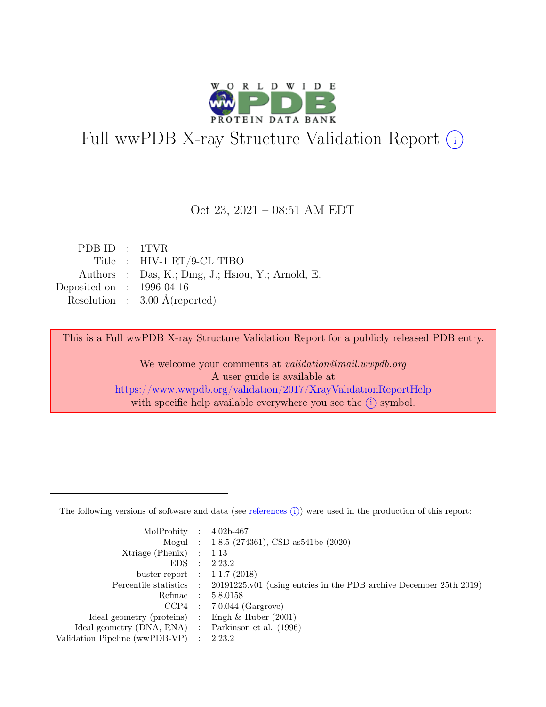

# Full wwPDB X-ray Structure Validation Report  $(i)$

### Oct 23, 2021 – 08:51 AM EDT

| PDB ID: 1TVR                         |                                                    |
|--------------------------------------|----------------------------------------------------|
|                                      | Title : $HIV-1 RT/9-CL TIBO$                       |
|                                      | Authors : Das, K.; Ding, J.; Hsiou, Y.; Arnold, E. |
| Deposited on $\therefore$ 1996-04-16 |                                                    |
|                                      | Resolution : $3.00 \text{ Å}$ (reported)           |
|                                      |                                                    |

This is a Full wwPDB X-ray Structure Validation Report for a publicly released PDB entry.

We welcome your comments at validation@mail.wwpdb.org A user guide is available at <https://www.wwpdb.org/validation/2017/XrayValidationReportHelp> with specific help available everywhere you see the  $(i)$  symbol.

The following versions of software and data (see [references](https://www.wwpdb.org/validation/2017/XrayValidationReportHelp#references)  $(i)$ ) were used in the production of this report:

| MolProbity : $4.02b-467$                            |                                                                                            |
|-----------------------------------------------------|--------------------------------------------------------------------------------------------|
|                                                     | Mogul : $1.8.5$ (274361), CSD as 541be (2020)                                              |
| $Xtriangle (Phenix)$ : 1.13                         |                                                                                            |
|                                                     | EDS : 2.23.2                                                                               |
| buster-report : $1.1.7$ (2018)                      |                                                                                            |
|                                                     | Percentile statistics : 20191225.v01 (using entries in the PDB archive December 25th 2019) |
|                                                     | Refmac : 5.8.0158                                                                          |
|                                                     | $CCP4$ : 7.0.044 (Gargrove)                                                                |
| Ideal geometry (proteins) : Engh $\&$ Huber (2001)  |                                                                                            |
| Ideal geometry (DNA, RNA) : Parkinson et al. (1996) |                                                                                            |
| Validation Pipeline (wwPDB-VP) : 2.23.2             |                                                                                            |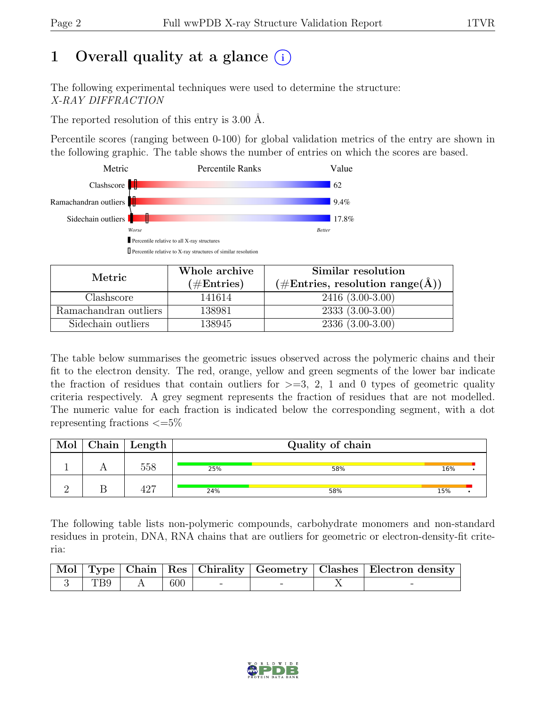# 1 Overall quality at a glance  $(i)$

The following experimental techniques were used to determine the structure: X-RAY DIFFRACTION

The reported resolution of this entry is 3.00 Å.

Percentile scores (ranging between 0-100) for global validation metrics of the entry are shown in the following graphic. The table shows the number of entries on which the scores are based.



| Metric                | Whole archive<br>$(\#\text{Entries})$ | Similar resolution<br>$(\# \text{Entries}, \text{ resolution range}(\text{\AA}) )$ |
|-----------------------|---------------------------------------|------------------------------------------------------------------------------------|
| Clashscore            | 141614                                | $2416(3.00-3.00)$                                                                  |
| Ramachandran outliers | 138981                                | $2333(3.00-3.00)$                                                                  |
| Sidechain outliers    | 138945                                | $2336(3.00-3.00)$                                                                  |

The table below summarises the geometric issues observed across the polymeric chains and their fit to the electron density. The red, orange, yellow and green segments of the lower bar indicate the fraction of residues that contain outliers for  $\geq=3$ , 2, 1 and 0 types of geometric quality criteria respectively. A grey segment represents the fraction of residues that are not modelled. The numeric value for each fraction is indicated below the corresponding segment, with a dot representing fractions  $\leq=5\%$ 

| Mol | $\mid$ Chain $\mid$ Length |     | Quality of chain |     |  |
|-----|----------------------------|-----|------------------|-----|--|
|     | 558                        | 25% | 58%              | 16% |  |
|     | 427                        | 24% | 58%              | 15% |  |

The following table lists non-polymeric compounds, carbohydrate monomers and non-standard residues in protein, DNA, RNA chains that are outliers for geometric or electron-density-fit criteria:

|     |     |  | Mol Type   Chain   Res   Chirality   Geometry   Clashes   Electron density |
|-----|-----|--|----------------------------------------------------------------------------|
| TB9 | 600 |  |                                                                            |

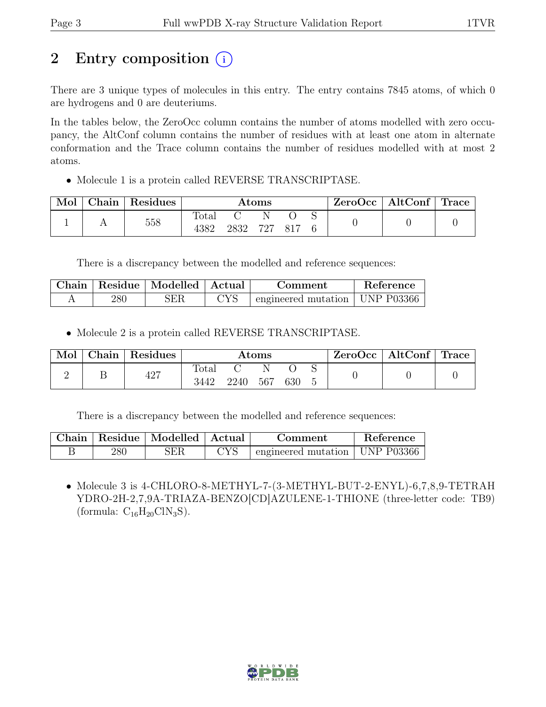# 2 Entry composition (i)

There are 3 unique types of molecules in this entry. The entry contains 7845 atoms, of which 0 are hydrogens and 0 are deuteriums.

In the tables below, the ZeroOcc column contains the number of atoms modelled with zero occupancy, the AltConf column contains the number of residues with at least one atom in alternate conformation and the Trace column contains the number of residues modelled with at most 2 atoms.

• Molecule 1 is a protein called REVERSE TRANSCRIPTASE.

| Mol | Chain   Residues | $\rm{Atoms}$           |      |     | $ZeroOcc \mid AltConf \mid Trace$ |  |  |  |
|-----|------------------|------------------------|------|-----|-----------------------------------|--|--|--|
|     | 558              | $\text{Total}$<br>4382 | 2832 | 727 | 817                               |  |  |  |

There is a discrepancy between the modelled and reference sequences:

|     | Chain   Residue   Modelled   Actual |                    | Comment                          | Reference |
|-----|-------------------------------------|--------------------|----------------------------------|-----------|
| 280 | ЗER                                 | $\gamma_{\rm{YS}}$ | engineered mutation   UNP P03366 |           |

• Molecule 2 is a protein called REVERSE TRANSCRIPTASE.

| Mol | Chain | <sup>1</sup> Residues | $\rm{Atoms}$  |      |     | $\text{ZeroOcc} \mid \text{AltConf} \mid \text{Trace}$ |  |  |  |
|-----|-------|-----------------------|---------------|------|-----|--------------------------------------------------------|--|--|--|
|     |       | 427                   | Total<br>3442 | 2240 | 567 | 630                                                    |  |  |  |

There is a discrepancy between the modelled and reference sequences:

|     | Chain   Residue   Modelled   Actual | Comment                                    | Reference |
|-----|-------------------------------------|--------------------------------------------|-----------|
| 280 | ЗER                                 | $\pm$ engineered mutation $\pm$ UNP P03366 |           |

• Molecule 3 is 4-CHLORO-8-METHYL-7-(3-METHYL-BUT-2-ENYL)-6,7,8,9-TETRAH YDRO-2H-2,7,9A-TRIAZA-BENZO[CD]AZULENE-1-THIONE (three-letter code: TB9) (formula:  $C_{16}H_{20}CIN_3S$ ).

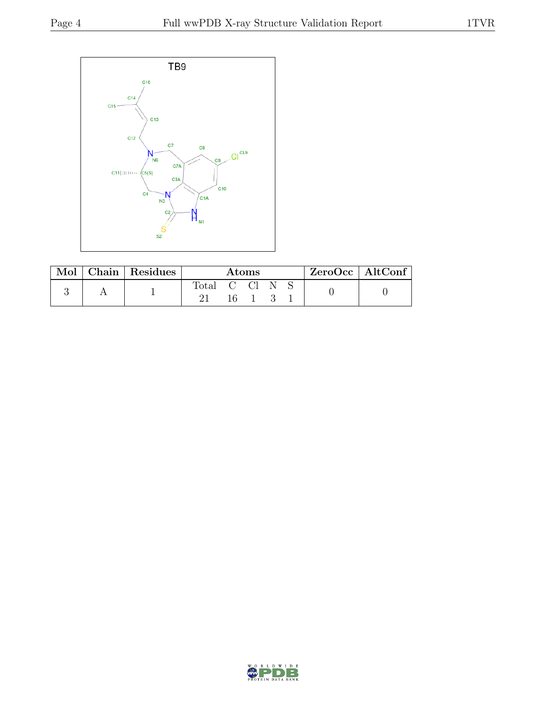

| Mol | Chain Residues | Atoms          |  |  | $\text{ZeroOcc}$   AltConf |  |  |  |
|-----|----------------|----------------|--|--|----------------------------|--|--|--|
|     |                | $_{\rm Total}$ |  |  |                            |  |  |  |

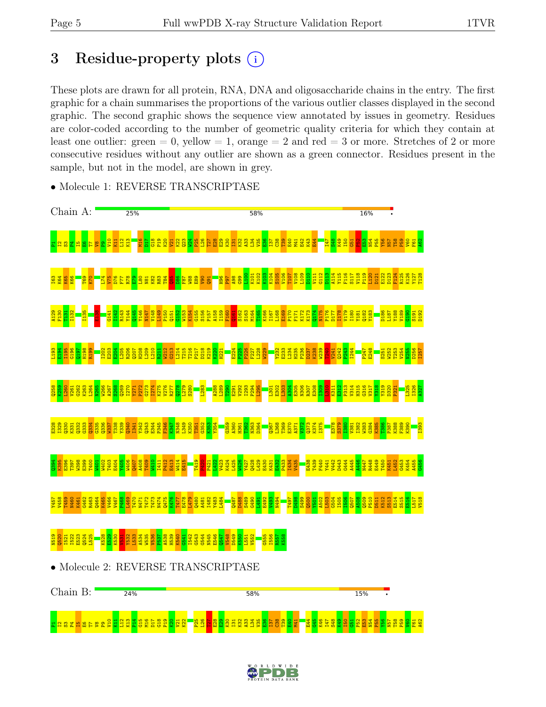# 3 Residue-property plots  $(i)$

These plots are drawn for all protein, RNA, DNA and oligosaccharide chains in the entry. The first graphic for a chain summarises the proportions of the various outlier classes displayed in the second graphic. The second graphic shows the sequence view annotated by issues in geometry. Residues are color-coded according to the number of geometric quality criteria for which they contain at least one outlier: green  $= 0$ , yellow  $= 1$ , orange  $= 2$  and red  $= 3$  or more. Stretches of 2 or more consecutive residues without any outlier are shown as a green connector. Residues present in the sample, but not in the model, are shown in grey.



• Molecule 1: REVERSE TRANSCRIPTASE



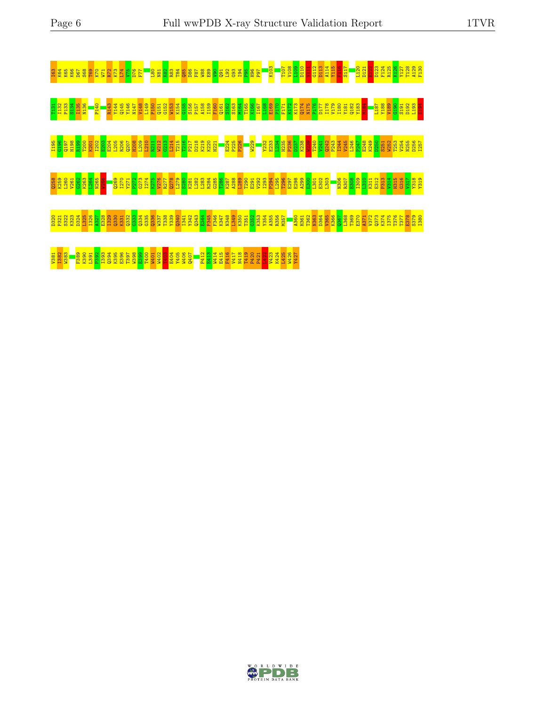

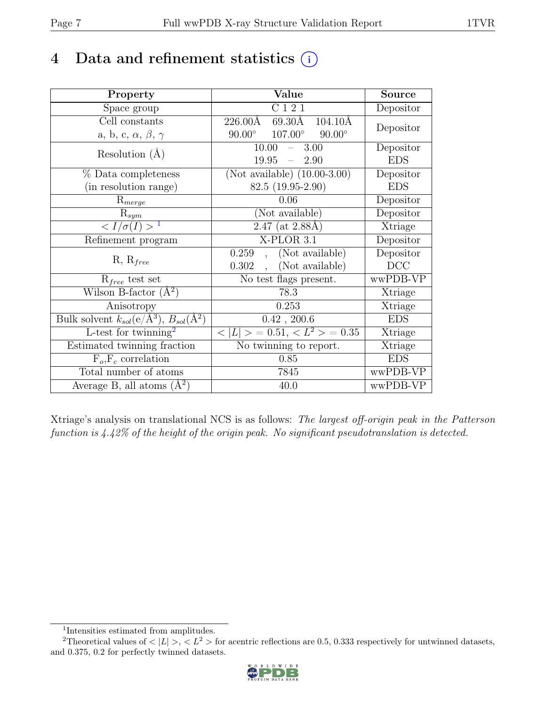# 4 Data and refinement statistics  $(i)$

| Property                                                             | Value                                            | Source     |
|----------------------------------------------------------------------|--------------------------------------------------|------------|
| Space group                                                          | C121                                             | Depositor  |
| Cell constants                                                       | 226.00Å<br>69.30Å<br>$104.10\text{\AA}$          | Depositor  |
| a, b, c, $\alpha$ , $\beta$ , $\gamma$                               | $90.00^\circ$<br>$107.00^\circ$<br>$90.00^\circ$ |            |
| Resolution $(A)$                                                     | 10.00<br>3.00<br>$\equiv$                        | Depositor  |
|                                                                      | 19.95<br>2.90<br>$\equiv$                        | <b>EDS</b> |
| % Data completeness                                                  | (Not available) $(10.00-3.00)$                   | Depositor  |
| (in resolution range)                                                | $82.5(19.95-2.90)$                               | <b>EDS</b> |
| $R_{merge}$                                                          | 0.06                                             | Depositor  |
| $\mathrm{R}_{sym}$                                                   | (Not available)                                  | Depositor  |
| $\langle I/\sigma(I) \rangle^{-1}$                                   | $2.47$ (at 2.88Å)                                | Xtriage    |
| Refinement program                                                   | X-PLOR 3.1                                       | Depositor  |
|                                                                      | (Not available)<br>0.259                         | Depositor  |
| $R, R_{free}$                                                        | (Not available)<br>0.302                         | DCC        |
| $R_{free}$ test set                                                  | No test flags present.                           | wwPDB-VP   |
| Wilson B-factor $(A^2)$                                              | 78.3                                             | Xtriage    |
| Anisotropy                                                           | 0.253                                            | Xtriage    |
| Bulk solvent $k_{sol}(e/\mathring{A}^3)$ , $B_{sol}(\mathring{A}^2)$ | $0.42$ , 200.6                                   | <b>EDS</b> |
| L-test for twinning <sup>2</sup>                                     | $< L >$ = 0.51, $< L^2 >$ = 0.35                 | Xtriage    |
| Estimated twinning fraction                                          | No twinning to report.                           | Xtriage    |
| $F_o, F_c$ correlation                                               | 0.85                                             | <b>EDS</b> |
| Total number of atoms                                                | 7845                                             | wwPDB-VP   |
| Average B, all atoms $(A^2)$                                         | 40.0                                             | wwPDB-VP   |

Xtriage's analysis on translational NCS is as follows: The largest off-origin peak in the Patterson function is 4.42% of the height of the origin peak. No significant pseudotranslation is detected.

<sup>&</sup>lt;sup>2</sup>Theoretical values of  $\langle |L| \rangle$ ,  $\langle L^2 \rangle$  for acentric reflections are 0.5, 0.333 respectively for untwinned datasets, and 0.375, 0.2 for perfectly twinned datasets.



<span id="page-6-1"></span><span id="page-6-0"></span><sup>1</sup> Intensities estimated from amplitudes.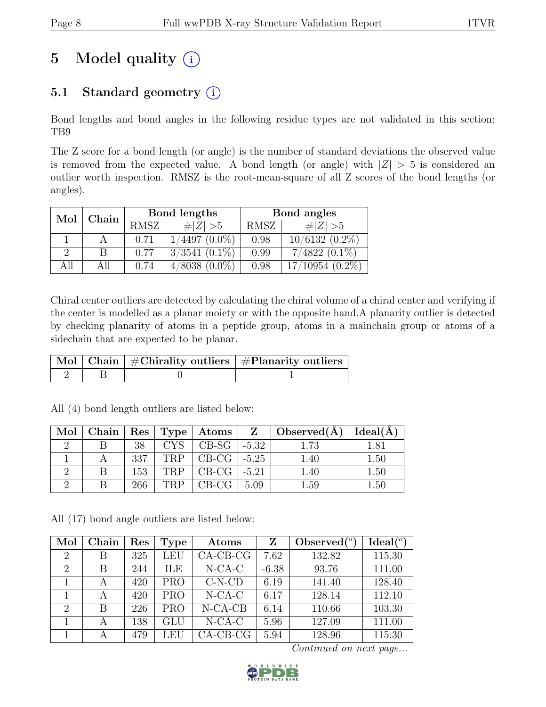# 5 Model quality  $(i)$

# 5.1 Standard geometry  $(i)$

Bond lengths and bond angles in the following residue types are not validated in this section: TB9

The Z score for a bond length (or angle) is the number of standard deviations the observed value is removed from the expected value. A bond length (or angle) with  $|Z| > 5$  is considered an outlier worth inspection. RMSZ is the root-mean-square of all Z scores of the bond lengths (or angles).

| Mol           | Chain |             | Bond lengths       | Bond angles |                  |  |
|---------------|-------|-------------|--------------------|-------------|------------------|--|
|               |       | <b>RMSZ</b> | # $ Z  > 5$        | RMSZ        | # $ Z  > 5$      |  |
|               |       | 0.71        | $1/4497$ $(0.0\%)$ | 0.98        | $10/6132(0.2\%)$ |  |
| $\mathcal{D}$ |       | 0.77        | $3/3541$ $(0.1\%)$ | 0.99        | $7/4822(0.1\%)$  |  |
| All           | Αll   | 0.74        | $4/8038$ $(0.0\%)$ | 0.98        | $(10954(0.2\%)$  |  |

Chiral center outliers are detected by calculating the chiral volume of a chiral center and verifying if the center is modelled as a planar moiety or with the opposite hand.A planarity outlier is detected by checking planarity of atoms in a peptide group, atoms in a mainchain group or atoms of a sidechain that are expected to be planar.

|  | $\lceil \!\! \begin{array}{c c} \hline \text{Mol} \end{array} \!\! \rceil$ Chain $\mid \#\text{Chirality outliers} \mid \#\text{Planarity outliers} \mid \#$ |
|--|--------------------------------------------------------------------------------------------------------------------------------------------------------------|
|  |                                                                                                                                                              |

| $Mol$   Chain |     |            | Res   Type   Atoms          |      | $Z \mid Observed(A)$ | Ideal(A) |
|---------------|-----|------------|-----------------------------|------|----------------------|----------|
|               | 38  | CYS.       | $\vert$ CB-SG $\vert$ -5.32 |      |                      | 1.81     |
|               | 337 | TRP        | CB-CG $\vert$ -5.25         |      | 1.40                 | 1.50     |
|               | 153 | <b>TRP</b> | $CB-CG$ $-5.21$             |      | 1.40                 | 1.50     |
|               | 266 | TRP        | CB-CG                       | 5.09 | 1.59                 | 1.50     |

All (4) bond length outliers are listed below:

All (17) bond angle outliers are listed below:

| Mol                         | Chain | Res | <b>Type</b> | Atoms       | Z       | Observed $(°)$ | Ideal <sup>(o)</sup> |
|-----------------------------|-------|-----|-------------|-------------|---------|----------------|----------------------|
| $\mathcal{D}_{\mathcal{L}}$ | В     | 325 | LEU         | $CA-CB-CG$  | 7.62    | 132.82         | 115.30               |
| $\mathcal{D}_{\mathcal{L}}$ | B     | 244 | ILE         | $N$ -CA-C   | $-6.38$ | 93.76          | 111.00               |
|                             | А     | 420 | <b>PRO</b>  | $C-N-CD$    | 6.19    | 141.40         | 128.40               |
|                             | A     | 420 | <b>PRO</b>  | $N$ -CA-C   | 6.17    | 128.14         | 112.10               |
| $\mathcal{D}_{\mathcal{L}}$ | B     | 226 | <b>PRO</b>  | $N-CA-CB$   | 6.14    | 110.66         | 103.30               |
|                             | А     | 138 | <b>GLU</b>  | $N$ -CA-C   | 5.96    | 127.09         | 111.00               |
|                             |       | 479 | LEU         | $CA$ -CB-CG | 5.94    | 128.96         | 115.30               |

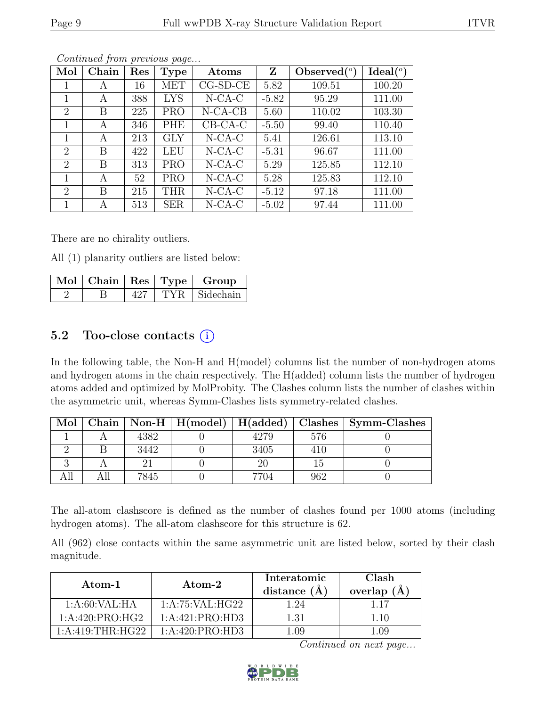| Mol                         | Chain | Res | <b>Type</b> | Atoms      | $\mathbf{Z}$ | $\text{Observed}({}^o)$ | Ideal(°) |
|-----------------------------|-------|-----|-------------|------------|--------------|-------------------------|----------|
| 1                           | A     | 16  | <b>MET</b>  | $CG-SD-CE$ | 5.82         | 109.51                  | 100.20   |
| 1                           | A     | 388 | <b>LYS</b>  | $N$ -CA-C  | $-5.82$      | 95.29                   | 111.00   |
| $\overline{2}$              | B     | 225 | <b>PRO</b>  | $N-CA-CB$  | 5.60         | 110.02                  | 103.30   |
| 1                           | А     | 346 | PHE         | $CB-CA-C$  | $-5.50$      | 99.40                   | 110.40   |
| 1                           | А     | 213 | <b>GLY</b>  | $N$ -CA-C  | 5.41         | 126.61                  | 113.10   |
| $\mathcal{D}_{\mathcal{L}}$ | B     | 422 | <b>LEU</b>  | $N$ -CA-C  | $-5.31$      | 96.67                   | 111.00   |
| $\mathcal{D}_{\mathcal{L}}$ | B     | 313 | <b>PRO</b>  | $N-CA-C$   | 5.29         | 125.85                  | 112.10   |
| 1                           | A     | 52  | <b>PRO</b>  | $N$ -CA-C  | 5.28         | 125.83                  | 112.10   |
| $\overline{2}$              | B     | 215 | <b>THR</b>  | $N$ -CA-C  | $-5.12$      | 97.18                   | 111.00   |
|                             | А     | 513 | <b>SER</b>  | $N$ -CA-C  | $-5.02$      | 97.44                   | 111.00   |

There are no chirality outliers.

All (1) planarity outliers are listed below:

|  |     | Mol   Chain   Res   Type   Group |
|--|-----|----------------------------------|
|  | 427 | TYR Sidechain                    |

## 5.2 Too-close contacts  $(i)$

In the following table, the Non-H and H(model) columns list the number of non-hydrogen atoms and hydrogen atoms in the chain respectively. The H(added) column lists the number of hydrogen atoms added and optimized by MolProbity. The Clashes column lists the number of clashes within the asymmetric unit, whereas Symm-Clashes lists symmetry-related clashes.

| Mol |      |      |     | Chain   Non-H   H(model)   H(added)   Clashes   Symm-Clashes |
|-----|------|------|-----|--------------------------------------------------------------|
|     | 4382 | 4279 | 576 |                                                              |
|     | 3442 | 3405 | 410 |                                                              |
|     |      |      |     |                                                              |
|     | 7845 | 7704 | 962 |                                                              |

The all-atom clashscore is defined as the number of clashes found per 1000 atoms (including hydrogen atoms). The all-atom clashscore for this structure is 62.

All (962) close contacts within the same asymmetric unit are listed below, sorted by their clash magnitude.

| Atom-1              | Atom-2            | Interatomic<br>distance $(A)$ | Clash<br>overlap $(\AA)$ |
|---------------------|-------------------|-------------------------------|--------------------------|
| 1: A:60: VAL:HA     | 1:A:75:VAL:HG22   | 1.24                          |                          |
| 1: A:420: PRO:HG2   | 1:A:421:PRO:HD3   | 1.31                          | 1.10                     |
| $1:$ A:419:THR:HG22 | 1: A:420: PRO:HD3 | L.O9                          | -09                      |

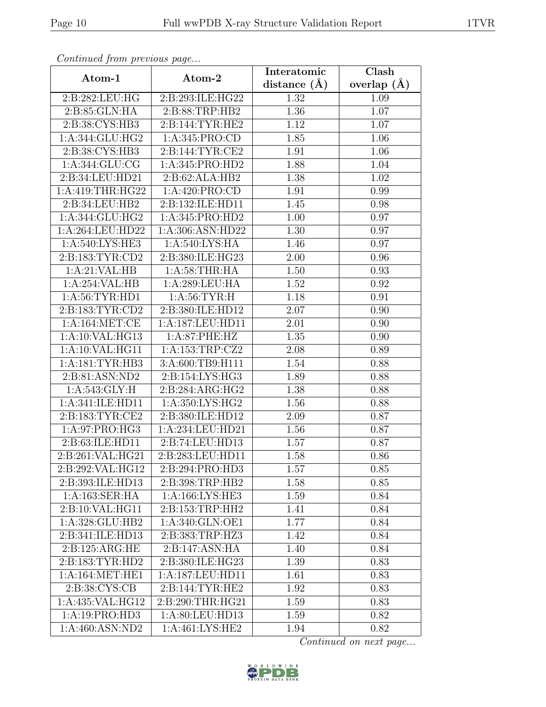| Continued from previous page |                                          | Interatomic    | <b>Clash</b>  |
|------------------------------|------------------------------------------|----------------|---------------|
| Atom-1                       | Atom-2                                   | distance $(A)$ | overlap $(A)$ |
| 2:B:282:LEU:HG               | 2:B:293:ILE:HG22                         | 1.32           | 1.09          |
| 2:B:85:GLN:HA                | 2:B:88:TRP:HB2                           | 1.36           | 1.07          |
| 2:B:38:CYS:HB3               | 2:B:144:TYR:HE2                          | 1.12           | 1.07          |
| 1:A:344:GLU:HG2              | 1: A:345: PRO:CD                         | 1.85           | 1.06          |
| 2: B: 38: CYS: HB3           | 2: B:144: TYR: CE2                       | 1.91           | 1.06          |
| 1:A:344:GLU:CG               | 1:A:345:PRO:HD2                          | 1.88           | 1.04          |
| 2:B:34:LEU:HD21              | 2:B:62:ALA:HB2                           | 1.38           | 1.02          |
| 1: A:419:THR:HG22            | 1: A:420: PRO:CD                         | 1.91           | 0.99          |
| 2:B:34:LEU:HB2               | 2:B:132:ILE:HD11                         | 1.45           | 0.98          |
| 1: A:344: GLU: HG2           | 1:A:345:PRO:HD2                          | 1.00           | 0.97          |
| 1:A:264:LEU:HD22             | 1:A:306:ASN:HD22                         | 1.30           | 0.97          |
| 1: A:540: LYS: HE3           | 1: A:540: LYS: HA                        | 1.46           | 0.97          |
| 2:B:183:TYR:CD2              | 2:B:380:ILE:HG23                         | 2.00           | 0.96          |
| 1:A:21:VAL:HB                | 1: A:58:THR:HA                           | 1.50           | 0.93          |
| 1:A:254:VAL:HB               | 1:A:289:LEU:HA                           | 1.52           | 0.92          |
| 1: A:56: TYR: HD1            | 1: A:56:TYR:H                            | 1.18           | 0.91          |
| 2:B:183:TYR:CD2              | 2:B:380:ILE:HD12                         | 2.07           | 0.90          |
| 1:A:164:MET:CE               | 1:A:187:LEU:HD11                         | 2.01           | 0.90          |
| 1:A:10:VAL:HG13              | 1:A:87:PHE:HZ                            | 1.35           | 0.90          |
| 1:A:10:VAL:HG11              | 1:A:153:TRP:CZ2                          | 2.08           | 0.89          |
| 1: A:181: TYR: HB3           | 3:A:600:TB9:H111                         | 1.54           | 0.88          |
| 2:B:81:ASN:ND2               | 2:B:154:LYS:HG3                          | 1.89           | 0.88          |
| 1: A:543: GLY: H             | 2:B:284:ARG:HG2                          | 1.38           | 0.88          |
| 1:A:341:ILE:HD11             | 1:A:350:LYS:HG2                          | 1.56           | 0.88          |
| 2:B:183:TYR:CE2              | 2:B:380:ILE:HD12                         | 2.09           | 0.87          |
| 1:A:97:PRO:HG3               | 1:A:234:LEU:HD21                         | 1.56           | 0.87          |
| 2: B:63: ILE: HD11           | 2:B:74:LEU:HD13                          | 1.57           | 0.87          |
| 2:B:261:VAL:HG21             | $2:B:283:LEU:\overline{H}\overline{D11}$ | 1.58           | 0.86          |
| 2:B:292:VAL:HG12             | 2:B:294:PRO:HD3                          | 1.57           | 0.85          |
| 2:B:393:ILE:HD13             | 2:B:398:TRP:HB2                          | 1.58           | 0.85          |
| 1:A:163:SER:HA               | 1: A: 166: LYS: HE3                      | 1.59           | 0.84          |
| 2:B:10:VAL:HG11              | 2:B:153:TRP:HH2                          | 1.41           | 0.84          |
| 1:A:328:GLU:HB2              | 1: A:340: GLN: O <sub>E1</sub>           | 1.77           | 0.84          |
| 2:B:341:ILE:HD13             | 2:B:383:TRP:HZ3                          | 1.42           | 0.84          |
| 2:B:125:ARG:HE               | 2:B:147:ASN:HA                           | 1.40           | 0.84          |
| 2:B:183:TYR:HD2              | 2:B:380:ILE:HG23                         | 1.39           | 0.83          |
| 1: A:164:MET:HE1             | 1:A:187:LEU:HD11                         | 1.61           | 0.83          |
| 2:B:38:CYS:CB                | 2:B:144:TYR:HE2                          | 1.92           | 0.83          |
| 1:A:435:VAL:HG12             | 2:B:290:THR:HG21                         | 1.59           | 0.83          |
| 1:A:19:PRO:HD3               | 1:A:80:LEU:HD13                          | 1.59           | 0.82          |
| $1:A:460:\overline{ASN:ND2}$ | 1:A:461:LYS:HE2                          | 1.94           | 0.82          |

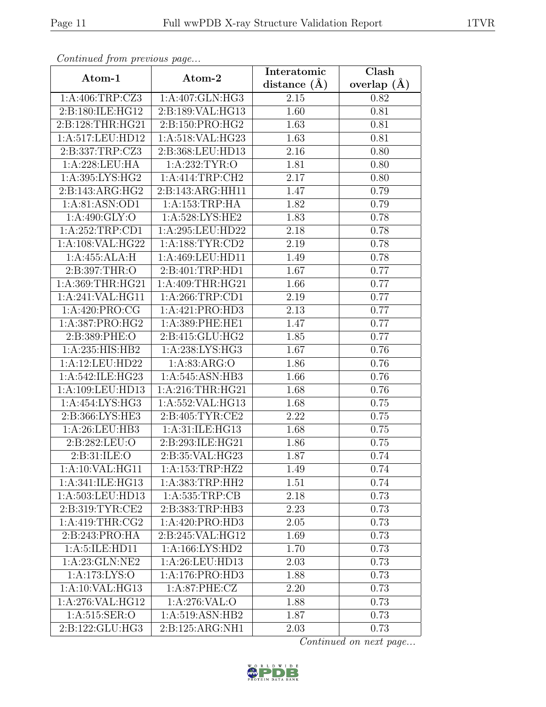| Continuea from previous page         |                              | Interatomic       | Clash           |
|--------------------------------------|------------------------------|-------------------|-----------------|
| Atom-1                               | Atom-2                       | distance $(\AA)$  | overlap $(\AA)$ |
| 1:A:406:TRP:CZ3                      | 1:A:407:GLN:HG3              | 2.15              | 0.82            |
| 2:B:180:ILE:HG12                     | 2:B:189:VAL:HG13             | 1.60              | 0.81            |
| 2:B:128:THR:HG21                     | 2:B:150:PRO:HG2              | 1.63              | 0.81            |
| 1:A:517:LEU:HD12                     | 1:A:518:VAL:HG23             | 1.63              | 0.81            |
| 2:B:337:TRP:CZ3                      | 2:B:368:LEU:HD13             | 2.16              | 0.80            |
| 1:A:228:LEU:HA                       | 1:A:232:TYR:O                | 1.81              | 0.80            |
| 1:A:395:LYS:HG2                      | 1:A:414:TRP:CH2              | 2.17              | 0.80            |
| 2:B:143:ARG:HG2                      | 2:B:143:ARG:HH11             | 1.47              | 0.79            |
| 1:A:81:ASN:OD1                       | 1:A:153:TRP:HA               | 1.82              | 0.79            |
| 1: A:490: GLY:O                      | 1: A:528: LYS: HE2           | 1.83              | 0.78            |
| 1:A:252:TRP:CD1                      | 1:A:295:LEU:HD22             | 2.18              | 0.78            |
| 1:A:108:VAL:HG22                     | 1: A: 188: TYR: CD2          | 2.19              | 0.78            |
| 1:A:455:ALA:H                        | 1:A:469:LEU:HD11             | 1.49              | 0.78            |
| 2:B:397:THR:O                        | 2:B:401:TRP:HD1              | 1.67              | 0.77            |
| 1:A:369:THR:HG21                     | 1:A:409:THR:HG21             | 1.66              | 0.77            |
| 1:A:241:VAL:HG11                     | 1:A:266:TRP:CD1              | 2.19              | 0.77            |
| 1:A:420:PRO:CG                       | 1:A:421:PRO:HD3              | 2.13              | 0.77            |
| 1:A:387:PRO:H <sub>G2</sub>          | 1: A:389: PHE: HE1           | 1.47              | 0.77            |
| 2:B:389:PHE:O                        | 2:B:415:GLU:HG2              | 1.85              | 0.77            |
| 1:A:235:HIS:HB2                      | 1: A:238: LYS: HG3           | 1.67              | 0.76            |
| 1:A:12:LEU:HD22                      | 1: A:83: ARG:O               | 1.86              | 0.76            |
| 1:A:542:ILE:HG23                     | 1:A:545:ASN:HB3              | 1.66              | 0.76            |
| 1:A:109:LEU:HD13                     | 1:A:216:THR:HG21             | 1.68              | 0.76            |
| 1:A:454:LYS:HG3                      | 1:A:552:VAL:HG13             | 1.68              | 0.75            |
| 2:B:366:LYS:HE3                      | 2:B:405:TYR:CE2              | 2.22              | 0.75            |
| 1:A:26:LEU:HB3                       | 1:A:31:ILE:HG13              | 1.68              | 0.75            |
| 2:B:282:LEU:O                        | 2:B:293:ILE:HG21             | 1.86              | 0.75            |
| 2:B:31:ILE:O                         | 2:B:35:VAL:HG23              | 1.87              | 0.74            |
| 1:A:10:VAL:HG11                      | 1:A:153:TRP:HZ2              | 1.49              | 0.74            |
| $1:A:341:\overline{\text{ILE:HG13}}$ | 1:A:383:TRP:HH2              | 1.51              | 0.74            |
| 1:A:503:LEU:HD13                     | 1: A: 535: TRP: CB           | 2.18              | 0.73            |
| 2:B:319:TYR:CE2                      | 2:B:383:TRP:HB3              | 2.23              | 0.73            |
| 1: A:419:THR:CG2                     | 1:A:420:PRO:H <sub>D3</sub>  | 2.05              | 0.73            |
| 2:B:243:PRO:HA                       | 2:B:245:VAL:HG12             | 1.69              | 0.73            |
| 1: A:5: ILE: HD11                    | 1: A: 166: LYS: HD2          | 1.70              | 0.73            |
| 1: A:23: GLN:NE2                     | 1:A:26:LEU:HD13              | 2.03              | 0.73            |
| 1:A:173:LYS:O                        | 1:A:176:PRO:HD3              | 1.88              | 0.73            |
| 1:A:10:VAL:HG13                      | 1:A:87:PHE:CZ                | $\overline{2}.20$ | 0.73            |
| 1:A:276:VAL:HG12                     | 1:A:276:VAL:O                | 1.88              | 0.73            |
| 1:A:515:SER:O                        | 1:A:519:ASN:HB2              | 1.87              | 0.73            |
| 2:B:122:GLU:HG3                      | $2:B:125:ARG:\overline{NH1}$ | 2.03              | 0.73            |

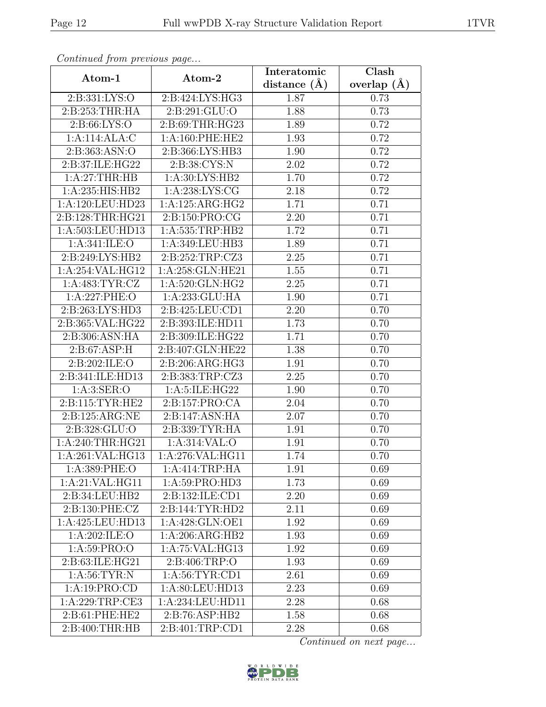| Continuea from previous page |                              | Interatomic    | Clash           |
|------------------------------|------------------------------|----------------|-----------------|
| Atom-1                       | Atom-2                       | distance $(A)$ | overlap $(\AA)$ |
| 2:B:331:LYS:O                | 2:B:424:LYS:HG3              | 1.87           | 0.73            |
| 2:B:253:THR:HA               | 2:B:291:GLU:O                | 1.88           | 0.73            |
| 2: B:66: LYS:O               | 2:B:69:THR:HG23              | 1.89           | 0.72            |
| 1:A:114:ALA:C                | 1:A:160:PHE:HE2              | 1.93           | 0.72            |
| 2:B:363:ASN:O                | 2:B:366:LYS:HB3              | 1.90           | 0.72            |
| 2:B:37:ILE:HG22              | 2:B:38:CYS:N                 | 2.02           | 0.72            |
| 1:A:27:THR:HB                | 1:A:30:LYS:HB2               | 1.70           | 0.72            |
| 1:A:235:HIS:HB2              | 1: A:238: LYS: CG            | 2.18           | 0.72            |
| 1:A:120:LEU:HD23             | $1:A:125:ARG:\overline{HG2}$ | 1.71           | 0.71            |
| 2:B:128:THR:HG21             | 2:B:150:PRO:CG               | 2.20           | 0.71            |
| 1:A:503:LEU:HD13             | 1: A: 535: TRP: HB2          | 1.72           | 0.71            |
| 1: A:341: ILE: O             | 1:A:349:LEU:HB3              | 1.89           | 0.71            |
| 2:B:249:LYS:HB2              | 2:B:252:TRP:CZ3              | 2.25           | 0.71            |
| 1:A:254:VAL:HG12             | 1:A:258:GLN:HE21             | 1.55           | 0.71            |
| 1:A:483:TYR:CZ               | 1:A:520:GLN:HG2              | 2.25           | 0.71            |
| 1:A:227:PHE:O                | 1:A:233:GLU:HA               | 1.90           | 0.71            |
| 2:B:263:LYS:HD3              | 2:B:425:LEU:CD1              | 2.20           | 0.70            |
| 2:B:365:VAL:HG22             | 2:B:393:ILE:HD11             | 1.73           | 0.70            |
| 2:B:306:ASN:HA               | 2:B:309:ILE:HG22             | 1.71           | 0.70            |
| 2: B:67: ASP:H               | 2:B:407:GLN:HE22             | 1.38           | 0.70            |
| 2:B:202:ILE:O                | 2:B:206:ARG:HG3              | 1.91           | 0.70            |
| 2:B:341:ILE:HD13             | 2:B:383:TRP:CZ3              | 2.25           | 0.70            |
| 1:A:3:SER:O                  | 1:A:5:ILE:HG22               | 1.90           | 0.70            |
| 2:B:115:TYR:HE2              | 2:B:157:PRO:CA               | 2.04           | 0.70            |
| 2:B:125:ARG:NE               | 2:B:147:ASN:HA               | 2.07           | 0.70            |
| 2:B:328:GLU:O                | 2:B:339:TYR:HA               | 1.91           | 0.70            |
| 1:A:240:THR:HG21             | 1:A:314:VAL:O                | 1.91           | 0.70            |
| 1:A:261:VAL:HG13             | 1:A:276:VAL:HG11             | 1.74           | 0.70            |
| 1:A:389:PHE:O                | 1:A:414:TRP:HA               | 1.91           | 0.69            |
| 1:A:21:VAL:HG11              | $1:$ A:59:PRO:HD3            | 1.73           | 0.69            |
| 2:B:34:LEU:HB2               | 2:B:132:ILE:CD1              | 2.20           | 0.69            |
| 2:B:130:PHE:CZ               | 2:B:144:TYR:HD2              | 2.11           | 0.69            |
| 1:A:425:LEU:HD13             | 1:A:428:GLN:OE1              | 1.92           | 0.69            |
| 1:A:202:ILE:O                | 1:A:206:ARG:HB2              | 1.93           | 0.69            |
| 1: A:59: PRO:O               | 1:A:75:VAL:HG13              | 1.92           | 0.69            |
| 2:B:63:ILE:HG21              | 2:B:406:TRP:O                | 1.93           | 0.69            |
| 1: A:56: TYR: N              | 1:A:56:TYR:CD1               | 2.61           | 0.69            |
| 1:A:19:PRO:CD                | 1:A:80:LEU:HD13              | 2.23           | 0.69            |
| 1:A:229:TRP:CE3              | 1:A:234:LEU:HD11             | 2.28           | 0.68            |
| 2:B:61:PHE:HE2               | 2:B:76:ASP:HB2               | 1.58           | 0.68            |
| 2:B:400:THR:HB               | 2:B:401:TRP:CD1              | 2.28           | 0.68            |

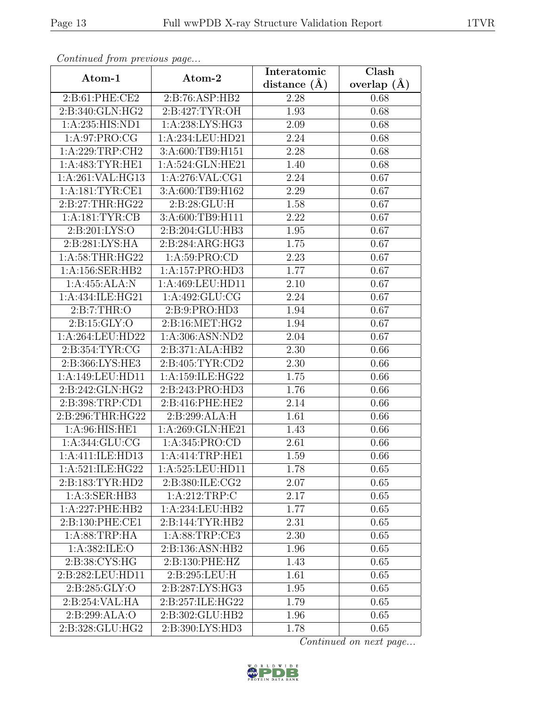| Continued from previous page     |                    | Interatomic      | $\overline{\text{Clash}}$ |  |
|----------------------------------|--------------------|------------------|---------------------------|--|
| Atom-1                           | Atom-2             | distance $(\AA)$ | overlap $(\AA)$           |  |
| 2:B:61:PHE:CE2                   | 2:B:76:ASP:HB2     | 2.28             | 0.68                      |  |
| 2:B:340:GLN:HG2                  | 2: B:427: TYR:OH   | 1.93             | 0.68                      |  |
| 1:A:235:HIS:ND1                  | 1: A:238: LYS: HG3 | 2.09             | 0.68                      |  |
| 1: A:97: PRO:CG                  | 1:A:234:LEU:HD21   | 2.24             | 0.68                      |  |
| 1:A:229:TRP:CH2                  | 3:A:600:TB9:H151   | 2.28             | 0.68                      |  |
| 1: A:483: TYR: HE1               | 1:A:524:GLN:HE21   | 1.40             | 0.68                      |  |
| 1:A:261:VAL:HG13                 | 1:A:276:VAL:CG1    | 2.24             | 0.67                      |  |
| 1: A: 181: TYR: CE1              | 3:A:600:TB9:H162   | 2.29             | 0.67                      |  |
| 2:B:27:THR:HG22                  | 2:B:28:GLU:H       | 1.58             | 0.67                      |  |
| 1: A: 181: TYR: CB               | 3:A:600:TB9:H111   | 2.22             | 0.67                      |  |
| 2:B:201:LYS:O                    | 2:B:204:GLU:HB3    | 1.95             | 0.67                      |  |
| 2:B:281:LYS:HA                   | 2:B:284:ARG:HG3    | 1.75             | 0.67                      |  |
| 1: A:58:THR:HG22                 | 1:A:59:PRO:CD      | 2.23             | 0.67                      |  |
| 1:A:156:SER:HB2                  | 1:A:157:PRO:HD3    | 1.77             | 0.67                      |  |
| 1:A:455:ALA:N                    | 1:A:469:LEU:HD11   | 2.10             | 0.67                      |  |
| 1:A:434:ILE:HG21                 | 1:A:492:GLU:CG     | 2.24             | 0.67                      |  |
| 2: B: 7: THR: O                  | 2:B:9:PRO:HD3      | 1.94             | 0.67                      |  |
| 2: B: 15: GLY: O                 | 2: B:16: MET:HG2   | 1.94             | 0.67                      |  |
| 1:A:264:LEU:HD22                 | 1:A:306:ASN:ND2    | 2.04             | 0.67                      |  |
| 2:B:354:TYR:CG                   | 2:B:371:ALA:HB2    | 2.30             | 0.66                      |  |
| 2:B:366:LYS:HE3                  | 2:B:405:TYR:CD2    | 2.30             | 0.66                      |  |
| 1:A:149:LEU:HD11                 | 1:A:159:ILE:HG22   | 1.75             | 0.66                      |  |
| 2:B:242:GLN:HG2                  | 2:B:243:PRO:HD3    | 1.76             | 0.66                      |  |
| 2:B:398:TRP:CD1                  | 2:B:416:PHE:HE2    | 2.14             | 0.66                      |  |
| 2:B:296:THR:HG22                 | 2:B:299:ALA:H      | 1.61             | 0.66                      |  |
| 1: A:96: HIS: HE1                | 1:A:269:GLN:HE21   | 1.43             | 0.66                      |  |
| 1: A:344: GLU:CG                 | 1:A:345:PRO:CD     | 2.61             | 0.66                      |  |
| 1:A:411:ILE:HD13                 | 1:A:414:TRP:HE1    | 1.59             | 0.66                      |  |
| 1:A:521:ILE:HG22                 | 1:A:525:LEU:HD11   | 1.78             | 0.65                      |  |
| 2:B:183:TYR:HD2                  | 2:B:380:ILE:CG2    | 2.07             | 0.65                      |  |
| 1: A:3: SER: HB3                 | 1:A:212:TRP:C      | 2.17             | 0.65                      |  |
| 1:A:227:PHE:HB2                  | 1:A:234:LEU:HB2    | 1.77             | 0.65                      |  |
| $2: B: 130: PHE: \overline{CE1}$ | 2:B:144:TYR:HB2    | 2.31             | 0.65                      |  |
| 1: A:88:TRP:HA                   | 1:A:88:TRP:CE3     | 2.30             | 0.65                      |  |
| 1:A:382:ILE:O                    | 2:B:136:ASN:HB2    | 1.96             | 0.65                      |  |
| 2:B:38:CYS:HG                    | 2:B:130:PHE:HZ     | 1.43             | 0.65                      |  |
| 2:B:282:LEU:HD11                 | 2:B:295:LEU:H      | 1.61             | 0.65                      |  |
| 2:B:285:GLY:O                    | 2:B:287:LYS:HG3    | 1.95             | 0.65                      |  |
| 2:B:254:VAL:HA                   | 2:B:257:ILE:HG22   | 1.79             | 0.65                      |  |
| 2:B:299:ALA:O                    | 2:B:302:GLU:HB2    | 1.96             | 0.65                      |  |
| 2:B:328:GLU:HG2                  | 2:B:390:LYS:HD3    | 1.78             | 0.65                      |  |

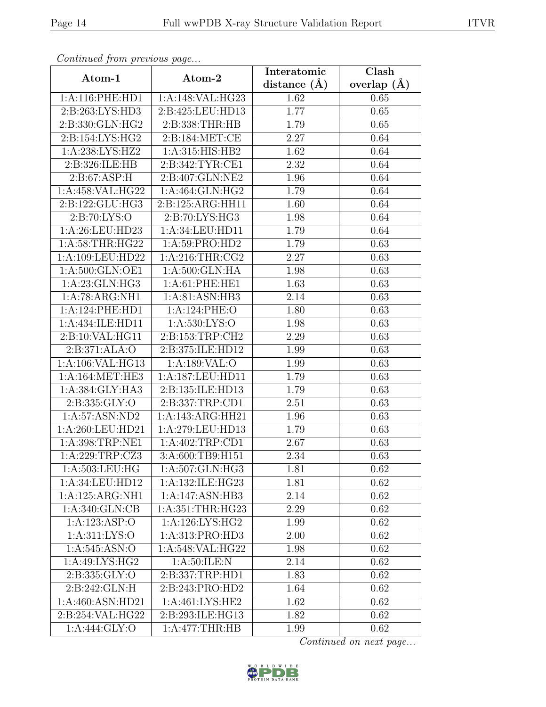| Continued from previous page |                              | Interatomic    | $\overline{\text{Clash}}$ |
|------------------------------|------------------------------|----------------|---------------------------|
| Atom-1                       | Atom-2                       | distance $(A)$ | overlap $(\AA)$           |
| 1:A:116:PHE:HD1              | 1:A:148:VAL:HG23             | 1.62           | 0.65                      |
| 2:B:263:LYS:HD3              | 2:B:425:LEU:HD13             | 1.77           | 0.65                      |
| 2:B:330:GLN:HG2              | 2:B:338:THR:HB               | 1.79           | 0.65                      |
| 2:B:154:LYS:HG2              | 2:B:184:MET:CE               | 2.27           | 0.64                      |
| 1:A:238:LYS:HZ2              | 1:A:315:HIS:HB2              | 1.62           | 0.64                      |
| 2:B:326:ILE:HB               | 2:B:342:TYR:CE1              | 2.32           | 0.64                      |
| 2: B:67: ASP:H               | 2:B:407:GLN:NE2              | 1.96           | 0.64                      |
| 1:A:458:VAL:HG22             | 1:A:464:GLN:HG2              | 1.79           | 0.64                      |
| 2:B:122:GLU:HG3              | 2:B:125:ARG:HH11             | 1.60           | 0.64                      |
| 2: B:70: LYS:O               | 2:B:70:LYS:HG3               | 1.98           | 0.64                      |
| 1:A:26:LEU:HD23              | 1:A:34:LEU:HD11              | 1.79           | 0.64                      |
| 1: A:58:THR:HG22             | 1:A:59:PRO:HD2               | 1.79           | 0.63                      |
| 1:A:109:LEU:HD22             | 1: A:216:THR:CG2             | 2.27           | 0.63                      |
| 1:A:500:GLN:OE1              | 1:A:500:GLN:HA               | 1.98           | 0.63                      |
| 1:A:23:GLN:HG3               | 1:A:61:PHE:HE1               | 1.63           | 0.63                      |
| 1:A:78:ARG:NH1               | 1: A:81: ASN:HB3             | 2.14           | 0.63                      |
| 1:A:124:PHE:HD1              | 1:A:124:PHE:O                | 1.80           | 0.63                      |
| 1:A:434:ILE:HD11             | 1:A:530:LYS:O                | 1.98           | 0.63                      |
| 2:B:10:VAL:HG11              | 2:B:153:TRP:CH2              | 2.29           | 0.63                      |
| 2:B:371:ALA:O                | 2:B:375:ILE:HD12             | 1.99           | 0.63                      |
| 1:A:106:VAL:HG13             | 1:A:189:VAL:O                | 1.99           | 0.63                      |
| 1: A:164:MET:HE3             | 1:A:187:LEU:HD11             | 1.79           | 0.63                      |
| 1:A:384:GLY:HA3              | 2:B:135:ILE:HD13             | 1.79           | 0.63                      |
| 2:B:335:GLY:O                | 2:B:337:TRP:CD1              | 2.51           | 0.63                      |
| 1: A:57: ASN:ND2             | 1:A:143:ARG:HH21             | 1.96           | 0.63                      |
| 1:A:260:LEU:HD21             | 1:A:279:LEU:HD13             | 1.79           | 0.63                      |
| 1:A:398:TRP:NE1              | 1:A:402:TRP:CD1              | 2.67           | 0.63                      |
| 1:A:229:TRP:CZ3              | 3:A:600:TB9:H151             | 2.34           | 0.63                      |
| 1:A:503:LEU:HG               | 1:A:507:GLN:HG3              | 1.81           | 0.62                      |
| 1:A:34:LEU:HD12              | 1:A:132:ILE:HG23             | 1.81           | 0.62                      |
| 1:A:125:ARG:NH1              | 1:A:147:ASN:HB3              | 2.14           | 0.62                      |
| 1:A:340:GLN:CB               | 1:A:351:THR:HG23             | 2.29           | 0.62                      |
| 1:A:123:ASP:O                | $1:A:126:LY\overline{S:HG2}$ | 1.99           | 0.62                      |
| 1: A: 311: LYS: O            | 1:A:313:PRO:HD3              | 2.00           | 0.62                      |
| 1:A:545:ASN:O                | 1:A:548:VAL:HG22             | 1.98           | 0.62                      |
| 1: A:49: LYS: HG2            | 1: A:50: ILE:N               | 2.14           | 0.62                      |
| 2:B:335:GLY:O                | 2:B:337:TRP:HD1              | 1.83           | 0.62                      |
| 2:B:242:GLN:H                | 2:B:243:PRO:HD2              | 1.64           | 0.62                      |
| 1:A:460:ASN:HD21             | 1: A:461: LYS: HE2           | 1.62           | 0.62                      |
| 2:B:254:VAL:HG22             | 2:B:293:ILE:HG13             | 1.82           | 0.62                      |
| 1:A:444:GLY:O                | 1:A:477:THR:HB               | 1.99           | 0.62                      |

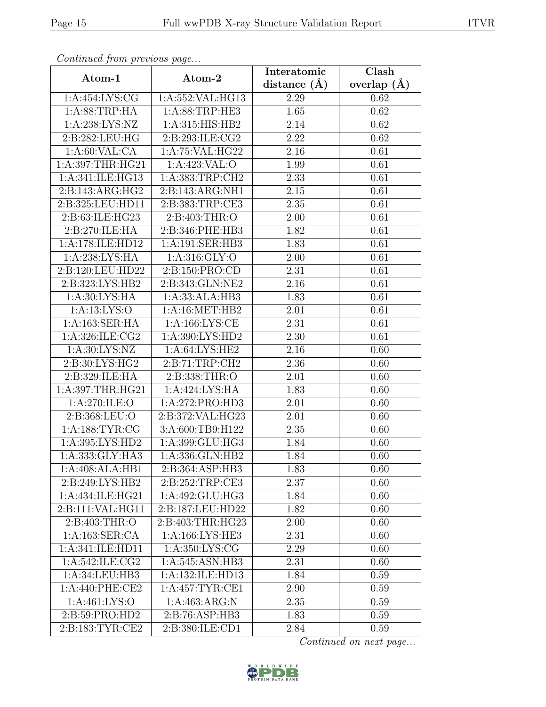| Continuea from previous page |                    | Interatomic      | $\overline{\text{Clash}}$ |
|------------------------------|--------------------|------------------|---------------------------|
| Atom-1                       | Atom-2             | distance $(\AA)$ | overlap $(\AA)$           |
| 1:A:454:LYS:CG               | 1:A:552:VAL:HG13   | 2.29             | 0.62                      |
| 1: A:88:TRP:HA               | 1:A:88:TRP:HE3     | 1.65             | 0.62                      |
| 1:A:238:LYS:NZ               | 1: A:315: HIS: HB2 | 2.14             | 0.62                      |
| 2:B:282:LEU:HG               | 2:B:293:ILE:CG2    | 2.22             | 0.62                      |
| 1: A:60: VAL:CA              | 1: A:75: VAL:HG22  | 2.16             | 0.61                      |
| 1: A:397:THR:HG21            | 1:A:423:VAL:O      | 1.99             | 0.61                      |
| 1:A:341:ILE:HG13             | 1:A:383:TRP:CH2    | 2.33             | 0.61                      |
| 2:B:143:ARG:HG2              | 2:B:143:ARG:NH1    | 2.15             | 0.61                      |
| 2:B:325:LEU:HD11             | 2:B:383:TRP:CE3    | 2.35             | 0.61                      |
| 2: B:63: ILE: HG23           | 2:B:403:THR:O      | 2.00             | 0.61                      |
| 2:B:270:ILE:HA               | 2:B:346:PHE:HB3    | 1.82             | 0.61                      |
| 1:A:178:ILE:HD12             | 1:A:191:SER:HB3    | 1.83             | 0.61                      |
| 1:A:238:LYS:HA               | 1: A:316: GLY:O    | 2.00             | 0.61                      |
| 2:B:120:LEU:HD22             | 2:B:150:PRO:CD     | 2.31             | 0.61                      |
| 2:B:323:LYS:HB2              | 2:B:343:GLN:NE2    | 2.16             | 0.61                      |
| 1: A:30: LYS: HA             | 1:A:33:ALA:HB3     | 1.83             | 0.61                      |
| 1: A: 13: LYS: O             | 1:A:16:MET:HB2     | 2.01             | 0.61                      |
| 1:A:163:SER:HA               | 1: A: 166: LYS: CE | 2.31             | 0.61                      |
| 1:A:326:ILE:CG2              | 1:A:390:LYS:HD2    | 2.30             | 0.61                      |
| 1: A:30: LYS: NZ             | 1: A:64: LYS: HE2  | 2.16             | 0.60                      |
| 2:B:30:LYS:HG2               | 2:B:71:TRP:CH2     | 2.36             | 0.60                      |
| 2:B:329:ILE:HA               | 2:B:338:THR:O      | 2.01             | 0.60                      |
| 1:A:397:THR:HG21             | 1:A:424:LYS:HA     | 1.83             | 0.60                      |
| 1: A:270: ILE: O             | 1:A:272:PRO:HD3    | 2.01             | 0.60                      |
| 2:B:368:LEU:O                | 2:B:372:VAL:HG23   | 2.01             | 0.60                      |
| 1: A: 188: TYR: CG           | 3:A:600:TB9:H122   | 2.35             | 0.60                      |
| 1:A:395:LYS:HD2              | 1:A:399:GLU:HG3    | 1.84             | 0.60                      |
| 1:A:333:GLY:HA3              | 1:A:336:GLN:HB2    | 1.84             | 0.60                      |
| 1:A:408:ALA:HB1              | 2:B:364:ASP:HB3    | 1.83             | 0.60                      |
| 2:B:249:LYS:HB2              | 2:B:252:TRP:CE3    | 2.37             | 0.60                      |
| 1:A:434:ILE:HG21             | 1:A:492:GLU:HG3    | 1.84             | 0.60                      |
| 2:B:111:VAL:HG11             | 2:B:187:LEU:HD22   | 1.82             | 0.60                      |
| 2: B:403: THR:O              | 2:B:403:THR:HG23   | 2.00             | 0.60                      |
| 1:A:163:SER:CA               | 1:A:166:LYS:HE3    | 2.31             | 0.60                      |
| 1:A:341:ILE:HD11             | 1: A:350: LYS: CG  | 2.29             | 0.60                      |
| 1:A:542:ILE:CG2              | 1:A:545:ASN:HB3    | 2.31             | 0.60                      |
| 1:A:34:LEU:HB3               | 1:A:132:ILE:HD13   | 1.84             | 0.59                      |
| 1:A:440:PHE:CE2              | 1:A:457:TYR:CE1    | 2.90             | 0.59                      |
| 1:A:461:LYS:O                | 1: A:463: ARG: N   | 2.35             | 0.59                      |
| 2:B:59:PRO:HD2               | 2:B:76:ASP:HB3     | 1.83             | 0.59                      |
| 2:B:183:TYR:CE2              | 2:B:380:ILE:CD1    | 2.84             | 0.59                      |

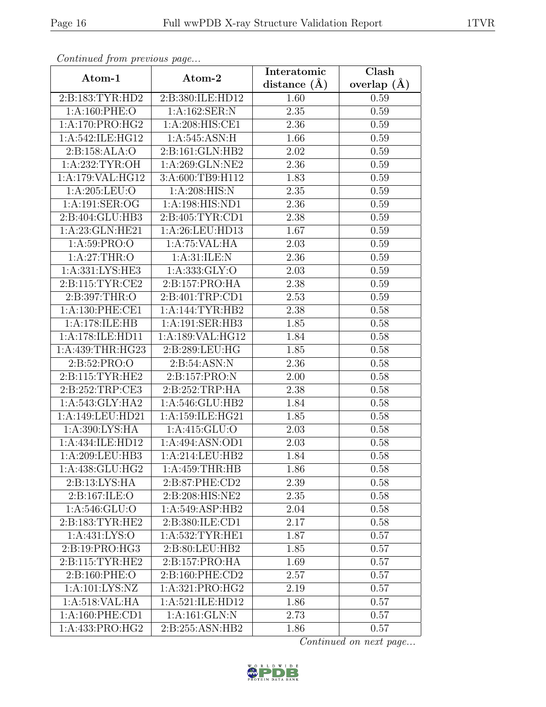| Communica from previous page |                   | Interatomic    | Clash         |
|------------------------------|-------------------|----------------|---------------|
| Atom-1                       | Atom-2            | distance $(A)$ | overlap $(A)$ |
| 2:B:183:TYR:HD2              | 2:B:380:ILE:HD12  | 1.60           | 0.59          |
| 1: A:160: PHE:O              | 1:A:162:SER:N     | 2.35           | 0.59          |
| 1: A:170: PRO:HG2            | 1:A:208:HIS:CE1   | 2.36           | 0.59          |
| 1:A:542:ILE:HG12             | 1:A:545:ASN:H     | 1.66           | 0.59          |
| 2:B:158:ALA:O                | 2:B:161:GLN:HB2   | 2.02           | 0.59          |
| 1: A:232:TYR:OH              | 1:A:269:GLN:NE2   | 2.36           | 0.59          |
| 1:A:179:VAL:HG12             | 3:A:600:TB9:H112  | 1.83           | 0.59          |
| 1:A:205:LEU:O                | 1:A:208:HIS:N     | 2.35           | 0.59          |
| 1:A:191:SER:OG               | 1:A:198:HIS:ND1   | 2.36           | 0.59          |
| 2:B:404:GLU:HB3              | 2: B:405: TYR:CD1 | 2.38           | 0.59          |
| 1:A:23:GLN:HE21              | 1:A:26:LEU:HD13   | 1.67           | 0.59          |
| 1:A:59:PRO:O                 | 1:A:75:VAL:HA     | 2.03           | 0.59          |
| 1: A:27:THR:O                | 1: A:31: ILE:N    | 2.36           | 0.59          |
| 1: A: 331: LYS: HE3          | 1:A:333:GLY:O     | 2.03           | 0.59          |
| 2:B:115:TYR:CE2              | 2:B:157:PRO:HA    | 2.38           | 0.59          |
| 2:B:397:THR:O                | 2:B:401:TRP:CD1   | 2.53           | 0.59          |
| 1: A:130: PHE:CE1            | 1:A:144:TYR:HB2   | 2.38           | 0.58          |
| 1:A:178:ILE:HB               | 1:A:191:SER:HB3   | 1.85           | 0.58          |
| 1:A:178:ILE:HD11             | 1:A:189:VAL:HG12  | 1.84           | 0.58          |
| 1:A:439:THR:HG23             | 2:B:289:LEU:HG    | 1.85           | 0.58          |
| 2:B:52:PRO:O                 | 2:B:54:ASN:N      | 2.36           | 0.58          |
| 2:B:115:TYR:HE2              | 2:B:157:PRO:N     | 2.00           | 0.58          |
| 2:B:252:TRP:CE3              | 2:B:252:TRP:HA    | 2.38           | 0.58          |
| 1: A:543: GLY:HA2            | 1:A:546:GLU:HB2   | 1.84           | 0.58          |
| 1:A:149:LEU:HD21             | 1:A:159:ILE:HG21  | 1.85           | 0.58          |
| 1: A:390: LYS: HA            | 1: A: 415: GLU: O | 2.03           | 0.58          |
| 1:A:434:ILE:HD12             | 1:A:494:ASN:OD1   | 2.03           | 0.58          |
| 1: A:209:LEU:HB3             | 1:A:214:LEU:HB2   | 1.84           | 0.58          |
| 1:A:438:GLU:HG2              | 1:A:459:THR:HB    | 1.86           | 0.58          |
| $2:B:13:LYS:\overline{HA}$   | 2:B:87:PHE:CD2    | 2.39           | 0.58          |
| 2: B: 167: ILE: O            | 2:B:208:HIS:NE2   | 2.35           | 0.58          |
| 1:A:546:GLU:O                | 1: A:549: ASP:HB2 | 2.04           | 0.58          |
| 2:B:183:TYR:HE2              | 2:B:380:ILE:CD1   | 2.17           | 0.58          |
| 1:A:431:LYS:O                | 1:A:532:TYR:HE1   | 1.87           | 0.57          |
| 2:B:19:PRO:HG3               | 2:B:80:LEU:HB2    | 1.85           | 0.57          |
| 2: B: 115: TYR: HE2          | 2:B:157:PRO:HA    | 1.69           | 0.57          |
| 2:B:160:PHE:O                | 2: B:160: PHE:CD2 | 2.57           | 0.57          |
| 1:A:101:LYS:NZ               | 1:A:321:PRO:HG2   | 2.19           | 0.57          |
| 1:A:518:VAL:HA               | 1:A:521:ILE:HD12  | 1.86           | 0.57          |
| 1:A:160:PHE:CD1              | 1:A:161:GLN:N     | 2.73           | 0.57          |
| 1:A:433:PRO:HG2              | 2:B:255:ASN:HB2   | 1.86           | 0.57          |

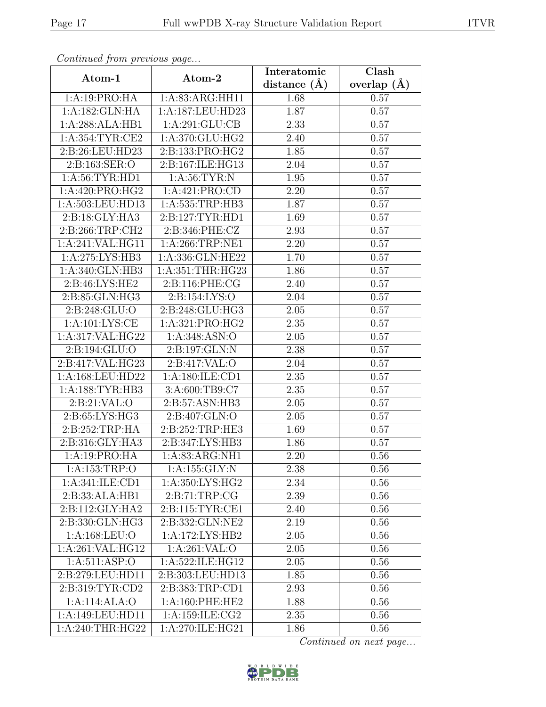| Continua from previous page |                     | Interatomic      | Clash           |
|-----------------------------|---------------------|------------------|-----------------|
| Atom-1                      | Atom-2              | distance $(\AA)$ | overlap $(\AA)$ |
| 1:A:19:PRO:HA               | 1:A:83:ARG:HH11     | 1.68             | 0.57            |
| 1:A:182:GLN:HA              | 1:A:187:LEU:HD23    | 1.87             | 0.57            |
| 1:A:288:ALA:HB1             | 1: A:291: GLU:CB    | 2.33             | 0.57            |
| 1: A: 354: TYR: CE2         | 1:A:370:GLU:HG2     | 2.40             | 0.57            |
| 2:B:26:LEU:HD23             | 2:B:133:PRO:HG2     | 1.85             | 0.57            |
| 2:B:163:SER:O               | 2:B:167:ILE:HG13    | 2.04             | 0.57            |
| 1:A:56:TYR:HD1              | 1: A:56: TYR: N     | 1.95             | 0.57            |
| 1:A:420:PRO:HG2             | 1:A:421:PRO:CD      | 2.20             | 0.57            |
| 1:A:503:LEU:HD13            | 1:A:535:TRP:HB3     | 1.87             | 0.57            |
| 2:B:18:GLY:HA3              | 2:B:127:TYR:HD1     | 1.69             | 0.57            |
| 2:B:266:TRP:CH2             | 2:B:346:PHE:CZ      | 2.93             | 0.57            |
| 1:A:241:VAL:HG11            | 1:A:266:TRP:NE1     | 2.20             | 0.57            |
| 1: A:275: LYS: HB3          | 1:A:336:GLN:HE22    | 1.70             | 0.57            |
| 1:A:340:GLN:HB3             | 1:A:351:THR:HG23    | 1.86             | 0.57            |
| 2:B:46:LYS:HE2              | 2:B:116:PHE:CG      | 2.40             | 0.57            |
| 2:B:85:GLN:HG3              | 2:B:154:LYS:O       | 2.04             | 0.57            |
| 2:B:248:GLU:O               | 2:B:248:GLU:HG3     | 2.05             | 0.57            |
| 1: A: 101: LYS: CE          | 1:A:321:PRO:HG2     | 2.35             | 0.57            |
| 1:A:317:VAL:HG22            | 1:A:348:ASN:O       | 2.05             | 0.57            |
| 2: B: 194: GLU: O           | 2:B:197:GLN:N       | 2.38             | 0.57            |
| 2:B:417:VAL:HG23            | 2:B:417:VAL:O       | 2.04             | 0.57            |
| 1:A:168:LEU:HD22            | 1: A: 180: ILE: CD1 | 2.35             | 0.57            |
| 1: A: 188: TYR: HB3         | 3:A:600:TB9:C7      | 2.35             | 0.57            |
| 2:Bi:21:VAL:O               | 2:B:57:ASN:HB3      | 2.05             | 0.57            |
| 2:B:65:LYS:HG3              | 2:B:407:GLN:O       | 2.05             | 0.57            |
| 2:B:252:TRP:HA              | 2:B:252:TRP:HE3     | 1.69             | 0.57            |
| 2:B:316:GLY:HA3             | 2:B:347:LYS:HB3     | 1.86             | 0.57            |
| 1:A:19:PRO:HA               | 1: A:83: ARG: NH1   | 2.20             | 0.56            |
| 1:A:153:TRP:O               | 1:A:155:GLY:N       | 2.38             | 0.56            |
| 1: A:341: ILE: CD1          | 1:A:350:LYS:HG2     | 2.34             | 0.56            |
| 2:B:33:ALA:HB1              | 2: B: 71: TRP: CG   | 2.39             | 0.56            |
| 2:B:112:GLY:HA2             | 2:B:115:TYR:CE1     | 2.40             | 0.56            |
| 2:B:330:GLN:HG3             | 2:B:332:GLN:NE2     | 2.19             | 0.56            |
| 1:A:168:LEU:O               | 1:A:172:LYS:HB2     | 2.05             | 0.56            |
| 1:A:261:VAL:HG12            | 1:A:261:VAL:O       | 2.05             | 0.56            |
| 1: A:511: ASP:O             | 1:A:522:ILE:HG12    | 2.05             | 0.56            |
| 2:B:279:LEU:HD11            | 2:B:303:LEU:HD13    | 1.85             | 0.56            |
| 2:B:319:TYR:CD2             | 2:B:383:TRP:CD1     | 2.93             | 0.56            |
| 1:A:114:ALA:O               | 1: A:160: PHE:HE2   | 1.88             | 0.56            |
| 1:A:149:LEU:HD11            | 1:A:159:ILE:CG2     | 2.35             | 0.56            |
| 1:A:240:THR:HG22            | 1:A:270:ILE:HG21    | 1.86             | 0.56            |

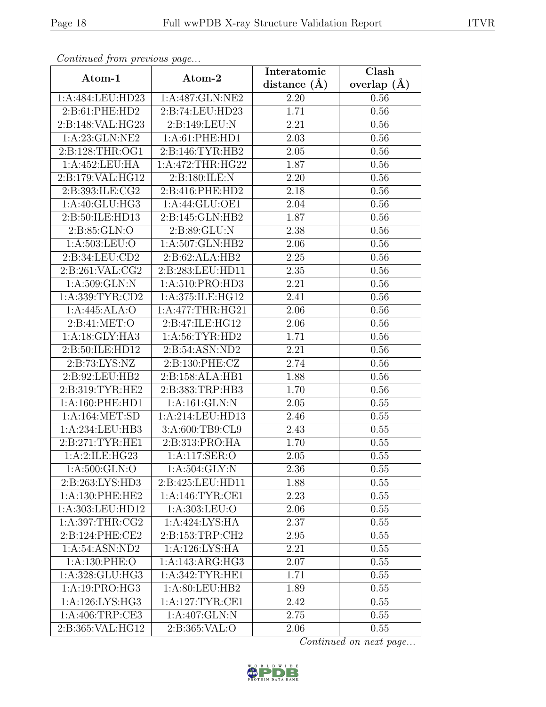| Continuea from previous page |                   | Interatomic    | Clash           |
|------------------------------|-------------------|----------------|-----------------|
| Atom-1                       | Atom-2            | distance $(A)$ | overlap $(\AA)$ |
| 1:A:484:LEU:HD23             | 1:A:487:GLN:NE2   | 2.20           | 0.56            |
| 2:B:61:PHE:HD2               | 2:B:74:LEU:HD23   | 1.71           | 0.56            |
| 2:B:148:VAL:HG23             | 2:B:149:LEU:N     | 2.21           | 0.56            |
| 1:A:23:GLN:NE2               | 1:A:61:PHE:HD1    | 2.03           | 0.56            |
| 2:B:128:THR:OG1              | 2:B:146:TYR:HB2   | 2.05           | 0.56            |
| 1:A:452:LEU:HA               | 1:A:472:THR:HG22  | 1.87           | 0.56            |
| 2:B:179:VAL:HG12             | 2:B:180:ILE:N     | 2.20           | 0.56            |
| 2:B:393:ILE:CG2              | 2:B:416:PHE:HD2   | 2.18           | 0.56            |
| 1: A:40: GLU: HG3            | 1:A:44:GLU:OE1    | 2.04           | 0.56            |
| 2:B:50:ILE:HD13              | 2:B:145:GLN:HB2   | 1.87           | 0.56            |
| 2:B:85:GLN:O                 | 2:B:89:GLU:N      | 2.38           | 0.56            |
| 1:A:503:LEU:O                | 1:A:507:GLN:HB2   | 2.06           | 0.56            |
| 2:B:34:LEU:CD2               | 2:B:62:ALA:HB2    | 2.25           | 0.56            |
| 2:B:261:VAL:CG2              | 2:B:283:LEU:HD11  | 2.35           | 0.56            |
| 1:A:509:GLN:N                | 1:A:510:PRO:HD3   | 2.21           | 0.56            |
| 1:A:339:TYR:CD2              | 1:A:375:ILE:HG12  | 2.41           | 0.56            |
| 1:A:445:ALA:O                | 1: A:477:THR:HG21 | 2.06           | 0.56            |
| 2:B:41:MET:O                 | 2:B:47:ILE:HG12   | 2.06           | 0.56            |
| 1: A:18: GLY: HA3            | 1: A:56: TYR: HD2 | 1.71           | 0.56            |
| 2:B:50:ILE:HD12              | 2:B:54:ASN:ND2    | 2.21           | 0.56            |
| 2:B:73:LYS:NZ                | 2:B:130:PHE:CZ    | 2.74           | 0.56            |
| 2:B:92:LEU:HB2               | 2:B:158:ALA:HB1   | 1.88           | 0.56            |
| 2:B:319:TYR:HE2              | 2:B:383:TRP:HB3   | 1.70           | 0.56            |
| 1: A:160: PHE: HD1           | 1:A:161:GLN:N     | 2.05           | 0.55            |
| 1: A:164: MET:SD             | 1:A:214:LEU:HD13  | 2.46           | 0.55            |
| 1:A:234:LEU:HB3              | 3:A:600:TB9:CL9   | 2.43           | 0.55            |
| 2: B:271: TYR: HE1           | 2:B:313:PRO:HA    | 1.70           | 0.55            |
| 1:A:2:ILE:HG23               | 1:A:117:SER:O     | 2.05           | 0.55            |
| 1:A:500:GLN:O                | 1: A:504: GLY:N   | 2.36           | 0.55            |
| 2: B: 263: LYS: HD3          | 2:B:425:LEU:HD11  | 1.88           | 0.55            |
| 1: A:130: PHE:HE2            | 1:A:146:TYR:CE1   | 2.23           | 0.55            |
| 1:A:303:LEU:HD12             | 1:A:303:LEU:O     | 2.06           | 0.55            |
| 1:A:397:THR:CG2              | 1: A:424: LYS: HA | 2.37           | 0.55            |
| 2:B:124:PHE:CE2              | 2:B:153:TRP:CH2   | 2.95           | 0.55            |
| 1:A:54:ASN:ND2               | 1:A:126:LYS:HA    | 2.21           | 0.55            |
| 1:A:130:PHE:O                | 1:A:143:ARG:HG3   | 2.07           | 0.55            |
| 1:A:328:GLU:HG3              | 1: A:342:TYR:HE1  | 1.71           | 0.55            |
| 1:A:19:PRO:HG3               | 1:A:80:LEU:HB2    | 1.89           | 0.55            |
| 1: A:126: LYS: HG3           | 1: A:127:TYR:CE1  | 2.42           | 0.55            |
| 1:A:406:TRP:CE3              | 1:A:407:GLN:N     | 2.75           | 0.55            |
| 2:B:365:VAL:HG12             | 2:B:365:VAL:O     | 2.06           | 0.55            |

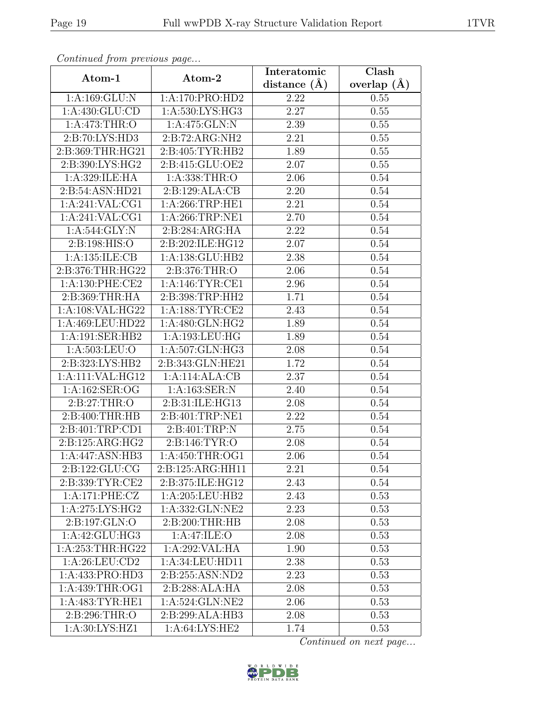| Continuea from previous page |                               | Interatomic       | Clash           |
|------------------------------|-------------------------------|-------------------|-----------------|
| Atom-1                       | Atom-2                        | distance $(A)$    | overlap $(\AA)$ |
| 1:A:169:GLU:N                | 1:A:170:PRO:HD2               | 2.22              | 0.55            |
| 1: A: 430: GLU: CD           | 1:A:530:LYS:HG3               | 2.27              | 0.55            |
| 1: A:473:THR:O               | 1:A:475:GLN:N                 | 2.39              | 0.55            |
| 2:B:70:LYS:HD3               | 2:B:72:ARG:NH2                | 2.21              | 0.55            |
| 2:B:369:THR:HG21             | 2:B:405:TYR:HB2               | 1.89              | 0.55            |
| 2:B:390:LYS:HG2              | 2:B:415:GLU:OE2               | 2.07              | 0.55            |
| 1:A:329:ILE:HA               | 1:A:338:THR:O                 | 2.06              | 0.54            |
| 2:B:54:ASN:HD21              | 2:B:129:ALA:CB                | 2.20              | 0.54            |
| 1:A:241:VAL:CG1              | 1: A:266:TRP:HE1              | $\overline{2}.21$ | 0.54            |
| 1:A:241:VAL:CG1              | $1:$ A:266:TRP:NE1            | 2.70              | 0.54            |
| 1: A:544: GLY:N              | 2:B:284:ARG:HA                | 2.22              | 0.54            |
| 2:B:198:HIS:O                | 2:B:202:ILE:HG12              | 2.07              | 0.54            |
| 1: A: 135: ILE: CB           | 1:A:138:GLU:HB2               | 2.38              | 0.54            |
| 2:B:376:THR:HG22             | 2:B:376:THR:O                 | 2.06              | 0.54            |
| 1: A:130: PHE:CE2            | 1:A:146:TYR:CE1               | 2.96              | 0.54            |
| 2:B:369:THR:HA               | 2:B:398:TRP:HH2               | 1.71              | 0.54            |
| 1:A:108:VAL:HG22             | 1:A:188:TYR:CE2               | 2.43              | 0.54            |
| 1:A:469:LEU:HD22             | 1:A:480:GLN:HG2               | 1.89              | 0.54            |
| 1:A:191:SER:HB2              | 1:A:193:LEU:HG                | 1.89              | 0.54            |
| 1:A:503:LEU:O                | 1:A:507:GLN:HG3               | 2.08              | 0.54            |
| 2:B:323:LYS:HB2              | 2:B:343:GLN:HE21              | 1.72              | 0.54            |
| 1:A:111:VAL:HG12             | 1:A:114:ALA:CB                | 2.37              | 0.54            |
| 1:A:162:SER:OG               | 1:A:163:SER:N                 | 2.40              | 0.54            |
| 2: B:27:THR:O                | 2:B:31:ILE:HG13               | 2.08              | 0.54            |
| 2:B:400:THR:HB               | 2:B:401:TRP:NE1               | 2.22              | 0.54            |
| 2: B:401:TRP:CD1             | 2:B:401:TRP:N                 | 2.75              | 0.54            |
| 2:B:125:ARG:HG2              | 2: B: 146: TYR: O             | 2.08              | 0.54            |
| 1:A:447:ASN:HB3              | 1:A:450:THR:OG1               | 2.06              | 0.54            |
| 2:B:122:GLU:CG               | 2:B:125:ARG:HH11              | 2.21              | 0.54            |
| 2:B:339:TYR:CE2              | 2:B:375:ILE:HG12              | 2.43              | 0.54            |
| 1:A:171:PHE:CZ               | 1: A:205:LEU:HB2              | 2.43              | 0.53            |
| 1: A:275: LYS: HG2           | 1:A:332:GLN:NE2               | 2.23              | 0.53            |
| 2:B:197:GLN:O                | 2: B:200:THR:HB               | 2.08              | 0.53            |
| 1:A:42:GLU:HG3               | 1:A:47:ILE:O                  | 2.08              | 0.53            |
| 1: A:253:THR:HG22            | 1:A:292:VAL:HA                | 1.90              | 0.53            |
| 1:A:26:LEU:CD2               | 1:A:34:LEU:HD11               | 2.38              | 0.53            |
| 1:A:433:PRO:HD3              | 2:B:255:ASN:ND2               | 2.23              | 0.53            |
| 1:A:439:THR:OG1              | 2:B:288:ALA:HA                | 2.08              | 0.53            |
| 1: A:483: TYR: HE1           | 1:A:524:GLN:NE2               | 2.06              | 0.53            |
| 2:B:296:THR:O                | 2:B:299:ALA:HB3               | 2.08              | 0.53            |
| 1:A:30:LYS:HZ1               | 1: A:64: L <sub>YS</sub> :HE2 | 1.74              | 0.53            |

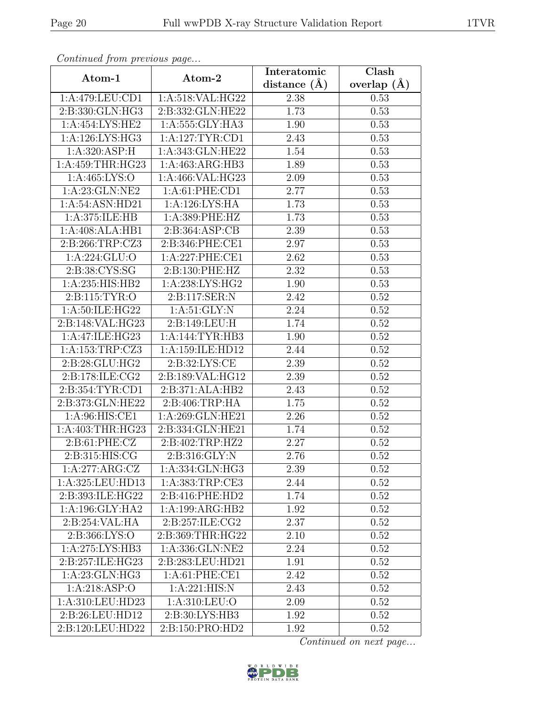| Continued from previous page |                     | Interatomic      | Clash         |
|------------------------------|---------------------|------------------|---------------|
| Atom-1                       | Atom-2              | distance $(\AA)$ | overlap $(A)$ |
| 1:A:479:LEU:CD1              | 1:A:518:VAL:HG22    | 2.38             | 0.53          |
| 2:B:330:GLN:HG3              | 2:B:332:GLN:HE22    | 1.73             | 0.53          |
| 1:A:454:LYS:HE2              | 1: A: 555: GLY: HA3 | 1.90             | 0.53          |
| 1:A:126:LYS:HG3              | 1:A:127:TYR:CD1     | 2.43             | 0.53          |
| 1: A:320: ASP:H              | 1:A:343:GLN:HE22    | 1.54             | 0.53          |
| 1:A:459:THR:HG23             | 1:A:463:ARG:HB3     | 1.89             | 0.53          |
| 1: A: 465: LYS: O            | 1:A:466:VAL:HG23    | 2.09             | 0.53          |
| 1:A:23:GLN:NE2               | 1: A:61: PHE:CD1    | 2.77             | 0.53          |
| 1:A:54:ASN:HD21              | 1:A:126:LYS:HA      | 1.73             | 0.53          |
| 1: A:375: ILE: HB            | 1:A:389:PHE:HZ      | 1.73             | 0.53          |
| 1:A:408:ALA:HB1              | 2:B:364:ASP:CB      | 2.39             | 0.53          |
| 2: B:266:TRP: CZ3            | 2:B:346:PHE:CE1     | 2.97             | 0.53          |
| 1: A:224: GLU:O              | 1:A:227:PHE:CE1     | 2.62             | 0.53          |
| 2:B:38:CYS:SG                | 2:B:130:PHE:HZ      | 2.32             | 0.53          |
| 1:A:235:HIS:HB2              | 1:A:238:LYS:HG2     | 1.90             | 0.53          |
| 2: B: 115: TYR: O            | 2:B:117:SER:N       | 2.42             | 0.52          |
| 1:A:50:ILE:HG22              | 1: A:51: GLY:N      | 2.24             | 0.52          |
| 2:B:148:VAL:HG23             | 2:B:149:LEU:H       | 1.74             | 0.52          |
| 1:A:47:ILE:HG23              | 1:A:144:TYR:HB3     | 1.90             | 0.52          |
| 1:A:153:TRP:CZ3              | 1:A:159:ILE:HD12    | 2.44             | 0.52          |
| 2:B:28:GLU:HG2               | 2: B:32: LYS: CE    | 2.39             | 0.52          |
| 2:B:178:ILE:CG2              | 2:B:189:VAL:HG12    | 2.39             | 0.52          |
| 2:B:354:TYR:CD1              | 2:B:371:ALA:HB2     | 2.43             | 0.52          |
| 2:B:373:GLN:HE22             | 2:B:406:TRP:HA      | 1.75             | 0.52          |
| 1:A:96:HIS:CE1               | 1:A:269:GLN:HE21    | 2.26             | 0.52          |
| 1:A:403:THR:HG23             | 2:B:334:GLN:HE21    | 1.74             | 0.52          |
| 2: B: 61: PHE: CZ            | 2:B:402:TRP:HZ2     | 2.27             | 0.52          |
| 2: B:315: HIS: CG            | 2:B:316:GLY:N       | 2.76             | 0.52          |
| 1:A:277:ARG:CZ               | 1:A:334:GLN:HG3     | 2.39             | 0.52          |
| 1:A:325:LEU:HD13             | 1:A:383:TRP:CE3     | 2.44             | 0.52          |
| 2:B:393:ILE:HG22             | 2:B:416:PHE:HD2     | 1.74             | 0.52          |
| 1:A:196:GLY:HA2              | 1:A:199:ARG:HB2     | 1.92             | 0.52          |
| 2:B:254:VAL:HA               | 2:B:257:ILE:CG2     | 2.37             | 0.52          |
| 2:B:366:LYS:O                | 2:B:369:THR:HG22    | 2.10             | 0.52          |
| 1:A:275:LYS:HB3              | 1:A:336:GLN:NE2     | 2.24             | 0.52          |
| 2:B:257:ILE:HG23             | 2:B:283:LEU:HD21    | 1.91             | 0.52          |
| 1: A:23: GLN: HG3            | 1: A:61: PHE:CE1    | 2.42             | 0.52          |
| 1: A:218: ASP:O              | 1:A:221:HIS:N       | 2.43             | 0.52          |
| 1:A:310:LEU:HD23             | 1: A:310: LEU:O     | 2.09             | 0.52          |
| 2:B:26:LEU:HD12              | 2:B:30:LYS:HB3      | 1.92             | 0.52          |
| 2:B:120:LEU:HD22             | 2:B:150:PRO:HD2     | 1.92             | 0.52          |

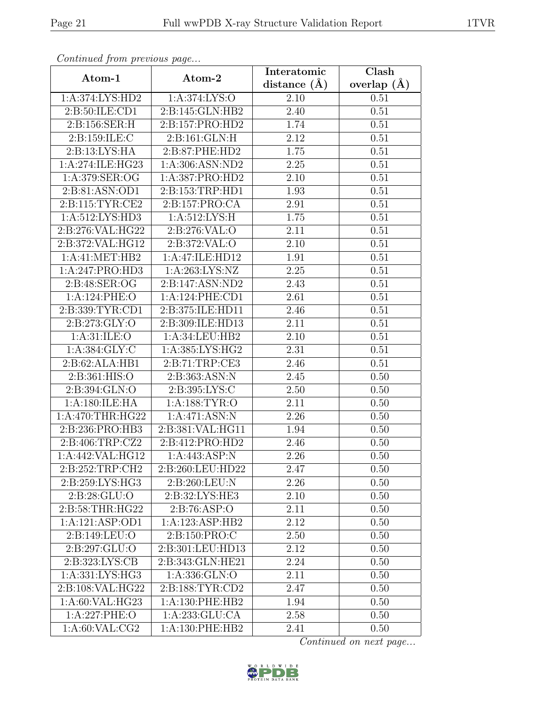| Continuation procession pugo |                             | Interatomic      | Clash           |
|------------------------------|-----------------------------|------------------|-----------------|
| Atom-1                       | Atom-2                      | distance $(\AA)$ | overlap $(\AA)$ |
| 1:A:374:LYS:HD2              | 1:A:374:LYS:O               | 2.10             | 0.51            |
| 2:B:50:ILE:CD1               | 2:B:145:GLN:HB2             | 2.40             | 0.51            |
| 2:B:156:SER:H                | 2:B:157:PRO:HD2             | 1.74             | 0.51            |
| 2:B:159:ILE:C                | 2:B:161:GLN:H               | 2.12             | 0.51            |
| 2:B:13:LYS:HA                | 2:B:87:PHE:HD2              | 1.75             | 0.51            |
| 1:A:274:ILE:HG23             | 1: A:306: ASN:ND2           | 2.25             | 0.51            |
| 1:A:379:SER:OG               | 1:A:387:PRO:HD2             | 2.10             | 0.51            |
| 2:B:81:ASN:OD1               | 2:B:153:TRP:HD1             | 1.93             | 0.51            |
| 2: B: 115: TYR: CE2          | 2:B:157:PRO:CA              | 2.91             | 0.51            |
| 1: A:512: LYS: HD3           | 1: A:512:LYS:H              | 1.75             | 0.51            |
| 2:B:276:VAL:HG22             | 2:B:276:VAL:O               | 2.11             | 0.51            |
| 2:B:372:VAL:HG12             | 2:B:372:VAL:O               | 2.10             | 0.51            |
| 1: A: 41: MET: HB2           | 1:A:47:ILE:HD12             | 1.91             | 0.51            |
| 1:A:247:PRO:HD3              | $1:A:\overline{263:LYS:NZ}$ | 2.25             | 0.51            |
| 2:B:48:SER:OG                | 2:B:147:ASN:ND2             | 2.43             | 0.51            |
| 1:A:124:PHE:O                | 1:A:124:PHE:CD1             | 2.61             | 0.51            |
| 2:B:339:TYR:CD1              | 2:B:375:ILE:HD11            | 2.46             | 0.51            |
| 2:B:273:GLY:O                | 2:B:309:ILE:HD13            | 2.11             | 0.51            |
| 1: A:31: ILE: O              | 1:A:34:LEU:HB2              | 2.10             | 0.51            |
| 1: A: 384: GLY: C            | 1:A:385:LYS:HG2             | 2.31             | 0.51            |
| 2:B:62:ALA:HB1               | 2:B:71:TRP:CE3              | 2.46             | 0.51            |
| 2:B:361:HIS:O                | 2:B:363:ASN:N               | 2.45             | 0.50            |
| 2:B:394:GLN:O                | 2:B:395:LYS:C               | 2.50             | 0.50            |
| 1:A:180:ILE:HA               | 1: A: 188: TYR: O           | 2.11             | 0.50            |
| 1: A:470:THR:HG22            | 1:A:471:ASN:N               | 2.26             | 0.50            |
| 2:B:236:PRO:HB3              | 2:B:381:VAL:HG11            | 1.94             | 0.50            |
| 2:B:406:TRP:CZ2              | 2:B:412:PRO:HD2             | 2.46             | 0.50            |
| 1:A:442:VAL:HG12             | 1:A:443:ASP:N               | 2.26             | 0.50            |
| 2:B:252:TRP:CH2              | 2:B:260:LEU:HD22            | 2.47             | 0.50            |
| 2:B:259:LYS:HG3              | 2:B:260:LEU:N               | 2.26             | 0.50            |
| 2: B:28: GLU:O               | 2:B:32:LYS:HE3              | 2.10             | 0.50            |
| 2:B:58:THR:HG22              | 2:B:76:ASP:O                | 2.11             | 0.50            |
| 1:A:121:ASP:OD1              | 1:A:123:ASP:HB2             | 2.12             | 0.50            |
| 2:B:149:LEU:O                | 2:B:150:PRO:C               | 2.50             | 0.50            |
| 2:B:297:GLU:O                | 2:B:301:LEU:HD13            | 2.12             | 0.50            |
| 2:B:323:LYS:CB               | 2:B:343:GLN:HE21            | 2.24             | 0.50            |
| 1:A:331:LYS:HG3              | 1:A:336:GLN:O               | 2.11             | 0.50            |
| 2:B:108:VAL:HG22             | 2:B:188:TYR:CD2             | 2.47             | 0.50            |
| 1: A:60: VAL: HG23           | 1: A: 130: PHE: HB2         | 1.94             | 0.50            |
| 1:A:227:PHE:O                | 1:A:233:GLU:CA              | 2.58             | 0.50            |
| 1: A:60: VAL: CG2            | 1:A:130:PHE:HB2             | 2.41             | 0.50            |

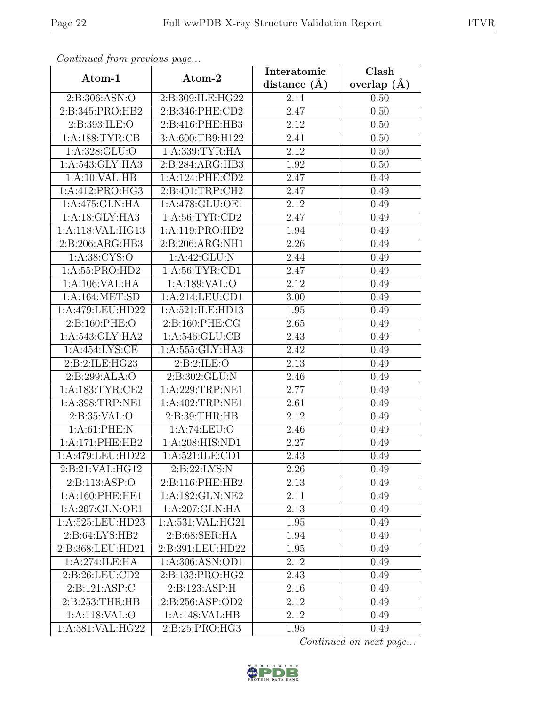| Continuea from previous page |                   | Interatomic       | Clash           |
|------------------------------|-------------------|-------------------|-----------------|
| Atom-1                       | Atom-2            | distance $(A)$    | overlap $(\AA)$ |
| 2:B:306:ASN:O                | 2:B:309:ILE:HG22  | 2.11              | 0.50            |
| 2:B:345:PRO:HB2              | 2:B:346:PHE:CD2   | 2.47              | 0.50            |
| 2:B:393:ILE:O                | 2:B:416:PHE:HB3   | 2.12              | 0.50            |
| 1: A: 188: TYR: CB           | 3:A:600:TB9:H122  | 2.41              | 0.50            |
| 1:A:328:GLU:O                | 1:A:339:TYR:HA    | 2.12              | 0.50            |
| 1:A:543:GLY:HA3              | 2:B:284:ARG:HB3   | 1.92              | 0.50            |
| 1:A:10:VAL:HB                | 1:A:124:PHE:CD2   | 2.47              | 0.49            |
| 1:A:412:PRO:HG3              | 2:B:401:TRP:CH2   | 2.47              | 0.49            |
| 1:A:475:GLN:HA               | 1:A:478:GLU:OE1   | 2.12              | 0.49            |
| 1:A:18:GLY:HA3               | 1: A:56:TYR:CD2   | 2.47              | 0.49            |
| 1:A:118:VAL:HG13             | 1:A:119:PRO:HD2   | 1.94              | 0.49            |
| 2:B:206:ARG:HB3              | 2:B:206:ARG:NH1   | 2.26              | 0.49            |
| 1:A:38:CYS:O                 | 1:A:42:GLU:N      | 2.44              | 0.49            |
| 1:A:55:PRO:HD2               | 1: A:56: TYR:CD1  | 2.47              | 0.49            |
| 1:A:106:VAL:HA               | 1:A:189:VAL:O     | 2.12              | 0.49            |
| 1:A:164:MET:SD               | 1:A:214:LEU:CD1   | $3.00\,$          | 0.49            |
| 1:A:479:LEU:HD22             | 1:A:521:ILE:HD13  | 1.95              | 0.49            |
| 2: B: 160: PHE: O            | 2:B:160:PHE:CG    | 2.65              | 0.49            |
| 1: A:543: GLY: HA2           | 1: A:546: GLU:CB  | 2.43              | 0.49            |
| 1:A:454:LYS:CE               | 1:A:555:GLY:HA3   | 2.42              | 0.49            |
| 2:B:2:ILE:HG23               | 2:BTB:2:ILE:O     | 2.13              | 0.49            |
| 2:B:299:ALA:O                | 2:B:302:GLU:N     | 2.46              | 0.49            |
| 1: A: 183: TYR: CE2          | 1:A:229:TRP:NE1   | 2.77              | 0.49            |
| 1:A:398:TRP:NE1              | 1:A:402:TRP:NE1   | $\overline{2.61}$ | 0.49            |
| 2: B:35: VAL:O               | 2:B:39:THR:HB     | 2.12              | 0.49            |
| 1: A:61:PHE:N                | 1:A:74:LEU:O      | $\overline{2}.46$ | 0.49            |
| 1:A:171:PHE:HB2              | 1:A:208:HIS:ND1   | 2.27              | 0.49            |
| 1:A:479:LEU:HD22             | 1:A:521:ILE:CD1   | 2.43              | 0.49            |
| 2:B:21:VAL:HG12              | 2:B:22:LYS:N      | 2.26              | 0.49            |
| 2: B: 113: ASP: O            | 2:B:116:PHE:HB2   | 2.13              | 0.49            |
| 1: A:160: PHE: HE1           | 1: A:182: GLN:NE2 | 2.11              | 0.49            |
| 1:A:207:GLN:OE1              | 1:A:207:GLN:HA    | 2.13              | 0.49            |
| 1:A:525:LEU:HD23             | 1:A:531:VAL:HG21  | 1.95              | 0.49            |
| 2:B:64:LYS:HB2               | 2:B:68:SER:HA     | 1.94              | 0.49            |
| 2:B:368:LEU:HD21             | 2:B:391:LEU:HD22  | 1.95              | 0.49            |
| 1:A:274:ILE:HA               | 1:A:306:ASN:OD1   | 2.12              | 0.49            |
| 2:B:26:LEU:CD2               | 2:B:133:PRO:HG2   | 2.43              | 0.49            |
| 2:B:121:ASP:C                | 2:B:123:ASP:H     | 2.16              | 0.49            |
| 2:B:253:THR:HB               | 2:B:256:ASP:OD2   | 2.12              | 0.49            |
| 1:A:118:VAL:O                | 1:A:148:VAL:HB    | 2.12              | 0.49            |
| 1:A:381:VAL:HG22             | 2:B:25:PRO:HG3    | 1.95              | 0.49            |

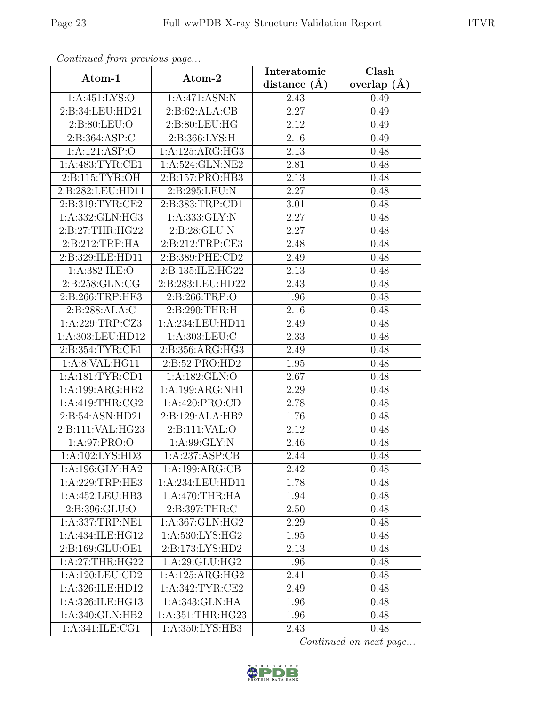| Continueu from pretious page     |                     | Interatomic       | $\overline{\text{Clash}}$ |
|----------------------------------|---------------------|-------------------|---------------------------|
| Atom-1                           | Atom-2              | distance $(A)$    | overlap $(\AA)$           |
| 1: A: 451: LYS: O                | 1:A:471:ASN:N       | 2.43              | 0.49                      |
| 2:B:34:LEU:HD21                  | 2:B:62:ALA:CB       | 2.27              | 0.49                      |
| 2:B:80:LEU:O                     | 2:B:80:LEU:HG       | 2.12              | 0.49                      |
| 2: B: 364: ASP: C                | 2:B:366:LYS:H       | 2.16              | 0.49                      |
| 1:A:121:ASP:O                    | 1:A:125:ARG:HG3     | 2.13              | 0.48                      |
| 1: A:483: TYR: CE1               | 1:A:524:GLN:NE2     | 2.81              | 0.48                      |
| 2: B: 115: TYR: OH               | 2:B:157:PRO:HB3     | $\overline{2.13}$ | 0.48                      |
| 2:B:282:LEU:HD11                 | 2:B:295:LEU:N       | 2.27              | 0.48                      |
| 2:B:319:TYR:CE2                  | 2:B:383:TRP:CD1     | 3.01              | 0.48                      |
| 1:A:332:GLN:HG3                  | 1: A: 333: GLY: N   | 2.27              | 0.48                      |
| 2:B:27:THR:HG22                  | 2:B:28:GLU:N        | 2.27              | 0.48                      |
| 2: B:212:TRP:HA                  | 2:B:212:TRP:CE3     | 2.48              | 0.48                      |
| 2:B:329:ILE:HD11                 | 2:B:389:PHE:CD2     | 2.49              | 0.48                      |
| 1:A:382:ILE:O                    | 2:B:135:ILE:HG22    | 2.13              | 0.48                      |
| 2:B:258:GLN:CG                   | 2:B:283:LEU:HD22    | 2.43              | 0.48                      |
| 2:B:266:TRP:HE3                  | 2:B:266:TRP:O       | 1.96              | 0.48                      |
| 2:B:288:ALA:C                    | 2:B:290:THR:H       | 2.16              | 0.48                      |
| 1:A:229:TRP:CZ3                  | 1:A:234:LEU:HD11    | 2.49              | 0.48                      |
| 1:A:303:LEU:HD12                 | 1:A:303:LEU:C       | 2.33              | 0.48                      |
| 2: B: 354: TYR: CE1              | 2:B:356:ARG:HG3     | 2.49              | 0.48                      |
| 1:A:8:VAL:HG11                   | 2:B:52:PRO:HD2      | 1.95              | 0.48                      |
| 1: A: 181: TYR: CD1              | 1:A:182:GLN:O       | 2.67              | 0.48                      |
| 1:A:199:ARG:HB2                  | 1:A:199:ARG:NH1     | 2.29              | 0.48                      |
| 1: A:419:THR:CG2                 | 1:A:420:PRO:CD      | 2.78              | 0.48                      |
| 2:B:54:ASN:HD21                  | 2:B:129:ALA:HB2     | 1.76              | 0.48                      |
| 2:B:111:VAL:HG23                 | 2:Bi:11:VAL:O       | 2.12              | 0.48                      |
| 1:A:97:PRO:O                     | 1: A:99: GLY:N      | 2.46              | 0.48                      |
| 1:A:102:LYS:HD3                  | 1:A:237:ASP:CB      | 2.44              | 0.48                      |
| 1: A:196: GLY: HA2               | 1:A:199:ARG:CB      | 2.42              | 0.48                      |
| 1:A:229:TRP:HE3                  | 1:A:234:LEU:HD11    | 1.78              | 0.48                      |
| 1:A:452:LEU:HB3                  | 1:A:470:THR:HA      | 1.94              | 0.48                      |
| 2:B:396:GLU:O                    | 2:B:397:THR:C       | 2.50              | 0.48                      |
| $1: A: 337: TRP: \overline{NE1}$ | 1:A:367:GLN:HG2     | 2.29              | 0.48                      |
| 1:A:434:ILE:HG12                 | 1:A:530:LYS:HG2     | 1.95              | 0.48                      |
| 2:B:169:GLU:OE1                  | 2:B:173:LYS:HD2     | 2.13              | 0.48                      |
| 1:A:27:THR:HG22                  | 1:A:29:GLU:HG2      | 1.96              | 0.48                      |
| 1: A: 120: LEU: CD2              | 1:A:125:ARG:HG2     | 2.41              | 0.48                      |
| 1:A:326:ILE:HD12                 | 1: A:342: TYR: CE2  | 2.49              | 0.48                      |
| 1:A:326:ILE:HG13                 | 1: A:343: GLN: HA   | 1.96              | 0.48                      |
| 1:A:340:GLN:HB2                  | 1: A: 351:THR: HG23 | 1.96              | 0.48                      |
| 1:A:341:ILE:CG1                  | 1:A:350:LYS:HB3     | 2.43              | 0.48                      |

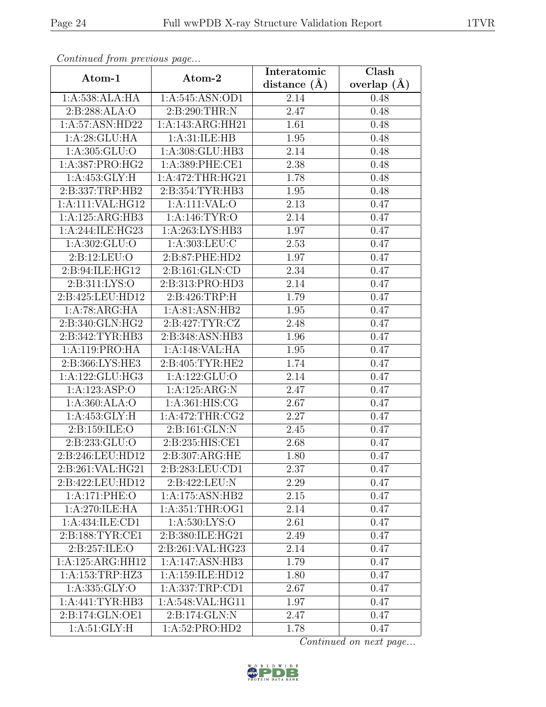| Continuea from previous page |                                | Interatomic       | Clash         |
|------------------------------|--------------------------------|-------------------|---------------|
| Atom-1                       | Atom-2                         | distance $(A)$    | overlap $(A)$ |
| 1:A:538:ALA:HA               | 1:A:545:ASN:OD1                | 2.14              | 0.48          |
| 2:B:288:ALA:O                | 2: B:290:THR:N                 | 2.47              | 0.48          |
| 1:A:57:ASN:HD22              | 1:A:143:ARG:HH21               | 1.61              | 0.48          |
| 1:A:28:GLU:HA                | 1: A:31: ILE: HB               | 1.95              | 0.48          |
| 1:A:305:GLU:O                | 1:A:308:GLU:HB3                | 2.14              | 0.48          |
| 1:A:387:PRO:HG2              | 1:A:389:PHE:CE1                | 2.38              | 0.48          |
| 1: A: 453: GLY: H            | 1:A:472:THR:HG21               | 1.78              | 0.48          |
| 2:B:337:TRP:HB2              | 2:B:354:TYR:HB3                | 1.95              | 0.48          |
| 1:A:111:VAL:HG12             | 1:A:111:VAL:O                  | 2.13              | 0.47          |
| 1:A:125:ARG:HB3              | 1:A:146:TYR:O                  | 2.14              | 0.47          |
| 1:A:244:ILE:HG23             | 1:A:263:LYS:HB3                | 1.97              | 0.47          |
| 1:A:302:GLU:O                | 1: A: 303: LEU: C              | 2.53              | 0.47          |
| 2:B:12:LEU:O                 | 2:B:87:PHE:HD2                 | 1.97              | 0.47          |
| 2:B:94:ILE:HG12              | $2: B: 161: \overline{GLN:CD}$ | 2.34              | 0.47          |
| 2:B:311:LYS:O                | 2:B:313:PRO:HD3                | 2.14              | 0.47          |
| 2:B:425:LEU:HD12             | 2: B:426:TRP:H                 | 1.79              | 0.47          |
| 1:A:78:ARG:HA                | 1:A:81:ASN:HB2                 | 1.95              | 0.47          |
| 2:B:340:GLN:HG2              | 2: B:427: TYR: CZ              | 2.48              | 0.47          |
| 2:B:342:TYR:HB3              | 2:B:348:ASN:HB3                | 1.96              | 0.47          |
| 1:A:119:PRO:HA               | 1:A:148:VAL:HA                 | 1.95              | 0.47          |
| 2:B:366:LYS:HE3              | 2:B:405:TYR:HE2                | 1.74              | 0.47          |
| 1:A:122:GLU:HG3              | 1:A:122:GLU:O                  | 2.14              | 0.47          |
| 1:A:123:ASP:O                | 1:A:125:ARG:N                  | $\overline{2}.47$ | 0.47          |
| 1:A:360:ALA:O                | 1: A:361: HIS: CG              | $\overline{2.67}$ | 0.47          |
| 1: A: 453: GLY: H            | 1:A:472:THR:CG2                | 2.27              | 0.47          |
| 2:B:159:ILE:O                | 2:B:161:GLN:N                  | 2.45              | 0.47          |
| 2:B:233:GLU:O                | 2:B:235:HIS:CE1                | 2.68              | 0.47          |
| 2:B:246:LEU:HD12             | 2:B:307:ARG:HE                 | 1.80              | 0.47          |
| 2:B:261:VAL:HG21             | 2:B:283:LEU:CD1                | 2.37              | 0.47          |
| 2:B:422:LEU:HD12             | 2:B:422:LEU:N                  | 2.29              | 0.47          |
| 1:A:171:PHE:O                | 1:A:175:ASN:HB2                | 2.15              | 0.47          |
| 1:A:270:ILE:HA               | 1: A:351:THR:OG1               | 2.14              | 0.47          |
| 1:A:434:ILE:CD1              | 1:A:530:LYS:O                  | 2.61              | 0.47          |
| 2:B:188:TYR:CE1              | 2:B:380:ILE:HG21               | 2.49              | 0.47          |
| 2: B: 257: ILE: O            | 2: B:261: VAL: HG23            | 2.14              | 0.47          |
| 1:A:125:ARG:HH12             | 1:A:147:ASN:HB3                | 1.79              | 0.47          |
| 1:A:153:TRP:HZ3              | 1:A:159:ILE:HD12               | 1.80              | 0.47          |
| 1:A:335:GLY:O                | 1:A:337:TRP:CD1                | 2.67              | 0.47          |
| 1: A:441: TYR:HB3            | 1:A:548:VAL:HG11               | 1.97              | 0.47          |
| 2:B:174:GLN:OE1              | 2:B:174:GLN:N                  | 2.47              | 0.47          |
| 1:A:51:GLY:H                 | 1:A:52:PRO:HD2                 | 1.78              | 0.47          |

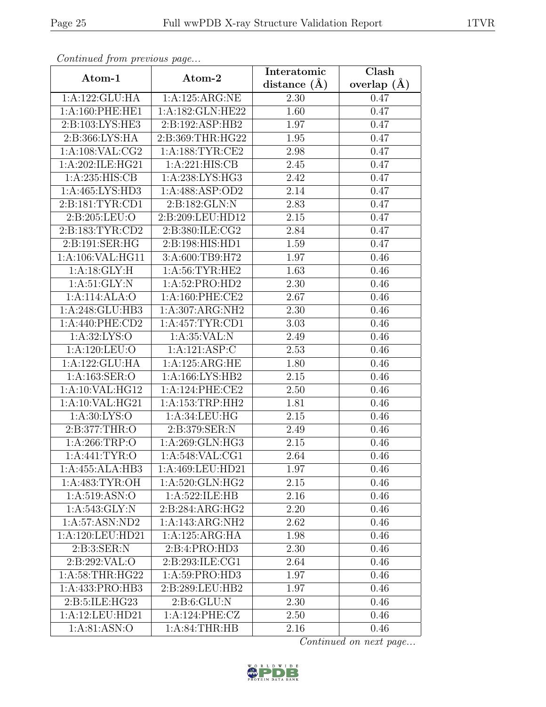| Continued from previous page |                     | Interatomic      | Clash           |
|------------------------------|---------------------|------------------|-----------------|
| Atom-1                       | Atom-2              | distance $(\AA)$ | overlap $(\AA)$ |
| 1:A:122:GLU:HA               | 1:A:125:ARG:NE      | 2.30             | 0.47            |
| 1:A:160:PHE:HE1              | 1:A:182:GLN:HE22    | 1.60             | 0.47            |
| 2:B:103:LYS:HE3              | 2:B:192:ASP:HB2     | 1.97             | 0.47            |
| 2:B:366:LYS:HA               | 2:B:369:THR:HG22    | 1.95             | 0.47            |
| 1: A: 108: VAL: CG2          | 1: A: 188: TYR: CE2 | 2.98             | 0.47            |
| 1:A:202:ILE:HG21             | 1:A:221:HIS:CB      | 2.45             | 0.47            |
| 1: A:235: HIS: CB            | 1:A:238:LYS:HG3     | 2.42             | 0.47            |
| 1:A:465:LYS:HD3              | 1: A:488: ASP:OD2   | 2.14             | 0.47            |
| 2:B:181:TYR:CD1              | 2:B:182:GLN:N       | 2.83             | 0.47            |
| 2:B:205:LEU:O                | 2:B:209:LEU:HD12    | 2.15             | 0.47            |
| 2:B:183:TYR:CD2              | 2:B:380:ILE:CG2     | 2.84             | 0.47            |
| 2:B:191:SER:HG               | 2:B:198:HIS:HD1     | 1.59             | 0.47            |
| 1:A:106:VAL:HG11             | 3:A:600:TB9:H72     | 1.97             | 0.46            |
| 1:A:18:GLY:H                 | 1: A:56: TYR: HE2   | 1.63             | 0.46            |
| 1: A:51: GLY:N               | 1:A:52:PRO:HD2      | 2.30             | 0.46            |
| 1:A:114:ALA:O                | 1: A:160: PHE:CE2   | 2.67             | 0.46            |
| 1:A:248:GLU:HB3              | 1:A:307:ARG:NH2     | 2.30             | 0.46            |
| 1: A:440: PHE:CD2            | 1:A:457:TYR:CD1     | 3.03             | 0.46            |
| 1: A:32: LYS:O               | 1:A:35:VAL:N        | 2.49             | 0.46            |
| 1: A: 120: LEU: O            | 1:A:121:ASP:C       | 2.53             | 0.46            |
| 1:A:122:GLU:HA               | 1:A:125:ARG:HE      | 1.80             | 0.46            |
| 1:A:163:SER:O                | 1:A:166:LYS:HB2     | 2.15             | 0.46            |
| 1:A:10:VAL:HG12              | 1:A:124:PHE:CE2     | 2.50             | 0.46            |
| 1: A:10: VAL: HG21           | 1: A: 153: TRP: HH2 | 1.81             | 0.46            |
| 1: A:30: LYS:O               | 1:A:34:LEU:HG       | 2.15             | 0.46            |
| 2:B:377:THR:O                | 2:B:379:SER:N       | 2.49             | 0.46            |
| 1:A:266:TRP:O                | 1:A:269:GLN:HG3     | 2.15             | 0.46            |
| 1: A:441: TYR:O              | 1:A:548:VAL:CG1     | 2.64             | 0.46            |
| 1:A:455:ALA:HB3              | 1:A:469:LEU:HD21    | 1.97             | 0.46            |
| 1: A:483: TYR:OH             | 1:A:520:GLN:HG2     | 2.15             | 0.46            |
| 1: A:519: ASN:O              | 1:A:522:ILE:HB      | 2.16             | 0.46            |
| 1: A:543: GLY:N              | 2:B:284:ARG:HG2     | 2.20             | 0.46            |
| 1: A:57: ASN:ND2             | 1:A:143:ARG:NH2     | 2.62             | 0.46            |
| 1:A:120:LEU:HD21             | 1:A:125:ARG:HA      | 1.98             | 0.46            |
| 2: B:3: SER: N               | 2:B:4:PRO:HD3       | 2.30             | 0.46            |
| 2:B:292:VAL:O                | 2:B:293:ILE:CG1     | 2.64             | 0.46            |
| 1: A:58:THR:HG22             | 1:A:59:PRO:HD3      | 1.97             | 0.46            |
| 1:A:433:PRO:HB3              | 2:B:289:LEU:HB2     | 1.97             | 0.46            |
| 2:B:5:ILE:HG23               | 2: B:6: GLU: N      | 2.30             | 0.46            |
| 1:A:12:LEU:HD21              | 1:A:124:PHE:CZ      | 2.50             | 0.46            |
| 1:A:81:ASN:O                 | 1: A:84:THR:HB      | 2.16             | 0.46            |

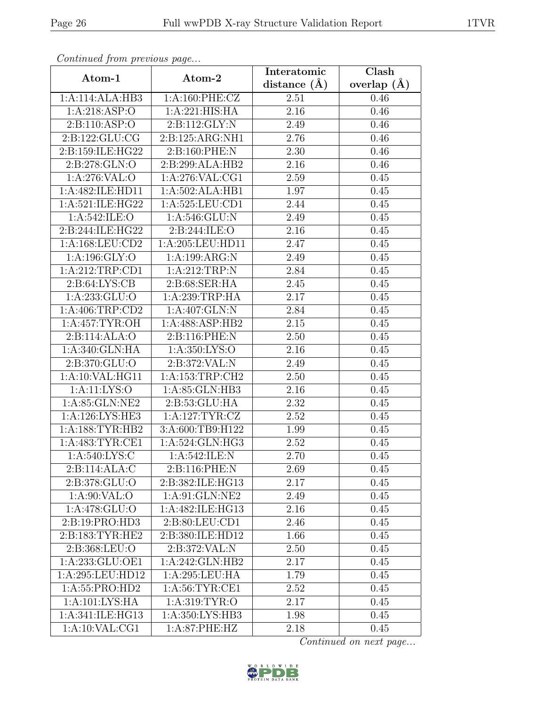| Continued from previous page |                     | Interatomic       | Clash           |  |
|------------------------------|---------------------|-------------------|-----------------|--|
| Atom-1                       | Atom-2              | distance $(\AA)$  | overlap $(\AA)$ |  |
| 1:A:114:ALA:HB3              | 1: A:160: PHE: CZ   | 2.51              | 0.46            |  |
| 1:A:218:ASP:O                | 1:A:221:HIS:HA      | 2.16              | 0.46            |  |
| 2: B: 110: ASP: O            | 2:B:112:GLY:N       | 2.49              | 0.46            |  |
| 2:B:122:GLU:CG               | 2:B:125:ARG:NH1     | 2.76              | 0.46            |  |
| 2:B:159:ILE:HG22             | 2:B:160:PHE:N       | 2.30              | 0.46            |  |
| 2:B:278:GLN:O                | 2:B:299:ALA:HB2     | 2.16              | 0.46            |  |
| 1:A:276:VAL:O                | 1:A:276:VAL:CG1     | $\overline{2.59}$ | 0.45            |  |
| 1:A:482:ILE:HD11             | 1:A:502:ALA:HB1     | 1.97              | 0.45            |  |
| 1:A:521:ILE:HG22             | 1:A:525:LEU:CD1     | 2.44              | 0.45            |  |
| 1: A:542: ILE: O             | 1: A:546: GLU:N     | 2.49              | 0.45            |  |
| 2: B: 244: ILE: HG22         | 2:B:244:ILE:O       | 2.16              | 0.45            |  |
| 1:A:168:LEU:CD2              | 1:A:205:LEU:HD11    | 2.47              | 0.45            |  |
| 1:A:196:GLY:O                | 1:A:199:ARG:N       | 2.49              | 0.45            |  |
| 1:A:212:TRP:CD1              | 1:A:212:TRP:N       | 2.84              | 0.45            |  |
| 2: B:64: LYS: CB             | 2:B:68:SER:HA       | 2.45              | 0.45            |  |
| 1:A:233:GLU:O                | 1:A:239:TRP:HA      | 2.17              | 0.45            |  |
| 1:A:406:TRP:CD2              | 1: A:407: GLN:N     | 2.84              | 0.45            |  |
| 1: A:457: TYR:OH             | 1:A:488:ASP:HB2     | 2.15              | 0.45            |  |
| 2:B:114:ALA:O                | 2:B:116:PHE:N       | 2.50              | 0.45            |  |
| 1:A:340:GLN:HA               | 1: A: 350: LYS: O   | 2.16              | 0.45            |  |
| 2:B:370:GLU:O                | 2:B:372:VAL:N       | 2.49              | 0.45            |  |
| 1: A:10: VAL: HG11           | 1: A: 153: TRP: CH2 | 2.50              | 0.45            |  |
| 1:A:11:LYS:O                 | 1:A:85:GLN:HB3      | 2.16              | 0.45            |  |
| 1:A:85:GLN:NE2               | 2:B:53:GLU:HA       | 2.32              | 0.45            |  |
| 1:A:126:LYS:HE3              | 1: A: 127: TYR: CZ  | 2.52              | 0.45            |  |
| 1: A: 188: TYR: HB2          | 3:A:600:TB9:H122    | 1.99              | 0.45            |  |
| 1: A:483: TYR: CE1           | 1:A:524:GLN:HG3     | 2.52              | 0.45            |  |
| 1:A:540:LYS:C                | 1:A:542:ILE:N       | 2.70              | 0.45            |  |
| 2:B:114:ALA:C                | 2:B:116:PHE:N       | 2.69              | 0.45            |  |
| 2:B:378:GLU:O                | 2:B:382:ILE:HG13    | 2.17              | 0.45            |  |
| 1: A:90: VAL:O               | 1:A:91:GLN:NE2      | 2.49              | 0.45            |  |
| 1:A:478:GLU:O                | 1:A:482:ILE:HG13    | 2.16              | 0.45            |  |
| 2:B:19:PRO:HD3               | 2:B:80:LEU:CD1      | 2.46              | 0.45            |  |
| 2:B:183:TYR:HE2              | 2:B:380:ILE:HD12    | 1.66              | 0.45            |  |
| 2:B:368:LEU:O                | 2:B:372:VAL:N       | 2.50              | 0.45            |  |
| 1:A:233:GLU:OE1              | 1:A:242:GLN:HB2     | 2.17              | 0.45            |  |
| 1:A:295:LEU:HD12             | 1:A:295:LEU:HA      | 1.79              | 0.45            |  |
| 1:A:55:PRO:HD2               | 1:A:56:TYR:CE1      | 2.52              | 0.45            |  |
| 1:A:101:LYS:HA               | 1: A:319: TYR:O     | 2.17              | 0.45            |  |
| 1:A:341:ILE:HG13             | 1:A:350:LYS:HB3     | 1.98              | 0.45            |  |
| 1: A:10: VAL:CG1             | $1: A:87:$ PHE:HZ   | 2.18              | 0.45            |  |

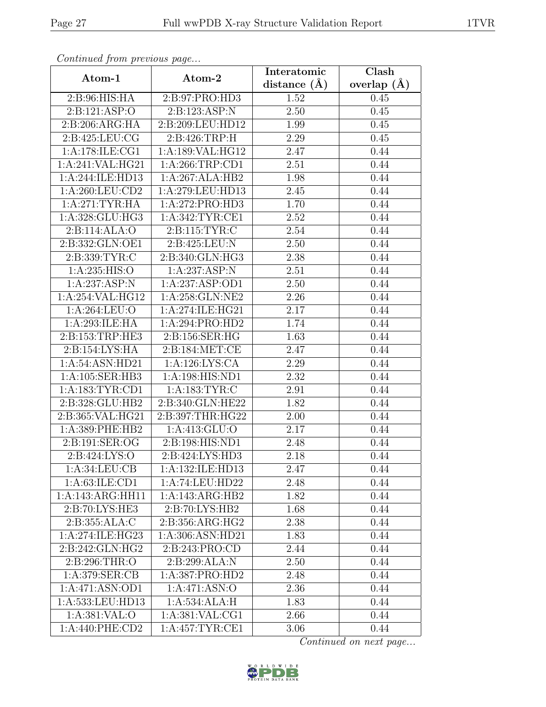| Commaca from previous page |                            | Interatomic       | Clash           |  |
|----------------------------|----------------------------|-------------------|-----------------|--|
| Atom-1                     | Atom-2                     | distance $(A)$    | overlap $(\AA)$ |  |
| 2:B:96:HIS:HA              | 2:B:97:PRO:HD3             | 1.52              | 0.45            |  |
| 2:B:121:ASP:O              | 2: B: 123: ASP: N          | $\overline{2.50}$ | 0.45            |  |
| 2:B:206:ARG:HA             | 2:B:209:LEU:HD12           | 1.99              | 0.45            |  |
| 2:B:425:LEU:CG             | 2:B:426:TRP:H              | 2.29              | 0.45            |  |
| 1:A:178:ILE:CG1            | 1:A:189:VAL:HG12           | 2.47              | 0.44            |  |
| 1:A:241:VAL:HG21           | 1: A:266:TRP:CD1           | 2.51              | 0.44            |  |
| 1:A:244:ILE:HD13           | 1:A:267:ALA:HB2            | 1.98              | 0.44            |  |
| 1:A:260:LEU:CD2            | 1:A:279:LEU:HD13           | 2.45              | 0.44            |  |
| 1:A:271:TYR:HA             | 1:A:272:PRO:HD3            | 1.70              | 0.44            |  |
| 1:A:328:GLU:HG3            | 1: A:342:TYR:CE1           | 2.52              | 0.44            |  |
| 2:B:114:ALA:O              | 2:B:115:TYR:C              | 2.54              | 0.44            |  |
| 2:B:332:GLN:OE1            | 2:B:425:LEU:N              | 2.50              | 0.44            |  |
| 2:B:339:TYR:C              | 2:B:340:GLN:HG3            | 2.38              | 0.44            |  |
| 1: A:235: HIS:O            | 1:A:237:ASP:N              | 2.51              | 0.44            |  |
| 1:A:237:ASP:N              | 1:A:237:ASP:OD1            | 2.50              | 0.44            |  |
| 1:A:254:VAL:HG12           | 1:A:258:GLN:NE2            | 2.26              | 0.44            |  |
| 1:A:264:LEU:O              | 1:A:274:ILE:HG21           | 2.17              | 0.44            |  |
| 1:A:293:ILE:HA             | 1:A:294:PRO:HD2            | 1.74              | 0.44            |  |
| 2:B:153:TRP:HE3            | 2:B:156:SER:HG             | 1.63              | 0.44            |  |
| 2:B:154:LYS:HA             | 2:B:184:MET:CE             | 2.47              | 0.44            |  |
| 1:A:54:ASN:HD21            | 1:A:126:LYS:CA             | 2.29              | 0.44            |  |
| 1:A:105:SER:HB3            | 1:A:198:HIS:ND1            | 2.32              | 0.44            |  |
| 1: A: 183: TYR: CD1        | 1:A:183:TYR:C              | 2.91              | 0.44            |  |
| 2:B:328:GLU:HB2            | 2:B:340:GLN:HE22           | 1.82              | 0.44            |  |
| 2:B:365:VAL:HG21           | 2:B:397:THR:HG22           | 2.00              | 0.44            |  |
| 1:A:389:PHE:HB2            | 1: A: 413: GLU: O          | 2.17              | 0.44            |  |
| 2:B:191:SER:OG             | 2:B:198:HIS:ND1            | 2.48              | 0.44            |  |
| 2: B: 424: LYS: O          | 2:B:424:LYS:HD3            | 2.18              | 0.44            |  |
| 1:A:34:LEU:CB              | 1:A:132:ILE:HD13           | 2.47              | 0.44            |  |
| 1: A:63: ILE:CD1           | 1: A:74: LEU:HD22          | 2.48              | 0.44            |  |
| 1:A:143:ARG:HH11           | 1:A:143:ARG:HB2            | 1.82              | 0.44            |  |
| 2:B:70:LYS:HE3             | 2:B:70:LYS:HB2             | 1.68              | 0.44            |  |
| 2:B:355:ALA:C              | 2:B:356:ARG:HG2            | 2.38              | 0.44            |  |
| 1:A:274:ILE:HG23           | 1:A:306:ASN:HD21           | 1.83              | 0.44            |  |
| 2:B:242:GLN:HG2            | 2:B:243:PRO:CD             | 2.44              | 0.44            |  |
| 2: B:296:THR:O             | 2:B:299:ALA:N              | 2.50              | 0.44            |  |
| 1: A:379: SER: CB          | 1:A:387:PRO:HD2            | 2.48              | 0.44            |  |
| 1:A:471:ASN:OD1            | $1:A:471.\overline{ASN:O}$ | 2.36              | 0.44            |  |
| 1:A:533:LEU:HD13           | 1:A:534:ALA:H              | 1.83              | 0.44            |  |
| 1:A:381:VAL:O              | 1:A:381:VAL:CG1            | 2.66              | 0.44            |  |
| 1: A:440: PHE:CD2          | 1:A:457:TYR:CE1            | 3.06              | 0.44            |  |

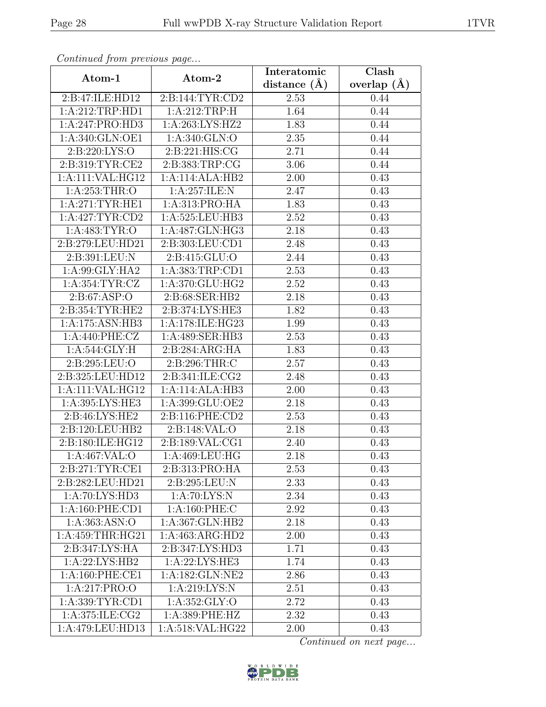| Continued from previous page |                    | Interatomic       | Clash           |  |
|------------------------------|--------------------|-------------------|-----------------|--|
| Atom-1                       | Atom-2             | distance $(A)$    | overlap $(\AA)$ |  |
| 2:B:47:ILE:HD12              | 2:B:144:TYR:CD2    | 2.53              | 0.44            |  |
| 1:A:212:TRP:HD1              | 1:A:212:TRP:H      | 1.64              | 0.44            |  |
| 1:A:247:PRO:HD3              | 1:A:263:LYS:HZ2    | 1.83              | 0.44            |  |
| 1:A:340:GLN:OE1              | 1: A:340: GLN:O    | 2.35              | 0.44            |  |
| 2: B:220: LYS:O              | 2:B:221:HIS:CG     | 2.71              | 0.44            |  |
| 2:B:319:TYR:CE2              | 2:B:383:TRP:CG     | 3.06              | 0.44            |  |
| 1:A:111:VAL:HG12             | 1:A:114:ALA:HB2    | 2.00              | 0.43            |  |
| 1: A:253:THR:O               | 1: A:257: ILE:N    | 2.47              | 0.43            |  |
| 1: A:271:TYR:HE1             | 1:A:313:PRO:HA     | 1.83              | 0.43            |  |
| 1: A:427: TYR: CD2           | 1:A:525:LEU:HB3    | 2.52              | 0.43            |  |
| 1: A:483: TYR:O              | 1:A:487:GLN:HG3    | 2.18              | 0.43            |  |
| 2:B:279:LEU:HD21             | 2:B:303:LEU:CD1    | 2.48              | 0.43            |  |
| 2:B:391:LEU:N                | 2:B:415:GLU:O      | 2.44              | 0.43            |  |
| 1:A:99:GLY:HA2               | 1:A:383:TRP:CD1    | $\overline{2.53}$ | 0.43            |  |
| 1: A: 354: TYR: CZ           | 1:A:370:GLU:HG2    | 2.52              | 0.43            |  |
| 2: B:67: ASP:O               | 2:B:68:SER:HB2     | 2.18              | 0.43            |  |
| 2:B:354:TYR:HE2              | 2:B:374:LYS:HE3    | 1.82              | 0.43            |  |
| 1:A:175:ASN:HB3              | 1:A:178:ILE:HG23   | 1.99              | 0.43            |  |
| 1:A:440:PHE:CZ               | 1:A:489:SER:HB3    | 2.53              | 0.43            |  |
| 1: A:544: GLY: H             | 2:B:284:ARG:HA     | 1.83              | 0.43            |  |
| 2:B:295:LEU:O                | 2:B:296:THR:C      | 2.57              | 0.43            |  |
| 2:B:325:LEU:HD12             | 2: B:341: ILE: CG2 | 2.48              | 0.43            |  |
| 1:A:111:VAL:HG12             | 1:A:114:ALA:HB3    | 2.00              | 0.43            |  |
| 1:A:395:LYS:HE3              | 1:A:399:GLU:OE2    | 2.18              | 0.43            |  |
| 2:B:46:LYS:HE2               | 2:B:116:PHE:CD2    | 2.53              | 0.43            |  |
| 2:B:120:LEU:HB2              | 2: B: 148: VAL: O  | 2.18              | 0.43            |  |
| 2:B:180:ILE:HG12             | 2:B:189:VAL:CG1    | 2.40              | 0.43            |  |
| 1:A:467:VAL:O                | 1: A:469:LEU:HG    | 2.18              | 0.43            |  |
| 2:B:271:TYR:CE1              | 2:B:313:PRO:HA     | 2.53              | 0.43            |  |
| 2:B:282:LEU:HD21             | 2:B:295:LEU:N      | 2.33              | 0.43            |  |
| 1: A:70: LYS:HD3             | 1: A:70: LYS: N    | 2.34              | 0.43            |  |
| 1: A:160: PHE:CD1            | 1:A:160:PHE:C      | 2.92              | 0.43            |  |
| 1: A: 363: ASN: O            | 1:A:367:GLN:HB2    | 2.18              | 0.43            |  |
| 1:A:459:THR:HG21             | 1:A:463:ARG:HD2    | 2.00              | 0.43            |  |
| 2:B:347:LYS:HA               | 2:B:347:LYS:HD3    | 1.71              | 0.43            |  |
| 1:A:22:LYS:HB2               | 1:A:22:LYS:HE3     | 1.74              | 0.43            |  |
| 1: A:160: PHE:CE1            | 1:A:182:GLN:NE2    | 2.86              | 0.43            |  |
| 1:A:217:PRO:O                | 1:A:219:LYS:N      | 2.51              | 0.43            |  |
| 1:A:339:TYR:CD1              | 1: A: 352: GLY: O  | 2.72              | 0.43            |  |
| 1:A:375:ILE:CG2              | 1:A:389:PHE:HZ     | 2.32              | 0.43            |  |
| 1:A:479:LEU:HD13             | 1:A:518:VAL:HG22   | 2.00              | 0.43            |  |

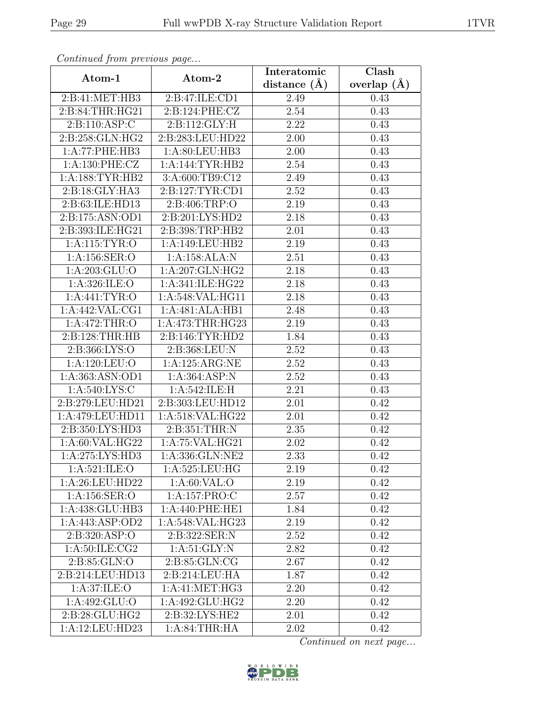| Continua from previous page |                              | Interatomic       | $\overline{\text{Clash}}$ |  |
|-----------------------------|------------------------------|-------------------|---------------------------|--|
| Atom-1                      | Atom-2                       | distance $(\AA)$  | overlap $(\AA)$           |  |
| 2:B:41:MET:HB3              | 2:B:47:ILE:CD1               | 2.49              | 0.43                      |  |
| 2:B:84:THR:HG21             | 2:B:124:PHE:CZ               | 2.54              | 0.43                      |  |
| 2:Bi:110:ASP:C              | 2: B: 112: GLY: H            | 2.22              | 0.43                      |  |
| 2:B:258:GLN:HG2             | 2:B:283:LEU:HD22             | 2.00              | 0.43                      |  |
| 1:A:77:PHE:HB3              | 1: A:80: LEU:HB3             | $2.00\,$          | 0.43                      |  |
| 1: A:130: PHE: CZ           | 1:A:144:TYR:HB2              | 2.54              | 0.43                      |  |
| 1: A: 188: TYR: HB2         | 3:A:600:TB9:C12              | 2.49              | 0.43                      |  |
| 2:B:18:GLY:HA3              | 2:B:127:TYR:CD1              | 2.52              | 0.43                      |  |
| 2:B:63:ILE:HD13             | 2: B:406:TRP:O               | 2.19              | 0.43                      |  |
| 2:B:175:ASN:OD1             | 2:B:201:LYS:HD2              | 2.18              | 0.43                      |  |
| 2:B:393:ILE:HG21            | 2:B:398:TRP:HB2              | 2.01              | 0.43                      |  |
| 1: A:115: TYR:O             | 1:A:149:LEU:HB2              | 2.19              | 0.43                      |  |
| 1:A:156:SER:O               | 1:A:158:ALA:N                | 2.51              | 0.43                      |  |
| 1:A:203:GLU:O               | $1:A:207:\overline{GLN:HG2}$ | 2.18              | 0.43                      |  |
| 1:A:326:ILE:O               | 1:A:341:ILE:HG22             | 2.18              | 0.43                      |  |
| 1:A:441:TYR:O               | 1:A:548:VAL:HG11             | 2.18              | 0.43                      |  |
| 1:A:442:VAL:CG1             | 1:A:481:ALA:HB1              | 2.48              | 0.43                      |  |
| 1:A:472:THR:O               | 1: A:473:THR:HG23            | 2.19              | 0.43                      |  |
| 2:B:128:THR:HB              | 2:B:146:TYR:HD2              | 1.84              | 0.43                      |  |
| 2:B:366:LYS:O               | 2:B:368:LEU:N                | 2.52              | 0.43                      |  |
| 1:A:120:LEU:O               | 1:A:125:ARG:NE               | 2.52              | 0.43                      |  |
| 1: A: 363: ASN: OD1         | 1: A:364: ASP:N              | 2.52              | 0.43                      |  |
| 1:A:540:LYS:C               | 1:A:542:ILE:H                | 2.21              | 0.43                      |  |
| 2:B:279:LEU:HD21            | 2:B:303:LEU:HD12             | 2.01              | 0.42                      |  |
| 1:A:479:LEU:HD11            | 1:A:518:VAL:HG22             | 2.01              | 0.42                      |  |
| 2:B:350:LYS:HD3             | 2: B:351:THR:N               | 2.35              | 0.42                      |  |
| 1:A:60:VAL:HG22             | 1: A:75: VAL:HG21            | 2.02              | 0.42                      |  |
| 1:A:275:LYS:HD3             | 1:A:336:GLN:NE2              | $\overline{2.33}$ | 0.42                      |  |
| 1: A:521: ILE: O            | 1:A:525:LEU:HG               | 2.19              | 0.42                      |  |
| 1:A:26:LEU:HD22             | 1: A:60: VAL:O               | 2.19              | 0.42                      |  |
| 1:A:156:SER:O               | 1:A:157:PRO:C                | 2.57              | 0.42                      |  |
| 1:A:438:GLU:HB3             | 1:A:440:PHE:HE1              | 1.84              | 0.42                      |  |
| 1: A:443: ASP:OD2           | 1:A:548:VAL:HG23             | 2.19              | 0.42                      |  |
| 2:B:320:ASP:O               | 2:B:322:SER:N                | 2.52              | 0.42                      |  |
| 1: A:50: ILE: CG2           | 1: A:51: GLY:N               | 2.82              | 0.42                      |  |
| 2: B:85: GLN:O              | 2:B:85:GLN:CG                | 2.67              | 0.42                      |  |
| 2:B:214:LEU:HD13            | 2:B:214:LEU:HA               | 1.87              | 0.42                      |  |
| 1:A:37:ILE:O                | 1:A:41:MET:HG3               | 2.20              | 0.42                      |  |
| 1:A:492:GLU:O               | 1:A:492:GLU:HG2              | 2.20              | 0.42                      |  |
| 2: B:28: GLU:HG2            | 2:B:32:LYS:HE2               | 2.01              | 0.42                      |  |
| 1:A:12:LEU:HD23             | 1: A:84:THR:HA               | 2.02              | 0.42                      |  |

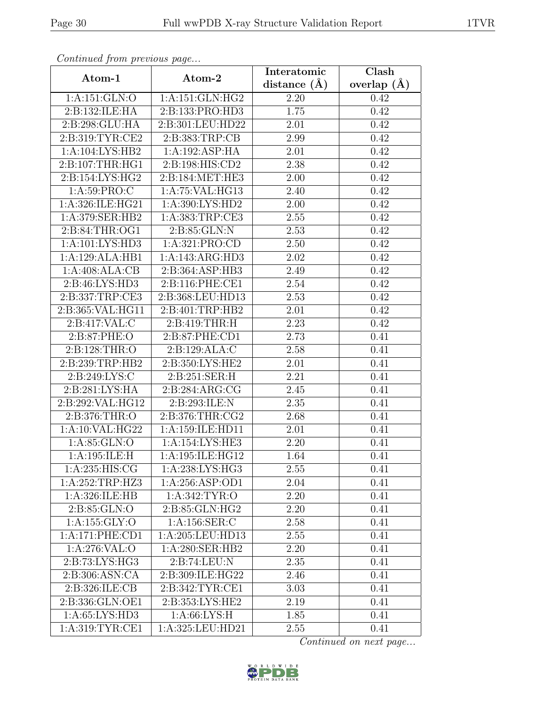| Continued from previous page |                    | Interatomic    | Clash           |
|------------------------------|--------------------|----------------|-----------------|
| Atom-1                       | Atom-2             | distance $(A)$ | overlap $(\AA)$ |
| 1:A:151:GLN:O                | 1: A:151: GLN: HG2 | 2.20           | 0.42            |
| 2:B:132:ILE:HA               | 2:B:133:PRO:HD3    | 1.75           | 0.42            |
| 2:B:298:GLU:HA               | 2:B:301:LEU:HD22   | 2.01           | 0.42            |
| 2:B:319:TYR:CE2              | 2:B:383:TRP:CB     | 2.99           | 0.42            |
| 1:A:104:LYS:HB2              | 1:A:192:ASP:HA     | 2.01           | 0.42            |
| 2:B:107:THR:HG1              | 2:B:198:HIS:CD2    | 2.38           | 0.42            |
| 2:B:154:LYS:HG2              | 2:B:184:MET:HE3    | 2.00           | 0.42            |
| 1: A:59: PRO: C              | 1: A:75: VAL:HG13  | 2.40           | 0.42            |
| 1:A:326:ILE:HG21             | 1:A:390:LYS:HD2    | 2.00           | 0.42            |
| 1:A:379:SER:HB2              | 1:A:383:TRP:CE3    | 2.55           | 0.42            |
| 2:B:84:THR:OG1               | 2:B:85:GLN:N       | 2.53           | 0.42            |
| 1:A:101:LYS:HD3              | 1:A:321:PRO:CD     | 2.50           | 0.42            |
| 1:A:129:ALA:HB1              | 1:A:143:ARG:HD3    | 2.02           | 0.42            |
| 1:A:408:ALA:CB               | 2:B:364:ASP:HB3    | 2.49           | 0.42            |
| 2:B:46:LYS:HD3               | 2:B:116:PHE:CE1    | 2.54           | 0.42            |
| 2:B:337:TRP:CE3              | 2:B:368:LEU:HD13   | 2.53           | 0.42            |
| 2:B:365:VAL:HG11             | 2:B:401:TRP:HB2    | 2.01           | 0.42            |
| 2:B:417:VAL:C                | 2:B:419:THR:H      | 2.23           | 0.42            |
| 2:B:87:PHE:O                 | 2:B:87:PHE:CD1     | 2.73           | 0.41            |
| 2:B:128:THR:O                | 2:B:129:ALA:C      | 2.58           | 0.41            |
| 2:B:239:TRP:HB2              | 2:B:350:LYS:HE2    | 2.01           | 0.41            |
| 2:B:249:LYS:C                | 2:B:251:SER:H      | 2.21           | 0.41            |
| 2:B:281:LYS:HA               | 2:B:284:ARG:CG     | 2.45           | 0.41            |
| 2:B:292:VAL:HG12             | 2:B:293:ILE:N      | 2.35           | 0.41            |
| 2:B:376:THR:O                | 2:B:376:THR:CG2    | 2.68           | 0.41            |
| 1:A:10:VAL:HG22              | 1:A:159:ILE:HD11   | 2.01           | 0.41            |
| 1: A:85: GLN:O               | 1:A:154:LYS:HE3    | 2.20           | 0.41            |
| 1:A:195:ILE:H                | 1:A:195:ILE:HG12   | 1.64           | 0.41            |
| 1:A:235:HIS:CG               | 1:A:238:LYS:HG3    | 2.55           | 0.41            |
| 1:A:252:TRP:HZ3              | 1: A:256: ASP:OD1  | 2.04           | 0.41            |
| 1:A:326:ILE:HB               | 1: A:342: TYR:O    | 2.20           | 0.41            |
| 2:B:85:GLN:O                 | 2:B:85:GLN:HG2     | 2.20           | 0.41            |
| 1:A:155:GLY:O                | 1:A:156:SER:C      | 2.58           | 0.41            |
| 1:A:171:PHE:CD1              | 1:A:205:LEU:HD13   | 2.55           | 0.41            |
| 1:A:276:VAL:0                | 1: A:280: SER: HB2 | 2.20           | 0.41            |
| 2: B: 73: LYS: HG3           | 2:B:74:LEU:N       | 2.35           | 0.41            |
| 2:B:306:ASN:CA               | 2:B:309:ILE:HG22   | 2.46           | 0.41            |
| 2:B:326:ILE:CB               | 2:B:342:TYR:CE1    | 3.03           | 0.41            |
| 2:B:336:GLN:OE1              | 2:B:353:LYS:HE2    | 2.19           | 0.41            |
| 1:A:65:LYS:HD3               | 1: A:66: LYS:H     | 1.85           | 0.41            |
| 1: A:319: TYR:CE1            | 1:A:325:LEU:HD21   | 2.55           | 0.41            |

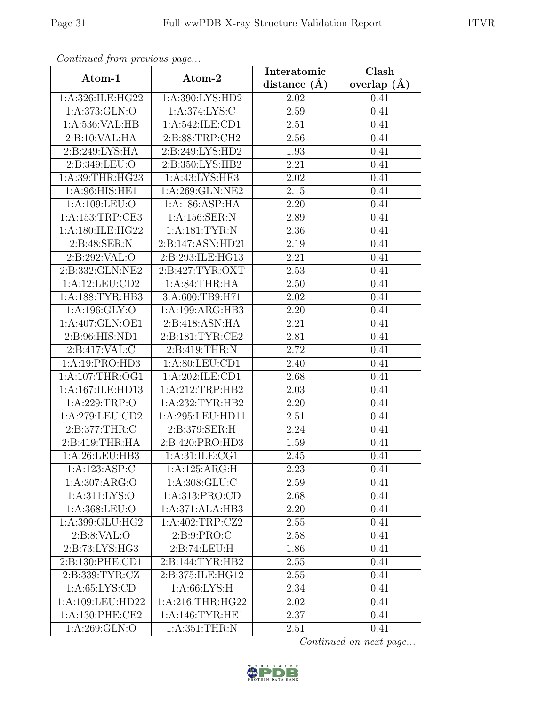| Continued from previous page |                                 | Interatomic    | Clash           |
|------------------------------|---------------------------------|----------------|-----------------|
| Atom-1                       | Atom-2                          | distance $(A)$ | overlap $(\AA)$ |
| 1:A:326:ILE:HG22             | 1:A:390:LYS:HD2                 | 2.02           | 0.41            |
| 1: A:373: GLN:O              | 1: A:374: LYS:C                 | 2.59           | 0.41            |
| 1: A:536: VAL:HB             | 1: A:542: ILE: CD1              | 2.51           | 0.41            |
| 2:B:10:VAL:HA                | 2: B:88:TRP:CH2                 | 2.56           | 0.41            |
| 2:B:249:LYS:HA               | 2:B:249:LYS:HD2                 | 1.93           | 0.41            |
| 2:B:349:LEU:O                | 2:B:350:LYS:HB2                 | 2.21           | 0.41            |
| 1:A:39:THR:HG23              | 1:A:43:LYS:HE3                  | 2.02           | 0.41            |
| 1: A:96: HIS: HE1            | $1: A:269: GLN: \overline{NE2}$ | 2.15           | 0.41            |
| 1:A:109:LEU:O                | 1:A:186:ASP:HA                  | 2.20           | 0.41            |
| 1: A: 153: TRP: CE3          | 1:A:156:SER:N                   | 2.89           | 0.41            |
| 1:A:180:ILE:HG22             | 1: A: 181: TYR: N               | 2.36           | 0.41            |
| 2:B:48:SER:N                 | 2:B:147:ASN:HD21                | 2.19           | 0.41            |
| 2:B:292:VAL:O                | 2:B:293:ILE:HG13                | 2.21           | 0.41            |
| 2:B:332:GLN:NE2              | 2:B:427:TYR:OXT                 | 2.53           | 0.41            |
| 1:A:12:LEU:CD2               | 1: A:84:THR:HA                  | 2.50           | 0.41            |
| 1: A: 188: TYR: HB3          | 3:A:600:TB9:H71                 | 2.02           | 0.41            |
| 1:A:196:GLY:O                | 1:A:199:ARG:HB3                 | 2.20           | 0.41            |
| 1:A:407:GLN:OE1              | 2:B:418:ASN:HA                  | 2.21           | 0.41            |
| 2:B:96:HIS:ND1               | 2:B:181:TYR:CE2                 | 2.81           | 0.41            |
| 2:B:417:VAL:C                | 2:B:419:THR:N                   | 2.72           | 0.41            |
| 1:A:19:PRO:HD3               | 1:A:80:LEU:CD1                  | 2.40           | 0.41            |
| 1: A:107:THR:OG1             | 1:A:202:ILE:CD1                 | 2.68           | 0.41            |
| 1:A:167:ILE:HD13             | 1:A:212:TRP:HB2                 | 2.03           | 0.41            |
| 1:A:229:TRP:O                | 1:A:232:TYR:HB2                 | 2.20           | 0.41            |
| 1:A:279:LEU:CD2              | 1:A:295:LEU:HD11                | 2.51           | 0.41            |
| 2:B:377:THR:C                | 2:B:379:SER:H                   | 2.24           | 0.41            |
| 2: B:419: THR: HA            | 2:B:420:PRO:HD3                 | 1.59           | 0.41            |
| 1:A:26:LEU:HB3               | 1: A:31: ILE: CG1               | 2.45           | 0.41            |
| 1:A:123:ASP:C                | 1:A:125:ARG:H                   | 2.23           | 0.41            |
| 1:A:307:ARG:O                | 1: A:308: GLU:C                 | 2.59           | 0.41            |
| 1: A: 311: LYS: O            | 1:A:313:PRO:CD                  | 2.68           | 0.41            |
| 1:A:368:LEU:O                | 1:A:371:ALA:HB3                 | 2.20           | 0.41            |
| 1:A:399:GLU:HG2              | 1: A:402:TRP: CZ2               | 2.55           | 0.41            |
| 2: B: 8: VAL: O              | 2:B:9:PRO:C                     | 2.58           | 0.41            |
| 2:B:73:LYS:HG3               | 2:B:74:LEU:H                    | 1.86           | 0.41            |
| 2:B:130:PHE:CD1              | 2:B:144:TYR:HB2                 | 2.55           | 0.41            |
| 2:B:339:TYR:CZ               | 2:B:375:ILE:HG12                | 2.55           | 0.41            |
| 1: A:65: LYS:CD              | 1: A:66: LYS:H                  | 2.34           | 0.41            |
| 1:A:109:LEU:HD22             | 1: A:216:THR:HG22               | 2.02           | 0.41            |
| 1: A: 130: PHE: CE2          | 1: A:146:TYR:HE1                | 2.37           | 0.41            |
| 1:A:269:GLN:O                | 1: A:351:THR:N                  | 2.51           | 0.41            |

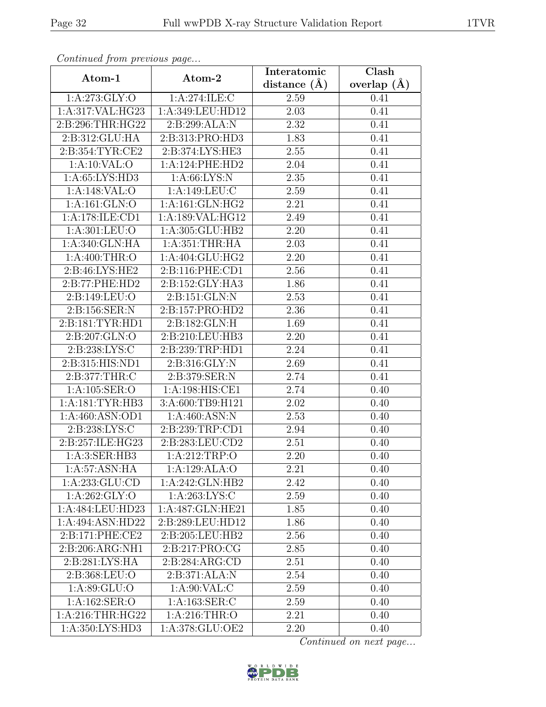| Continuati jibin protibus puga |                    | Interatomic       | Clash           |
|--------------------------------|--------------------|-------------------|-----------------|
| Atom-1                         | Atom-2             |                   | overlap $(\AA)$ |
| 1:A:273:GLY:O                  | 1:A:274:ILE:C      | 2.59              | 0.41            |
| 1:A:317:VAL:HG23               | 1:A:349:LEU:HD12   | 2.03              | 0.41            |
| 2:B:296:THR:HG22               | 2:B:299:ALA:N      | 2.32              | 0.41            |
| 2:B:312:GLU:HA                 | 2:B:313:PRO:HD3    | 1.83              | 0.41            |
| 2:B:354:TYR:CE2                | 2:B:374:LYS:HE3    | 2.55              | 0.41            |
| 1:A:10:VAL:O                   | 1:A:124:PHE:HD2    | 2.04              | 0.41            |
| 1:A:65:LYS:HD3                 | 1: A:66: LYS: N    | 2.35              | 0.41            |
| 1:A:148:VAL:O                  | 1:A:149:LEU:C      | 2.59              | 0.41            |
| $1:$ A:161:GLN:O               | 1: A:161: GLN: HG2 | 2.21              | 0.41            |
| 1:A:178:ILE:CD1                | 1:A:189:VAL:HG12   | 2.49              | 0.41            |
| 1:A:301:LEU:O                  | 1:A:305:GLU:HB2    | 2.20              | 0.41            |
| 1:A:340:GLN:HA                 | 1: A: 351: THR: HA | 2.03              | 0.41            |
| 1: A:400:THR:O                 | 1:A:404:GLU:HG2    | 2.20              | 0.41            |
| $2: B:46: LYS: \overline{HE2}$ | 2:B:116:PHE:CD1    | 2.56              | 0.41            |
| 2:B:77:PHE:HD2                 | 2:B:152:GLY:HA3    | 1.86              | 0.41            |
| 2:B:149:LEU:O                  | 2:B:151:GLN:N      | 2.53              | 0.41            |
| 2:B:156:SER:N                  | 2:B:157:PRO:HD2    | 2.36              | 0.41            |
| 2:B:181:TYR:HD1                | 2:B:182:GLN:H      | 1.69              | 0.41            |
| 2:B:207:GLN:O                  | 2:B:210:LEU:HB3    | 2.20              | 0.41            |
| 2:B:238:LYS:C                  | 2:B:239:TRP:HD1    | 2.24              | 0.41            |
| 2:B:315:HIS:ND1                | 2:B:316:GLY:N      | 2.69              | 0.41            |
| 2:B:377:THR:C                  | 2:B:379:SER:N      | 2.74              | 0.41            |
| 1:A:105:SER:O                  | 1:A:198:HIS:CE1    | 2.74              | 0.40            |
| 1: A:181: TYR: HB3             | 3:A:600:TB9:H121   | $\overline{2}.02$ | 0.40            |
| 1:A:460:ASN:OD1                | 1: A:460: ASN:N    | 2.53              | 0.40            |
| 2:B:238:LYS:C                  | 2:B:239:TRP:CD1    | 2.94              | 0.40            |
| 2: B: 257: ILE: HG23           | 2:B:283:LEU:CD2    | 2.51              | 0.40            |
| 1:A:3:SER:HB3                  | 1:A:212:TRP:O      | $\overline{2.20}$ | 0.40            |
| 1: A:57: ASN: HA               | 1:A:129:ALA:O      | 2.21              | 0.40            |
| 1:A:233:GLU:CD                 | 1:A:242:GLN:HB2    | 2.42              | 0.40            |
| 1: A:262: GLY:O                | 1: A:263: LYS:C    | 2.59              | 0.40            |
| 1:A:484:LEU:HD23               | 1:A:487:GLN:HE21   | 1.85              | 0.40            |
| 1:A:494:ASN:HD22               | 2:B:289:LEU:HD12   | 1.86              | 0.40            |
| 2:B:171:PHE:CE2                | 2:B:205:LEU:HB2    | 2.56              | 0.40            |
| 2:B:206:ARG:NH1                | 2:B:217:PRO:CG     | 2.85              | 0.40            |
| 2:B:281:LYS:HA                 | 2:B:284:ARG:CD     | 2.51              | 0.40            |
| 2:B:368:LEU:O                  | 2:B:371:ALA:N      | 2.54              | 0.40            |
| 1:A:89:GLU:O                   | 1: A:90: VAL:C     | 2.59              | 0.40            |
| 1:A:162:SER:O                  | 1:A:163:SER:C      | 2.59              | 0.40            |
| 1: A:216:THR:HG22              | 1: A:216:THR:O     | 2.21              | 0.40            |
| 1:A:350:LYS:HD3                | 1:A:378:GLU:OE2    | 2.20              | 0.40            |

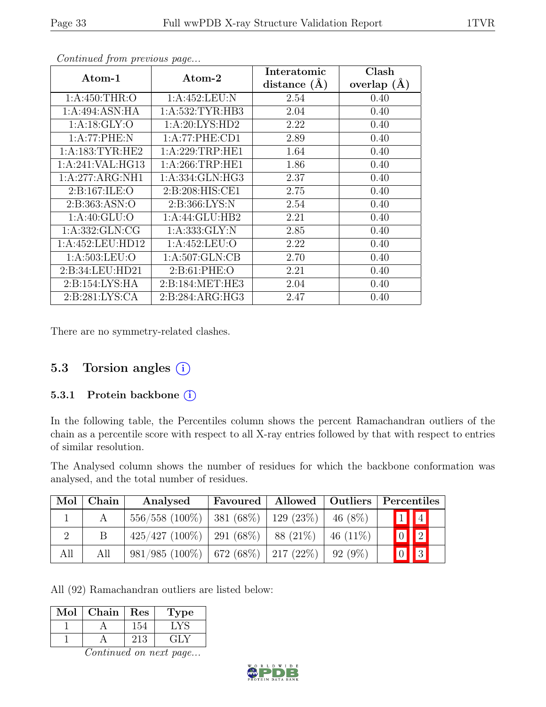| Atom-1              | Atom-2              | Interatomic      | Clash           |
|---------------------|---------------------|------------------|-----------------|
|                     |                     | distance $(\AA)$ | overlap $(\AA)$ |
| 1: A:450:THR:O      | 1:A:452:LEU:N       | 2.54             | 0.40            |
| 1:A:494:ASN:HA      | 1: A: 532: TYR: HB3 | 2.04             | 0.40            |
| 1: A:18: GLY:O      | 1: A:20: LYS: HD2   | 2.22             | 0.40            |
| 1:A:77:PHE:N        | 1:A:77:PHE:CD1      | 2.89             | 0.40            |
| 1: A: 183: TYR: HE2 | 1: A:229:TRP:HE1    | 1.64             | 0.40            |
| 1:A:241:VAL:HG13    | 1: A:266:TRP:HE1    | 1.86             | 0.40            |
| 1:A:277:ARG:NH1     | 1:A:334:GLN:HG3     | 2.37             | 0.40            |
| 2:Bi:167:ILE:O      | 2:B:208:HIS:CE1     | 2.75             | 0.40            |
| 2:B:363:ASN:O       | 2: B: 366: LYS: N   | 2.54             | 0.40            |
| 1: A:40: GLU:O      | 1:A:44:GLU:HB2      | 2.21             | 0.40            |
| 1:A:332:GLN:CG      | 1: A: 333: GLY: N   | 2.85             | 0.40            |
| 1:A:452:LEU:HD12    | 1:A:452:LEU:O       | 2.22             | 0.40            |
| 1: A: 503: LEU: O   | 1: A:507: GLN:CB    | 2.70             | 0.40            |
| 2:B:34:LEU:HD21     | 2: B:61: PHE:O      | 2.21             | 0.40            |
| 2: B: 154: LYS: HA  | 2:B:184:MET:HE3     | 2.04             | 0.40            |
| 2: B:281: LYS: CA   | 2: B:284: ARG: HG3  | 2.47             | 0.40            |

There are no symmetry-related clashes.

## 5.3 Torsion angles (i)

### 5.3.1 Protein backbone (i)

In the following table, the Percentiles column shows the percent Ramachandran outliers of the chain as a percentile score with respect to all X-ray entries followed by that with respect to entries of similar resolution.

The Analysed column shows the number of residues for which the backbone conformation was analysed, and the total number of residues.

| Mol | Chain | Analysed                                          | <b>Favoured</b> | Allowed   | Outliers    | Percentiles             |                         |
|-----|-------|---------------------------------------------------|-----------------|-----------|-------------|-------------------------|-------------------------|
|     |       | $556/558$ (100\%)   381 (68\%)   129 (23\%)       |                 |           | 46 $(8\%)$  |                         | $\boxed{1}$ $\boxed{4}$ |
|     |       | $425/427$ (100%)                                  | 291 (68%)       | 88 (21\%) | 46 $(11\%)$ | $\boxed{0}$ $\boxed{2}$ |                         |
| All | All   | $981/985$ $(100\%)$   672 $(68\%)$   217 $(22\%)$ |                 |           | 92 (9%)     |                         | $\vert \vert$ 3         |

All (92) Ramachandran outliers are listed below:

| Mol | Chain | Res | ype |
|-----|-------|-----|-----|
|     |       | 154 |     |
|     |       | 213 | ÷LY |

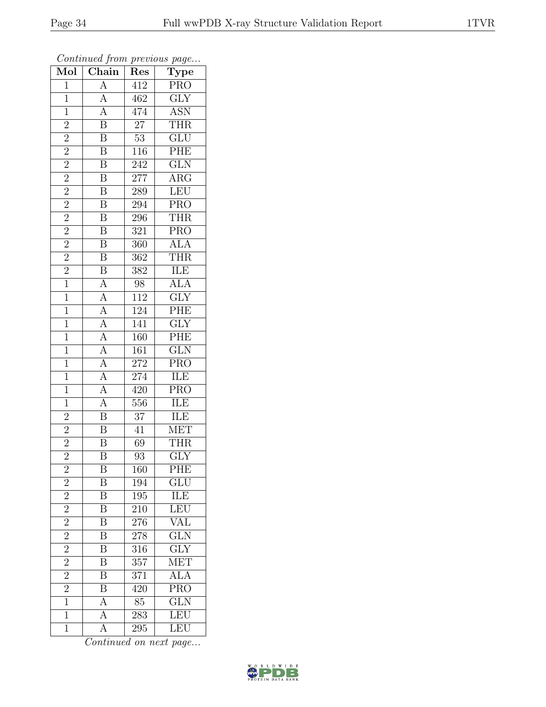| Mol            | $\cdots$<br>$\overline{\text{Chain}}$                                                                                                                                       | $\mathbf{r}$ . $\sim$<br>$\overline{\mathrm{Res}}$ | $r - 3$<br>$\overline{\mathrm{T}}$ ype         |
|----------------|-----------------------------------------------------------------------------------------------------------------------------------------------------------------------------|----------------------------------------------------|------------------------------------------------|
| $\mathbf{1}$   | $\overline{A}$                                                                                                                                                              | 412                                                | $\overline{\text{PRO}}$                        |
| $\overline{1}$ | $\overline{A}$                                                                                                                                                              | 462                                                | $\overline{\text{GLY}}$                        |
| $\overline{1}$ | $\frac{\overline{A}}{\overline{B}}$                                                                                                                                         | 474                                                | $\frac{\overline{\mathrm{ASN}}}{\mathrm{THR}}$ |
| $\overline{2}$ |                                                                                                                                                                             | $\overline{27}$                                    |                                                |
| $\overline{2}$ |                                                                                                                                                                             | $\overline{53}$                                    | $\overline{\text{GLU}}$                        |
| $\overline{2}$ | $\overline{\mathrm{B}}$                                                                                                                                                     | 116                                                | PHE                                            |
| $\overline{2}$ | $\overline{B}$                                                                                                                                                              | 242                                                | GLN                                            |
|                | $\overline{B}$                                                                                                                                                              | $\overline{277}$                                   | $\overline{\text{ARG}}$                        |
| $\frac{2}{2}$  | $\overline{B}$                                                                                                                                                              | 289                                                | LEU                                            |
|                | $\overline{\mathbf{B}}$                                                                                                                                                     | 294                                                | $\overline{\text{PRO}}$                        |
| $\overline{2}$ | $\overline{\mathbf{B}}$                                                                                                                                                     | 296                                                | THR                                            |
| $\overline{2}$ | $\overline{\mathbf{B}}$                                                                                                                                                     | 321                                                | $\overline{\text{PRO}}$                        |
| $\overline{2}$ | $\overline{B}$                                                                                                                                                              | $\overline{360}$                                   | ${\rm ALA}$                                    |
| $\overline{2}$ | $\overline{\text{B}}$                                                                                                                                                       | $\overline{362}$                                   | <b>THR</b>                                     |
| $\frac{2}{1}$  | $\frac{\overline{B}}{\overline{A}} \frac{\overline{A}}{\overline{A}} \frac{\overline{A}}{\overline{A}} \frac{\overline{A}}{\overline{A}} \frac{\overline{A}}{\overline{A}}$ | $\overline{382}$                                   | $\frac{\overline{\text{ILE}}}{\text{ALA}}$     |
|                |                                                                                                                                                                             | 98                                                 |                                                |
| $\overline{1}$ |                                                                                                                                                                             | 112                                                | $\overline{\text{GLY}}$                        |
| $\overline{1}$ |                                                                                                                                                                             | $124\,$                                            | PHE                                            |
| $\overline{1}$ |                                                                                                                                                                             | 141                                                | $\overline{\text{GLY}}$                        |
| $\overline{1}$ |                                                                                                                                                                             | $\overline{160}$                                   | $\overline{\mathrm{PHE}}$                      |
| $\overline{1}$ |                                                                                                                                                                             | $\overline{16}1$                                   | $\overline{\text{GLN}}$                        |
| $\overline{1}$ |                                                                                                                                                                             | 272                                                | <b>PRO</b>                                     |
| $\overline{1}$ |                                                                                                                                                                             | 274                                                | ILE                                            |
| $\frac{1}{1}$  |                                                                                                                                                                             | $\overline{420}$                                   | $\overline{\text{PRO}}$                        |
| $\overline{1}$ |                                                                                                                                                                             | 556                                                | $\overline{\text{ILE}}$                        |
| $\overline{2}$ | $\overline{\mathbf{B}}$                                                                                                                                                     | $\overline{37}$                                    | ILE                                            |
|                | $\overline{\mathbf{B}}$                                                                                                                                                     | $\overline{41}$                                    | <b>MET</b>                                     |
| $\frac{2}{2}$  | $\overline{\mathbf{B}}$                                                                                                                                                     | 69                                                 | THR                                            |
|                | $\overline{\mathrm{B}}$                                                                                                                                                     | 93                                                 | $\overline{\text{GLY}}$                        |
| $\overline{c}$ | Β                                                                                                                                                                           | 160                                                | <b>PHE</b>                                     |
| $\overline{2}$ | $\boldsymbol{B}$                                                                                                                                                            | 194                                                | GLU                                            |
| $\overline{2}$ | $\overline{\mathbf{B}}$                                                                                                                                                     | $195\,$                                            | ILE<br>LEU                                     |
| $\frac{2}{2}$  | $\overline{\mathbf{B}}$                                                                                                                                                     | 210                                                |                                                |
|                | $\overline{\mathbf{B}}$                                                                                                                                                     | 276                                                | <b>VAL</b>                                     |
| $\overline{2}$ | $\overline{\mathbf{B}}$                                                                                                                                                     | 278                                                | $\overline{\text{GLN}}$                        |
| $\overline{2}$ | $\overline{\mathrm{B}}$                                                                                                                                                     | $3\overline{16}$                                   | $\overline{\text{GLY}}$                        |
| $\overline{2}$ | $\overline{\mathbf{B}}$                                                                                                                                                     | $\overline{357}$                                   | MET                                            |
| $\overline{2}$ | $\overline{\mathrm{B}}$                                                                                                                                                     | 371                                                | $\overline{\text{ALA}}$                        |
| $\overline{2}$ | $\overline{B}$                                                                                                                                                              | 420                                                | <b>PRO</b>                                     |
| $\overline{1}$ | $\overline{A}$                                                                                                                                                              | 85                                                 | GLN                                            |
| $\overline{1}$ | $\overline{A}$                                                                                                                                                              | $\overline{283}$                                   | LEU                                            |
| $\overline{1}$ | $\overline{A}$                                                                                                                                                              | 295                                                | LEU                                            |

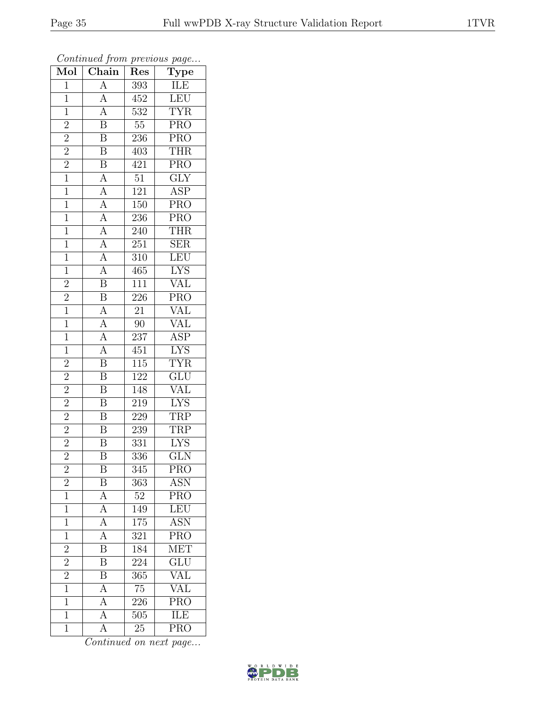| Mol            | $\mathbf{v}$<br>$\overline{\text{Chain}}$                                                                                                                                                                               | ı,<br>Res        | $\overline{ }$<br>$\overline{v}$<br>$\overline{\text{Type}}$ |
|----------------|-------------------------------------------------------------------------------------------------------------------------------------------------------------------------------------------------------------------------|------------------|--------------------------------------------------------------|
| $\overline{1}$ | $\overline{A}$                                                                                                                                                                                                          | 393              | ILE                                                          |
| $\mathbf 1$    | $\overline{A}$                                                                                                                                                                                                          | 452              | LEU                                                          |
| $\overline{1}$ | $\overline{A}$                                                                                                                                                                                                          | $\overline{532}$ | <b>TYR</b>                                                   |
| $\overline{2}$ | $\overline{\mathbf{B}}$                                                                                                                                                                                                 | $55\,$           | $\overline{\text{PRO}}$                                      |
| $\overline{2}$ | $\overline{B}$                                                                                                                                                                                                          | $236\,$          | $\overline{\text{PRO}}$                                      |
| $\overline{2}$ | $\overline{\mathbf{B}}$                                                                                                                                                                                                 | 403              | <b>THR</b>                                                   |
| $\frac{2}{1}$  | $\overline{B}$                                                                                                                                                                                                          | 421              | PRO                                                          |
|                |                                                                                                                                                                                                                         | $\overline{51}$  | $\overline{\text{GLY}}$                                      |
| $\mathbf{1}$   |                                                                                                                                                                                                                         | 121              | <b>ASP</b>                                                   |
| $\overline{1}$ |                                                                                                                                                                                                                         | $\overline{150}$ | $\overline{\text{PRO}}$                                      |
| $\mathbf{1}$   |                                                                                                                                                                                                                         | 236              | $\overline{\text{PRO}}$                                      |
| $\overline{1}$ |                                                                                                                                                                                                                         | 240              | <b>THR</b>                                                   |
| $\overline{1}$ |                                                                                                                                                                                                                         | 251              | SER                                                          |
| $\mathbf{1}$   | $\frac{\overline{A}}{\overline{A}}$ $\frac{\overline{A}}{\overline{A}}$ $\frac{\overline{A}}{\overline{A}}$ $\frac{\overline{A}}{\overline{A}}$ $\frac{\overline{A}}{\overline{B}}$ $\frac{\overline{A}}{\overline{B}}$ | 310              | LEU                                                          |
| $\mathbf{1}$   |                                                                                                                                                                                                                         | 465              | <b>LYS</b>                                                   |
| $\overline{2}$ |                                                                                                                                                                                                                         | 111              | <b>VAL</b>                                                   |
| $\overline{2}$ | $\overline{B}$                                                                                                                                                                                                          | $\overline{226}$ | <b>PRO</b>                                                   |
| $\overline{1}$ | $\frac{\overline{A}}{\overline{A}}$<br>$\frac{\overline{A}}{\overline{A}}$                                                                                                                                              | $\overline{21}$  | <b>VAL</b>                                                   |
| $\mathbf{1}$   |                                                                                                                                                                                                                         | $\overline{90}$  | $\overline{\text{VAL}}$                                      |
| $\overline{1}$ |                                                                                                                                                                                                                         | 237              | $\overline{\text{ASP}}$                                      |
| $\overline{1}$ |                                                                                                                                                                                                                         | 451              | LYS                                                          |
| $\overline{2}$ | $\overline{\mathbf{B}}$                                                                                                                                                                                                 | $\overline{115}$ | <b>TYR</b>                                                   |
| $\overline{2}$ | $\overline{\mathbf{B}}$                                                                                                                                                                                                 | 122              | $\overline{\text{GLU}}$                                      |
| $\overline{2}$ | $\overline{\mathbf{B}}$                                                                                                                                                                                                 | 148              | <b>VAL</b>                                                   |
| $\overline{2}$ | $\overline{B}$                                                                                                                                                                                                          | 219              | <b>LYS</b>                                                   |
| $\overline{2}$ | $\overline{\mathbf{B}}$                                                                                                                                                                                                 | 229              | TRP                                                          |
| $\overline{2}$ | $\overline{\mathbf{B}}$                                                                                                                                                                                                 | 239              | <b>TRP</b>                                                   |
| $\overline{2}$ | $\overline{\text{B}}$                                                                                                                                                                                                   | 331              | $\overline{\text{LYS}}$                                      |
| $\overline{2}$ | $\overline{\mathrm{B}}$                                                                                                                                                                                                 | $\overline{336}$ | $\overline{\text{GLN}}$                                      |
| $\overline{c}$ | B                                                                                                                                                                                                                       | 345              | PRO                                                          |
| $\overline{2}$ | $\boldsymbol{\mathrm{B}}$                                                                                                                                                                                               | 363              | $\operatorname{ASN}$                                         |
| $\overline{1}$ | $\frac{\overline{A}}{\overline{A}}$                                                                                                                                                                                     | $\overline{52}$  | PRO                                                          |
| $\mathbf 1$    |                                                                                                                                                                                                                         | 149              | LEU                                                          |
| $\mathbf 1$    | $\overline{A}$                                                                                                                                                                                                          | $\overline{175}$ | <b>ASN</b>                                                   |
| $\mathbf 1$    | $\overline{A}$                                                                                                                                                                                                          | 321              | $\overline{\text{PRO}}$                                      |
| $\overline{2}$ | $\overline{\mathrm{B}}$                                                                                                                                                                                                 | 184              | <b>MET</b>                                                   |
| $\overline{2}$ | $\overline{\mathbf{B}}$                                                                                                                                                                                                 | 224              | GLU<br>VAL                                                   |
| $\overline{2}$ | $\overline{\text{B}}$                                                                                                                                                                                                   | 365              |                                                              |
| $\overline{1}$ | $\overline{A}$                                                                                                                                                                                                          | $\overline{75}$  | <b>VAL</b>                                                   |
| $\mathbf 1$    | $\overline{A}$                                                                                                                                                                                                          | 226              | PRO                                                          |
| $\overline{1}$ | $\overline{A}$                                                                                                                                                                                                          | 505              | ILE                                                          |
| $\mathbf 1$    | A                                                                                                                                                                                                                       | 25               | <b>PRO</b>                                                   |

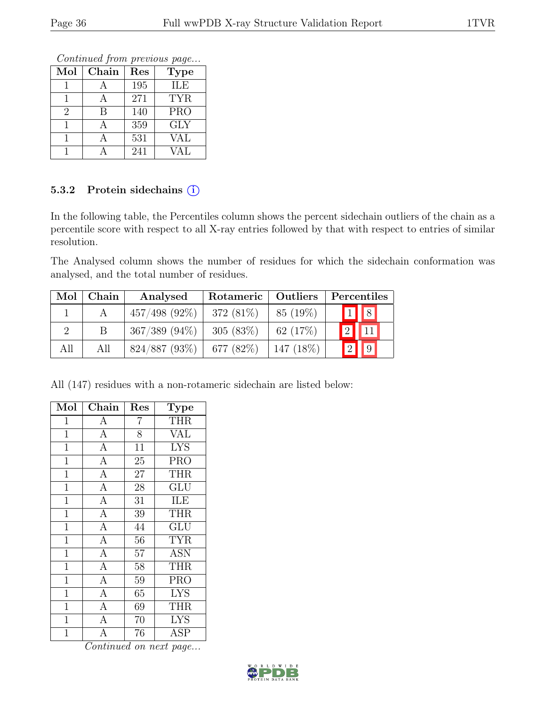Continued from previous page...

| Mol | Chain | Res | <b>Type</b>      |
|-----|-------|-----|------------------|
|     |       | 195 | ILE              |
|     |       | 271 | <b>TYR</b>       |
| 2   | R     | 140 | $\overline{PRO}$ |
|     |       | 359 | <b>GLY</b>       |
|     |       | 531 | VAL              |
|     |       | 241 | <b>VAL</b>       |

### 5.3.2 Protein sidechains (i)

In the following table, the Percentiles column shows the percent sidechain outliers of the chain as a percentile score with respect to all X-ray entries followed by that with respect to entries of similar resolution.

The Analysed column shows the number of residues for which the sidechain conformation was analysed, and the total number of residues.

| Mol | Chain | Analysed           | Rotameric   Outliers |             | Percentiles                            |  |  |
|-----|-------|--------------------|----------------------|-------------|----------------------------------------|--|--|
|     |       | $457/498$ (92\%)   | 372 (81\%)           | 85 (19%)    | $\begin{bmatrix} 1 \\ 8 \end{bmatrix}$ |  |  |
|     |       | $367/389$ $(94\%)$ | 305(83%)             | 62 $(17%)$  | 2                                      |  |  |
| All | All   | $824/887$ (93\%)   | 677 $(82%)$          | $147(18\%)$ |                                        |  |  |

All (147) residues with a non-rotameric sidechain are listed below:

| Mol            | Chain              | Res             | <b>Type</b> |
|----------------|--------------------|-----------------|-------------|
| 1              | A                  | 7               | THR         |
| $\mathbf{1}$   | $\overline{A}$     | 8               | <b>VAL</b>  |
| $\mathbf 1$    | $\overline{A}$     | $\overline{11}$ | <b>LYS</b>  |
| $\mathbf 1$    | $\overline{A}$     | 25              | <b>PRO</b>  |
| $\mathbf{1}$   | $\overline{\rm A}$ | 27              | <b>THR</b>  |
| $\overline{1}$ | $\overline{A}$     | 28              | GLU         |
| $\mathbf{1}$   | $\overline{A}$     | 31              | ILE         |
| $\overline{1}$ | $\overline{A}$     | 39              | <b>THR</b>  |
| $\mathbf{1}$   | $\overline{A}$     | 44              | GLU         |
| $\overline{1}$ | $\overline{A}$     | $5\overline{6}$ | <b>TYR</b>  |
| $\mathbf{1}$   | $\overline{A}$     | 57              | <b>ASN</b>  |
| $\mathbf{1}$   | $\overline{A}$     | 58              | <b>THR</b>  |
| $\mathbf{1}$   | $\overline{A}$     | $\overline{59}$ | <b>PRO</b>  |
| $\mathbf{1}$   | $\overline{A}$     | 65              | <b>LYS</b>  |
| $\overline{1}$ | $\overline{A}$     | 69              | <b>THR</b>  |
| $\mathbf 1$    | $\overline{A}$     | 70              | <b>LYS</b>  |
| $\overline{1}$ | $\overline{\rm A}$ | 76              | <b>ASP</b>  |

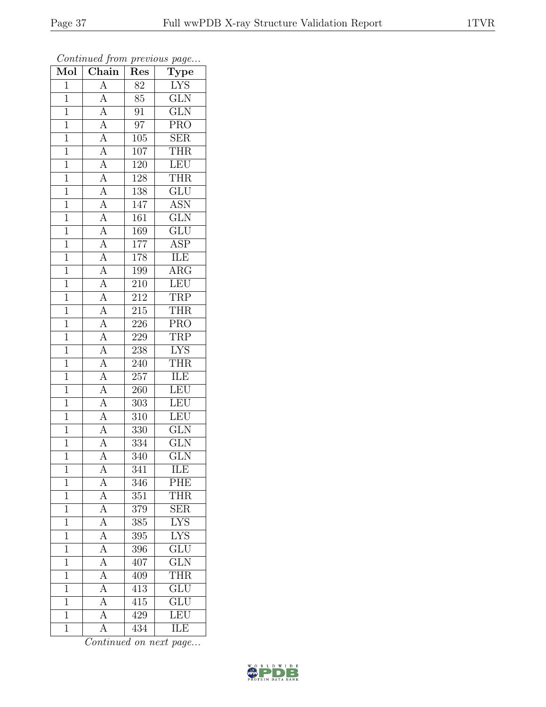| Mol            | . <i>.</i><br>Chain                                                                                         | $\mathbf{r}$ . $\sim$<br>Res | $r - 3$<br>$\overline{\text{Type}}$ |
|----------------|-------------------------------------------------------------------------------------------------------------|------------------------------|-------------------------------------|
| $\mathbf{1}$   | $\overline{A}$                                                                                              | 82                           | <b>LYS</b>                          |
| $\mathbf{1}$   | $\overline{A}$                                                                                              | 85                           | $\overline{\text{GLN}}$             |
| $\overline{1}$ |                                                                                                             | 91                           | $\overline{\text{GLN}}$             |
| $\mathbf{1}$   |                                                                                                             | $\overline{97}$              | PRO                                 |
| $\overline{1}$ | $\frac{\overline{A}}{\overline{A}}$<br>$\frac{\overline{A}}{\overline{A}}$                                  | 105                          | $\overline{\text{SER}}$             |
| $\mathbf 1$    |                                                                                                             | 107                          | <b>THR</b>                          |
| $\overline{1}$ | $\frac{\overline{A}}{\overline{A}}$<br>$\frac{\overline{A}}{\overline{A}}$                                  | 120                          | LEU                                 |
| $\overline{1}$ |                                                                                                             | 128                          | <b>THR</b>                          |
| $\overline{1}$ |                                                                                                             | 138                          | GLU                                 |
| $\overline{1}$ |                                                                                                             | 147                          | <b>ASN</b>                          |
| $\overline{1}$ | $\frac{\overline{A}}{\overline{A}}$                                                                         | 161                          | $\overline{\text{GLN}}$             |
| $\overline{1}$ |                                                                                                             | 169                          | $\overline{\text{GLU}}$             |
| $\overline{1}$ |                                                                                                             | $\overline{177}$             | <b>ASP</b>                          |
| $\mathbf{1}$   |                                                                                                             | 178                          | ILE                                 |
| $\overline{1}$ |                                                                                                             | 199                          | $\overline{\rm{ARG}}$               |
| $\mathbf{1}$   | $\frac{\overline{A}}{\overline{A}}$ $\frac{\overline{A}}{\overline{A}}$ $\frac{\overline{A}}{\overline{A}}$ | 210                          | LEU                                 |
| $\overline{1}$ |                                                                                                             | $2\overline{12}$             | <b>TRP</b>                          |
| $\mathbf{1}$   |                                                                                                             | 215                          | THR                                 |
| $\mathbf{1}$   |                                                                                                             | 226                          | PRO                                 |
| $\overline{1}$ |                                                                                                             | 229                          | <b>TRP</b>                          |
| $\overline{1}$ |                                                                                                             | 238                          | <b>LYS</b>                          |
| $\overline{1}$ | $\frac{\overline{A}}{\overline{A}}$<br>$\frac{\overline{A}}{\overline{A}}$                                  | 240                          | <b>THR</b>                          |
| $\mathbf{1}$   |                                                                                                             | 257                          | ILE                                 |
| $\overline{1}$ |                                                                                                             | 260                          | LEU                                 |
| $\overline{1}$ | $\overline{A}$                                                                                              | 303                          | LEU                                 |
| $\overline{1}$ | $\overline{A}$                                                                                              | 310                          | LEU                                 |
| $\overline{1}$ | $\overline{A}$                                                                                              | $\overline{330}$             | $\overline{\text{GLN}}$             |
| $\overline{1}$ | $\overline{A}$                                                                                              | 334                          | <b>GLN</b>                          |
| $\overline{1}$ | $\overline{\rm A}$                                                                                          | 340                          | $\overline{\text{GLN}}$             |
| 1              | А                                                                                                           | 341                          | ILE                                 |
| $\overline{1}$ | $\overline{A}$                                                                                              | 346                          | PHE                                 |
| $\mathbf{1}$   | $\overline{A}$                                                                                              | 351                          | THR                                 |
| $\mathbf{1}$   | $\overline{A}$                                                                                              | 379                          | <b>SER</b>                          |
| $\overline{1}$ | $\overline{A}$                                                                                              | $\overline{385}$             | $\overline{\text{LYS}}$             |
| $\mathbf{1}$   | $\overline{A}$                                                                                              | 395                          | <b>LYS</b>                          |
| $\overline{1}$ | $\frac{\overline{A}}{\overline{A}}$                                                                         | $\overline{396}$             | $\overline{\text{GLU}}$             |
| $\mathbf{1}$   |                                                                                                             | 407                          | $\overline{\text{GLN}}$             |
| $\mathbf{1}$   | $\overline{A}$                                                                                              | 409                          | THR                                 |
| $\mathbf{1}$   | $\overline{A}$                                                                                              | 413                          | $\overline{\text{GLU}}$             |
| $\mathbf{1}$   | $\overline{A}$                                                                                              | $415\,$                      | <b>GLU</b>                          |
| $\mathbf{1}$   | $\overline{A}$                                                                                              | 429                          | LEU                                 |
| $\mathbf 1$    | $\overline{\rm A}$                                                                                          | 434                          | ILE                                 |

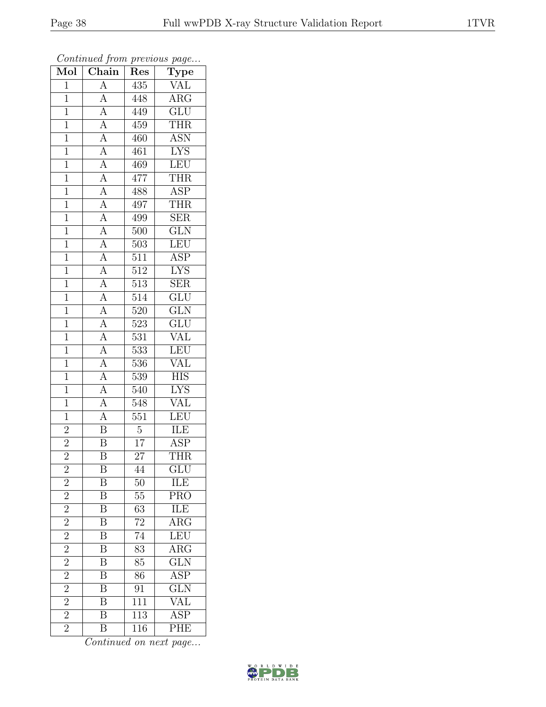| Mol            | . <i>.</i><br>$\overline{\text{Chain}}$                                                                                                                                                                                                                                                                                                                                                                        | $\mathbf{r}$ . $\sim$<br>Res | $r - 3$<br>$\overline{\text{Type}}$ |
|----------------|----------------------------------------------------------------------------------------------------------------------------------------------------------------------------------------------------------------------------------------------------------------------------------------------------------------------------------------------------------------------------------------------------------------|------------------------------|-------------------------------------|
| $\mathbf{1}$   | $\overline{A}$                                                                                                                                                                                                                                                                                                                                                                                                 | 435                          | <b>VAL</b>                          |
| $\overline{1}$ | $\overline{A}$                                                                                                                                                                                                                                                                                                                                                                                                 | 448                          | $\overline{\text{ARG}}$             |
| $\overline{1}$ |                                                                                                                                                                                                                                                                                                                                                                                                                | 449                          | $\overline{\text{GLU}}$             |
| $\mathbf{1}$   |                                                                                                                                                                                                                                                                                                                                                                                                                | 459                          | <b>THR</b>                          |
| $\overline{1}$ |                                                                                                                                                                                                                                                                                                                                                                                                                | 460                          | <b>ASN</b>                          |
| $\overline{1}$ |                                                                                                                                                                                                                                                                                                                                                                                                                | 461                          | <b>LYS</b>                          |
| $\overline{1}$ |                                                                                                                                                                                                                                                                                                                                                                                                                | 469                          | LEU                                 |
| $\overline{1}$ |                                                                                                                                                                                                                                                                                                                                                                                                                | 477                          | <b>THR</b>                          |
| $\overline{1}$ |                                                                                                                                                                                                                                                                                                                                                                                                                | 488                          | <b>ASP</b>                          |
| $\overline{1}$ |                                                                                                                                                                                                                                                                                                                                                                                                                | 497                          | <b>THR</b>                          |
| $\overline{1}$ |                                                                                                                                                                                                                                                                                                                                                                                                                | 499                          | <b>SER</b>                          |
| $\overline{1}$ |                                                                                                                                                                                                                                                                                                                                                                                                                | 500                          | $\overline{\text{GLN}}$             |
| $\overline{1}$ |                                                                                                                                                                                                                                                                                                                                                                                                                | 503                          | LEU                                 |
| $\mathbf{1}$   |                                                                                                                                                                                                                                                                                                                                                                                                                | $\overline{511}$             | $\overline{\text{ASP}}$             |
| $\overline{1}$ |                                                                                                                                                                                                                                                                                                                                                                                                                | 512                          | $\overline{\text{LYS}}$             |
| $\overline{1}$ | $\frac{\overline{A}}{\overline{A}}\frac{\overline{A}}{\overline{A}}\frac{\overline{A}}{\overline{A}}\frac{\overline{A}}{\overline{A}}\frac{\overline{A}}{\overline{A}}\frac{\overline{A}}{\overline{A}}\frac{\overline{A}}{\overline{A}}\frac{\overline{A}}{\overline{A}}\frac{\overline{A}}{\overline{A}}\frac{\overline{A}}{\overline{A}}\frac{\overline{A}}{\overline{A}}\frac{\overline{A}}{\overline{A}}$ | 513                          | $\overline{\text{SER}}$             |
| $\overline{1}$ |                                                                                                                                                                                                                                                                                                                                                                                                                | $\overline{514}$             | $\overline{\text{GLU}}$             |
| $\mathbf{1}$   |                                                                                                                                                                                                                                                                                                                                                                                                                | 520                          | <b>GLN</b>                          |
| $\mathbf{1}$   |                                                                                                                                                                                                                                                                                                                                                                                                                | 523                          | $\overline{\text{GLU}}$             |
| $\overline{1}$ |                                                                                                                                                                                                                                                                                                                                                                                                                | 531                          | <b>VAL</b>                          |
| $\overline{1}$ |                                                                                                                                                                                                                                                                                                                                                                                                                | 533                          | LEU                                 |
| $\overline{1}$ |                                                                                                                                                                                                                                                                                                                                                                                                                | 536                          | <b>VAL</b>                          |
| $\mathbf{1}$   |                                                                                                                                                                                                                                                                                                                                                                                                                | $\overline{5}39$             | <b>HIS</b>                          |
| $\overline{1}$ |                                                                                                                                                                                                                                                                                                                                                                                                                | 540                          | I <sub>YS</sub>                     |
| $\overline{1}$ | $\overline{A}$                                                                                                                                                                                                                                                                                                                                                                                                 | 548                          | <b>VAL</b>                          |
| $\overline{1}$ | $\overline{A}$                                                                                                                                                                                                                                                                                                                                                                                                 | 551                          | LEU                                 |
| $\overline{2}$ | $\overline{\mathbf{B}}$                                                                                                                                                                                                                                                                                                                                                                                        | $\overline{5}$               | ILE                                 |
| $\frac{2}{2}$  | $\overline{\text{B}}$                                                                                                                                                                                                                                                                                                                                                                                          | $\overline{17}$              | <b>ASP</b>                          |
|                | $\overline{\mathrm{B}}$                                                                                                                                                                                                                                                                                                                                                                                        | $\overline{27}$              | <b>THR</b>                          |
| $\overline{c}$ | Β                                                                                                                                                                                                                                                                                                                                                                                                              | 44                           | $_{\rm GLU}$                        |
| $\overline{2}$ | B                                                                                                                                                                                                                                                                                                                                                                                                              | 50                           | ILE                                 |
| $\overline{2}$ | $\overline{\mathbf{B}}$                                                                                                                                                                                                                                                                                                                                                                                        | $55\,$                       | <b>PRO</b>                          |
| $\overline{2}$ | $\boldsymbol{B}$                                                                                                                                                                                                                                                                                                                                                                                               | 63                           | ILE                                 |
| $\overline{2}$ | $\overline{\mathrm{B}}$                                                                                                                                                                                                                                                                                                                                                                                        | $\overline{72}$              | $\overline{\text{ARG}}$             |
| $\overline{2}$ | $\boldsymbol{B}$                                                                                                                                                                                                                                                                                                                                                                                               | 74                           | LEU                                 |
| $\overline{2}$ | $\overline{\mathrm{B}}$                                                                                                                                                                                                                                                                                                                                                                                        | $\overline{83}$              | $\overline{\text{ARG}}$             |
| $\overline{2}$ | $\overline{\mathrm{B}}$                                                                                                                                                                                                                                                                                                                                                                                        | 85                           | $\overline{\text{GLN}}$             |
| $\overline{2}$ | B                                                                                                                                                                                                                                                                                                                                                                                                              | 86                           | $\overline{\text{ASP}}$             |
| $\overline{2}$ | $\overline{\mathrm{B}}$                                                                                                                                                                                                                                                                                                                                                                                        | 91                           | GLN                                 |
| $\overline{2}$ | $\overline{\mathrm{B}}$                                                                                                                                                                                                                                                                                                                                                                                        | 111                          | VAL                                 |
| $\overline{2}$ | $\overline{\mathrm{B}}$                                                                                                                                                                                                                                                                                                                                                                                        | 113                          | $\overline{\text{ASP}}$             |
| $\overline{2}$ | $\overline{\mathrm{B}}$                                                                                                                                                                                                                                                                                                                                                                                        | 116                          | PHE                                 |

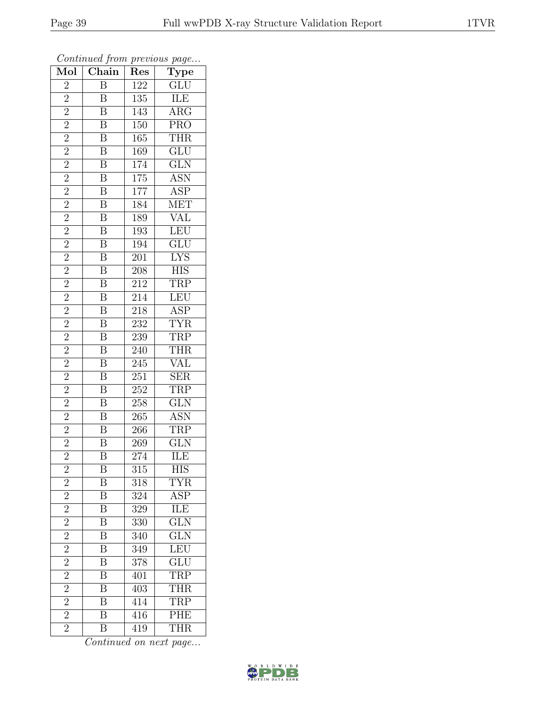| $\overline{\text{Mol}}$ | $\mathbf{v}$<br>$\overline{\text{Chain}}$ | <b>I</b><br>Res             | $\overline{ }$<br>$\overline{ }$<br>$\overline{\text{Type}}$ |
|-------------------------|-------------------------------------------|-----------------------------|--------------------------------------------------------------|
| $\overline{2}$          | $\overline{\mathrm{B}}$                   | 122                         | $\overline{\text{GLU}}$                                      |
| $\overline{2}$          | $\boldsymbol{B}$                          | $\overline{135}$            | ILE                                                          |
| $\overline{2}$          | $\overline{B}$                            | 143                         | $\overline{\rm{ARG}}$                                        |
| $\overline{2}$          | $\overline{\mathbf{B}}$                   | 150                         | <b>PRO</b>                                                   |
| $\overline{2}$          | $\overline{\mathbf{B}}$                   | 165                         | <b>THR</b>                                                   |
| $\overline{2}$          | $\overline{\mathrm{B}}$                   | 169                         | GLU                                                          |
| $\overline{2}$          | $\overline{\mathbf{B}}$                   | 174                         | $\overline{\text{GLN}}$                                      |
| $\overline{2}$          | $\overline{\mathbf{B}}$                   | 175                         | <b>ASN</b>                                                   |
| $\frac{2}{2}$           | $\overline{\mathbf{B}}$                   | 177                         | <b>ASP</b>                                                   |
|                         | $\overline{\mathbf{B}}$                   | 184                         | <b>MET</b>                                                   |
| $\overline{2}$          | $\overline{\mathrm{B}}$                   | 189                         | <b>VAL</b>                                                   |
| $\overline{2}$          | $\overline{\mathrm{B}}$                   | $\overline{193}$            | LEU                                                          |
| $\overline{2}$          | $\overline{B}$                            | <b>194</b>                  | GLU                                                          |
| $\overline{2}$          | $\boldsymbol{B}$                          | 201                         | LYS                                                          |
| $\overline{2}$          | $\overline{\mathrm{B}}$                   | 208                         | $\overline{\rm HIS}$                                         |
| $\overline{2}$          | $\overline{\mathbf{B}}$                   | $212\,$                     | <b>TRP</b>                                                   |
| $\overline{2}$          | $\overline{\mathbf{B}}$                   | 214                         | LEU                                                          |
| $\overline{2}$          | $\overline{\mathbf{B}}$                   | 218                         | $\frac{\text{ASP}}{\text{TYR}}$                              |
| $\overline{2}$          | $\overline{\mathrm{B}}$                   | 232                         |                                                              |
| $\overline{2}$          | $\overline{\mathbf{B}}$                   | 239                         | <b>TRP</b>                                                   |
| $\overline{2}$          | $\overline{\mathrm{B}}$                   | 240                         | THR                                                          |
| $\overline{2}$          | $\overline{\mathbf{B}}$                   | $\overline{245}$            | <b>VAL</b>                                                   |
| $\overline{2}$          | $\overline{\mathbf{B}}$                   | 251                         | $\overline{\text{SER}}$                                      |
| $\overline{2}$          | $\overline{\mathrm{B}}$                   | $2\overline{5}\overline{2}$ | <b>TRP</b>                                                   |
| $\overline{2}$          | $\overline{\mathbf{B}}$                   | 258                         | $\overline{\text{GLN}}$                                      |
| $\overline{2}$          | $\overline{\mathbf{B}}$                   | $265\,$                     | <b>ASN</b>                                                   |
| $\overline{2}$          | $\overline{\mathbf{B}}$                   | 266                         | <b>TRP</b>                                                   |
| $\overline{2}$          | $\overline{\mathbf{B}}$                   | $269\,$                     | GLN                                                          |
| $\overline{2}$          | $\overline{\mathrm{B}}$                   | 274                         | ILE                                                          |
| $\overline{c}$          | B                                         | 315                         | HIS                                                          |
| $\overline{2}$          | $\boldsymbol{B}$                          | 318                         | <b>TYR</b>                                                   |
| $\overline{2}$          | $\overline{\mathbf{B}}$                   | 324                         | <b>ASP</b>                                                   |
| $\frac{2}{2}$           | B                                         | 329                         | <b>ILE</b>                                                   |
|                         | $\overline{\mathrm{B}}$                   | $\overline{330}$            | $\overline{\text{GLN}}$                                      |
| $\overline{2}$          | $\boldsymbol{\mathrm{B}}$                 | 340                         | GLN                                                          |
| $\overline{2}$          | $\overline{\mathrm{B}}$                   | 349                         | LEU <sup>-</sup>                                             |
| $\overline{2}$          | $\overline{\mathrm{B}}$                   | 378                         | $\underline{\text{GLU}}$                                     |
| $\overline{2}$          | $\overline{\mathrm{B}}$                   | 401                         | <b>TRP</b>                                                   |
| $\overline{2}$          | $\overline{\mathrm{B}}$                   | 403                         | THR                                                          |
| $\overline{2}$          | $\overline{\mathrm{B}}$                   | 414                         | TRP                                                          |
| $\overline{2}$          | $\overline{\mathrm{B}}$                   | 416                         | PHE                                                          |
| $\overline{2}$          | $\overline{\mathrm{B}}$                   | 419                         | <b>THR</b>                                                   |

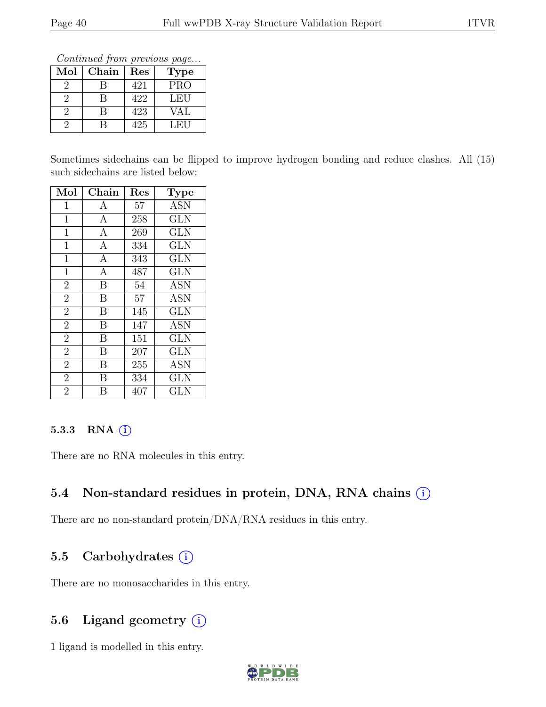Continued from previous page...

| $\operatorname{Mol}$ | Chain | $\operatorname{Res}% \left( \mathcal{N}\right) \equiv\operatorname{Res}(\mathcal{N}_{0})\cap\mathcal{N}_{1}$ | <b>Type</b> |
|----------------------|-------|--------------------------------------------------------------------------------------------------------------|-------------|
|                      |       | 421                                                                                                          | <b>PRO</b>  |
|                      |       | 422                                                                                                          | LEU         |
|                      |       | 423                                                                                                          | VAL         |
|                      |       | 425                                                                                                          | LFLU        |

Sometimes sidechains can be flipped to improve hydrogen bonding and reduce clashes. All (15) such sidechains are listed below:

| Mol            | Chain          | Res | <b>Type</b>             |
|----------------|----------------|-----|-------------------------|
| $\mathbf{1}$   | $\mathbf{A}$   | 57  | <b>ASN</b>              |
| $\mathbf{1}$   | $\mathbf{A}$   | 258 | <b>GLN</b>              |
| $\mathbf 1$    | $\overline{A}$ | 269 | $\overline{\text{GLN}}$ |
| $\mathbf 1$    | $\mathbf{A}$   | 334 | <b>GLN</b>              |
| $\mathbf{1}$   | $\mathbf{A}$   | 343 | <b>GLN</b>              |
| $\mathbf{1}$   | $\overline{A}$ | 487 | <b>GLN</b>              |
| $\overline{2}$ | $\mathbf B$    | 54  | ASN                     |
| $\overline{2}$ | B              | 57  | <b>ASN</b>              |
| $\overline{2}$ | B              | 145 | <b>GLN</b>              |
| $\overline{2}$ | B              | 147 | <b>ASN</b>              |
| $\overline{2}$ | B              | 151 | <b>GLN</b>              |
| $\overline{2}$ | B              | 207 | <b>GLN</b>              |
| $\overline{2}$ | B              | 255 | ASN                     |
| $\overline{2}$ | B              | 334 | <b>GLN</b>              |
| $\overline{2}$ | В              | 407 | $_{\rm GLN}$            |

### 5.3.3 RNA  $(i)$

There are no RNA molecules in this entry.

## 5.4 Non-standard residues in protein, DNA, RNA chains  $(i)$

There are no non-standard protein/DNA/RNA residues in this entry.

## 5.5 Carbohydrates  $(i)$

There are no monosaccharides in this entry.

## 5.6 Ligand geometry  $(i)$

1 ligand is modelled in this entry.

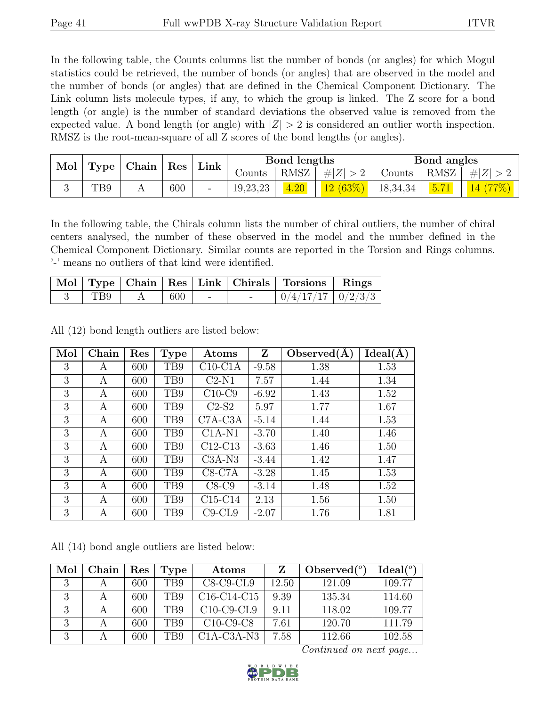In the following table, the Counts columns list the number of bonds (or angles) for which Mogul statistics could be retrieved, the number of bonds (or angles) that are observed in the model and the number of bonds (or angles) that are defined in the Chemical Component Dictionary. The Link column lists molecule types, if any, to which the group is linked. The Z score for a bond length (or angle) is the number of standard deviations the observed value is removed from the expected value. A bond length (or angle) with  $|Z| > 2$  is considered an outlier worth inspection. RMSZ is the root-mean-square of all Z scores of the bond lengths (or angles).

| Mol | Type | Chain | Res |                          | Link     |      | Bond lengths |          |      | Bond angles |  |
|-----|------|-------|-----|--------------------------|----------|------|--------------|----------|------|-------------|--|
|     |      |       |     |                          | Counts   | RMSZ | $\# Z $      | Counts   | RMSZ | H  Z        |  |
|     | TB9  |       | 600 | $\overline{\phantom{0}}$ | 19,23,23 | 4.20 | 12(63%)      | 18,34,34 | 5.71 |             |  |

In the following table, the Chirals column lists the number of chiral outliers, the number of chiral centers analysed, the number of these observed in the model and the number defined in the Chemical Component Dictionary. Similar counts are reported in the Torsion and Rings columns. '-' means no outliers of that kind were identified.

|     |     |  | Mol   Type   Chain   Res   Link   Chirals   Torsions   Rings |  |
|-----|-----|--|--------------------------------------------------------------|--|
| TB9 | 600 |  | $\mid 0/4/17/17 \mid 0/2/3/3 \mid$                           |  |

All (12) bond length outliers are listed below:

| Mol | Chain | Res | <b>Type</b>     | Atoms        | Z       | Observed $(A)$ | Ideal(A) |
|-----|-------|-----|-----------------|--------------|---------|----------------|----------|
| 3   | А     | 600 | T <sub>B9</sub> | $C10$ -C1A   | $-9.58$ | 1.38           | 1.53     |
| 3   | A     | 600 | T <sub>B9</sub> | $C2-N1$      | 7.57    | 1.44           | 1.34     |
| 3   | A     | 600 | T <sub>B9</sub> | $C10-C9$     | $-6.92$ | 1.43           | 1.52     |
| 3   | A     | 600 | T <sub>B9</sub> | $C2-S2$      | 5.97    | 1.77           | 1.67     |
| 3   | А     | 600 | T <sub>B9</sub> | $C7A-C3A$    | $-5.14$ | 1.44           | 1.53     |
| 3   | A     | 600 | T <sub>B9</sub> | $C1A-N1$     | $-3.70$ | 1.40           | 1.46     |
| 3   | А     | 600 | T <sub>B9</sub> | $C12-C13$    | $-3.63$ | 1.46           | 1.50     |
| 3   | A     | 600 | T <sub>B9</sub> | $C3A-N3$     | $-3.44$ | 1.42           | 1.47     |
| 3   | А     | 600 | T <sub>B9</sub> | $C8-C7A$     | $-3.28$ | 1.45           | 1.53     |
| 3   | А     | 600 | T <sub>B9</sub> | $C8-C9$      | $-3.14$ | 1.48           | 1.52     |
| 3   | А     | 600 | TB9             | $C15-C14$    | 2.13    | 1.56           | 1.50     |
| 3   | А     | 600 | T <sub>B9</sub> | $C9$ - $CL9$ | $-2.07$ | 1.76           | 1.81     |

All (14) bond angle outliers are listed below:

| Mol | Chain | $\operatorname{Res}% \left( \mathcal{N}\right) \equiv\operatorname{Res}(\mathcal{N}_{0},\mathcal{N}_{0})$ | Type            | Atoms                                             | Z     | Observed $(°)$ | Ideal $(°)$ |
|-----|-------|-----------------------------------------------------------------------------------------------------------|-----------------|---------------------------------------------------|-------|----------------|-------------|
| 3   |       | 600                                                                                                       | T <sub>B9</sub> | $C8-C9-CL9$                                       | 12.50 | 121.09         | 109.77      |
| 3   |       | 600                                                                                                       | T <sub>B9</sub> | C <sub>16</sub> -C <sub>14</sub> -C <sub>15</sub> | 9.39  | 135.34         | 114.60      |
|     |       | 600                                                                                                       | T <sub>B9</sub> | $C10-C9-CL9$                                      | 9.11  | 118.02         | 109.77      |
| 3   |       | 600                                                                                                       | T <sub>B9</sub> | $C10-C9-C8$                                       | 7.61  | 120.70         | 111.79      |
|     |       | 600                                                                                                       | T <sub>B9</sub> | $C1A-C3A-N3$                                      | 7.58  | 112.66         | 102.58      |

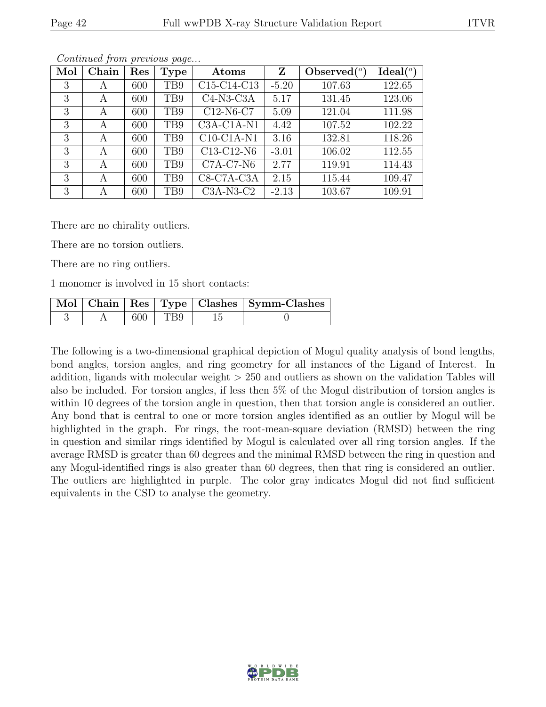| Mol | Chain | Res | <b>Type</b>     | Atoms        | Z       | Observed $\binom{o}{c}$ | $Ideal(^o)$ |
|-----|-------|-----|-----------------|--------------|---------|-------------------------|-------------|
| 3   | А     | 600 | TB9             | C15-C14-C13  | $-5.20$ | 107.63                  | 122.65      |
| 3   | A     | 600 | T <sub>B9</sub> | $C4-N3-C3A$  | 5.17    | 131.45                  | 123.06      |
| 3   | A     | 600 | TB9             | $C12-N6-C7$  | 5.09    | 121.04                  | 111.98      |
| 3   | A     | 600 | TB9             | $C3A-C1A-N1$ | 4.42    | 107.52                  | 102.22      |
| 3   | A     | 600 | TB9             | $C10-C1A-N1$ | 3.16    | 132.81                  | 118.26      |
| 3   | A     | 600 | TB9             | C13-C12-N6   | $-3.01$ | 106.02                  | 112.55      |
| 3   | A     | 600 | T <sub>B9</sub> | $C7A-C7-N6$  | 2.77    | 119.91                  | 114.43      |
| 3   | A     | 600 | T <sub>B9</sub> | $C8-C7A-C3A$ | 2.15    | 115.44                  | 109.47      |
| 3   | А     | 600 | TB9             | $C3A-N3-C2$  | $-2.13$ | 103.67                  | 109.91      |

There are no chirality outliers.

There are no torsion outliers.

There are no ring outliers.

1 monomer is involved in 15 short contacts:

|  |             | Mol   Chain   Res   Type   Clashes   Symm-Clashes |
|--|-------------|---------------------------------------------------|
|  | $600$   TB9 |                                                   |

The following is a two-dimensional graphical depiction of Mogul quality analysis of bond lengths, bond angles, torsion angles, and ring geometry for all instances of the Ligand of Interest. In addition, ligands with molecular weight  $> 250$  and outliers as shown on the validation Tables will also be included. For torsion angles, if less then 5% of the Mogul distribution of torsion angles is within 10 degrees of the torsion angle in question, then that torsion angle is considered an outlier. Any bond that is central to one or more torsion angles identified as an outlier by Mogul will be highlighted in the graph. For rings, the root-mean-square deviation (RMSD) between the ring in question and similar rings identified by Mogul is calculated over all ring torsion angles. If the average RMSD is greater than 60 degrees and the minimal RMSD between the ring in question and any Mogul-identified rings is also greater than 60 degrees, then that ring is considered an outlier. The outliers are highlighted in purple. The color gray indicates Mogul did not find sufficient equivalents in the CSD to analyse the geometry.

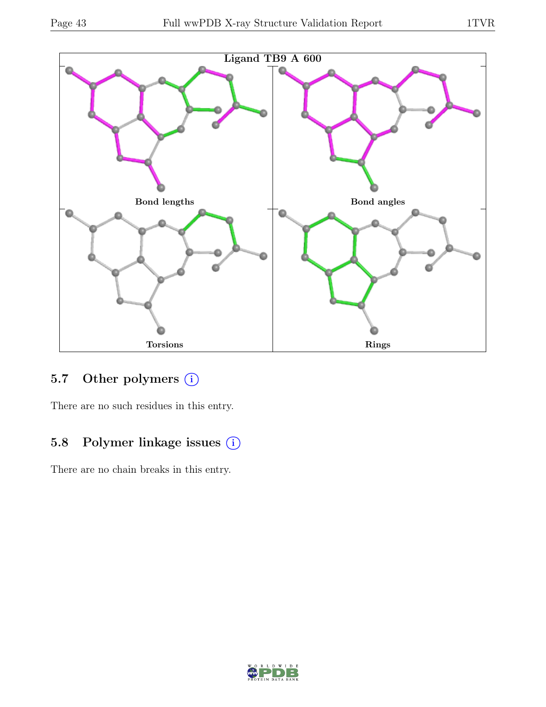

# 5.7 Other polymers (i)

There are no such residues in this entry.

# 5.8 Polymer linkage issues (i)

There are no chain breaks in this entry.

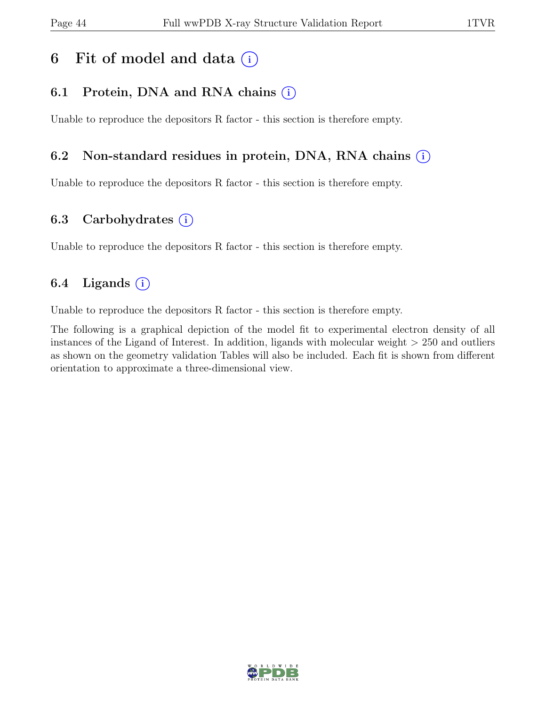# 6 Fit of model and data  $(i)$

# 6.1 Protein, DNA and RNA chains  $(i)$

Unable to reproduce the depositors R factor - this section is therefore empty.

### 6.2 Non-standard residues in protein, DNA, RNA chains (i)

Unable to reproduce the depositors R factor - this section is therefore empty.

## 6.3 Carbohydrates  $(i)$

Unable to reproduce the depositors R factor - this section is therefore empty.

# 6.4 Ligands  $(i)$

Unable to reproduce the depositors R factor - this section is therefore empty.

The following is a graphical depiction of the model fit to experimental electron density of all instances of the Ligand of Interest. In addition, ligands with molecular weight > 250 and outliers as shown on the geometry validation Tables will also be included. Each fit is shown from different orientation to approximate a three-dimensional view.